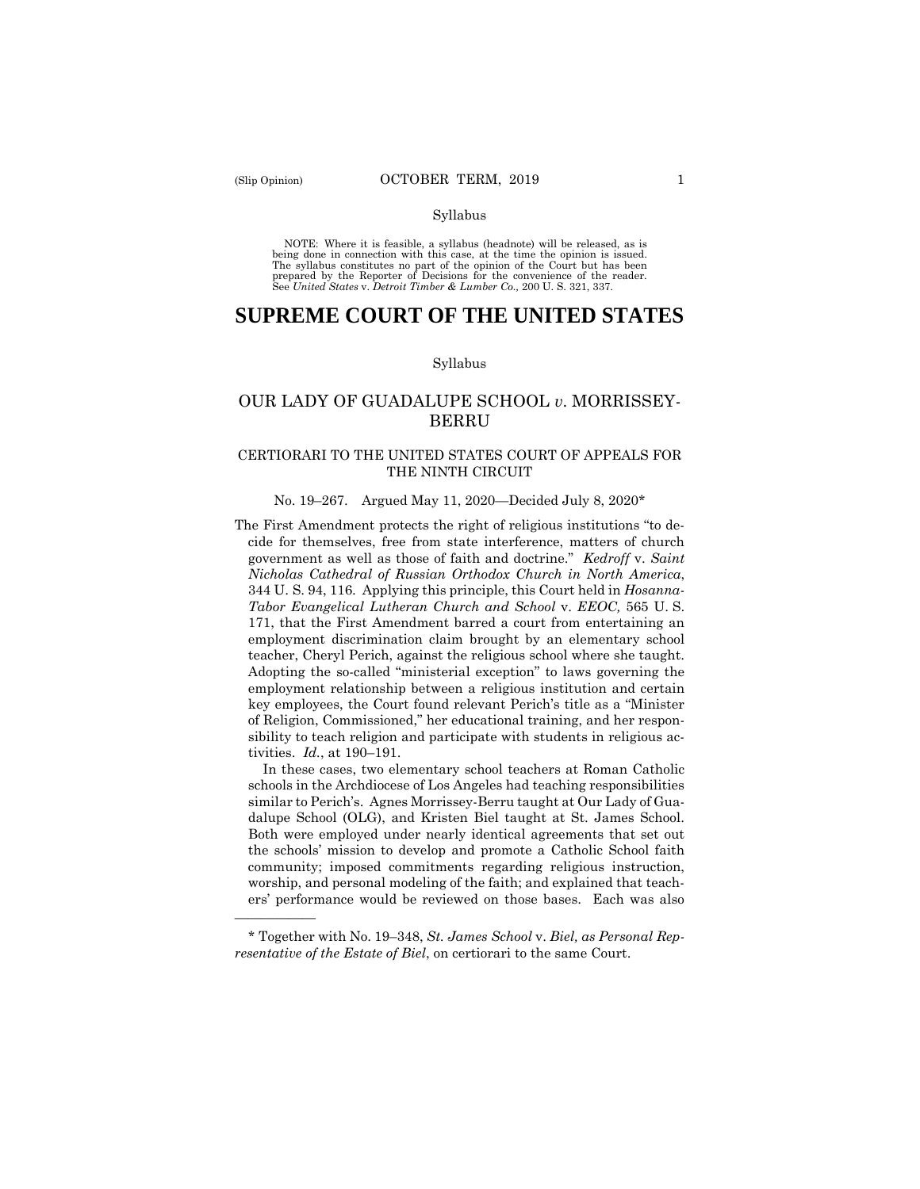——————

#### Syllabus

 NOTE: Where it is feasible, a syllabus (headnote) will be released, as is being done in connection with this case, at the time the opinion is issued. The syllabus constitutes no part of the opinion of the Court but has been<br>prepared by the Reporter of Decisions for the convenience of the reader.<br>See United States v. Detroit Timber & Lumber Co., 200 U.S. 321, 337.

# **SUPREME COURT OF THE UNITED STATES**

#### Syllabus

# OUR LADY OF GUADALUPE SCHOOL *v*. MORRISSEY-BERRU

# CERTIORARI TO THE UNITED STATES COURT OF APPEALS FOR THE NINTH CIRCUIT

### No. 19–267. Argued May 11, 2020—Decided July 8, 2020\*

The First Amendment protects the right of religious institutions "to decide for themselves, free from state interference, matters of church government as well as those of faith and doctrine." *Kedroff* v. *Saint Nicholas Cathedral of Russian Orthodox Church in North America*, 344 U. S. 94, 116. Applying this principle, this Court held in *Hosanna-Tabor Evangelical Lutheran Church and School* v. *EEOC,* 565 U. S. 171, that the First Amendment barred a court from entertaining an employment discrimination claim brought by an elementary school teacher, Cheryl Perich, against the religious school where she taught. Adopting the so-called "ministerial exception" to laws governing the employment relationship between a religious institution and certain key employees, the Court found relevant Perich's title as a "Minister of Religion, Commissioned," her educational training, and her responsibility to teach religion and participate with students in religious activities. *Id.*, at 190–191.

In these cases, two elementary school teachers at Roman Catholic schools in the Archdiocese of Los Angeles had teaching responsibilities similar to Perich's. Agnes Morrissey-Berru taught at Our Lady of Guadalupe School (OLG), and Kristen Biel taught at St. James School. Both were employed under nearly identical agreements that set out the schools' mission to develop and promote a Catholic School faith community; imposed commitments regarding religious instruction, worship, and personal modeling of the faith; and explained that teachers' performance would be reviewed on those bases. Each was also

<sup>\*</sup> Together with No. 19–348, *St. James School* v. *Biel, as Personal Representative of the Estate of Biel*, on certiorari to the same Court.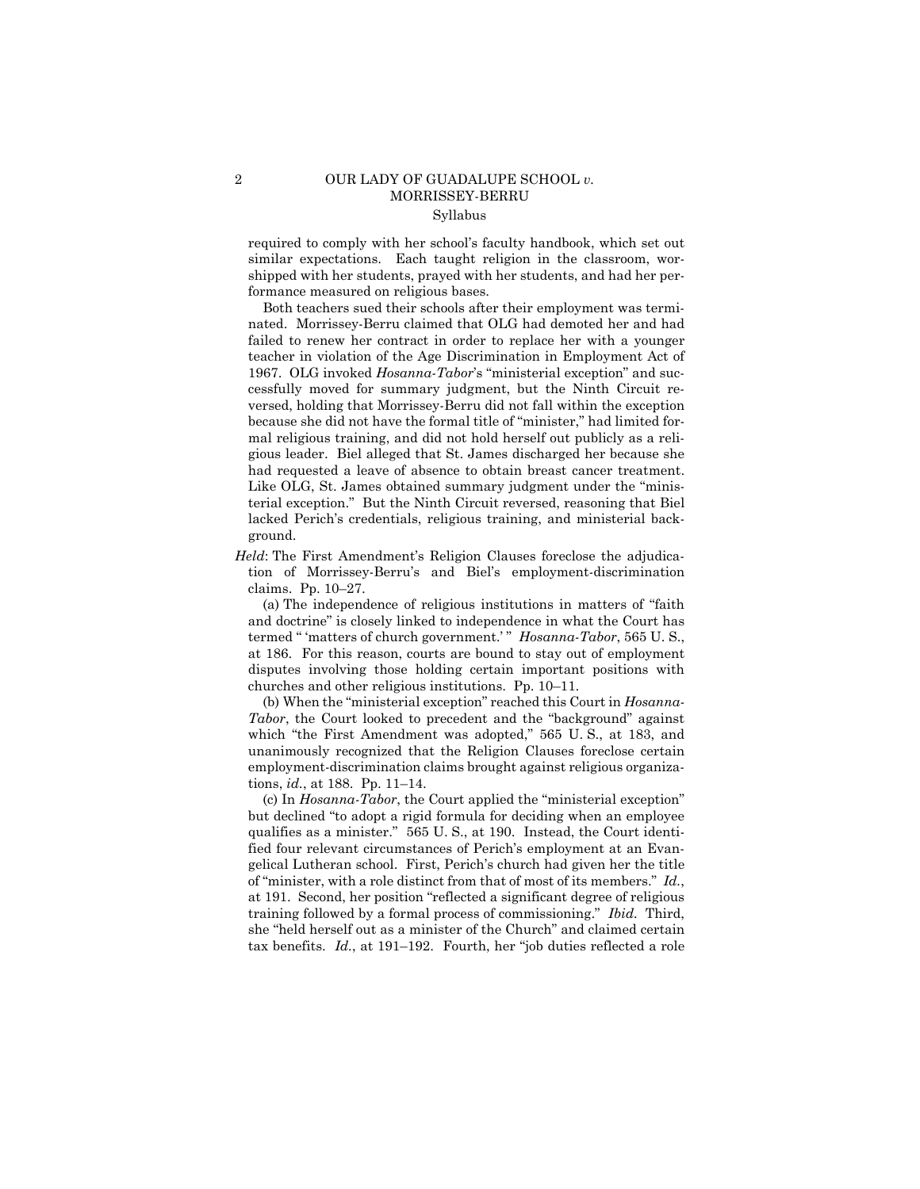# 2 OUR LADY OF GUADALUPE SCHOOL *v.*  MORRISSEY-BERRU Syllabus

required to comply with her school's faculty handbook, which set out similar expectations. Each taught religion in the classroom, worshipped with her students, prayed with her students, and had her performance measured on religious bases.

Both teachers sued their schools after their employment was terminated. Morrissey-Berru claimed that OLG had demoted her and had failed to renew her contract in order to replace her with a younger teacher in violation of the Age Discrimination in Employment Act of 1967. OLG invoked *Hosanna-Tabor*'s "ministerial exception" and successfully moved for summary judgment, but the Ninth Circuit reversed, holding that Morrissey-Berru did not fall within the exception because she did not have the formal title of "minister," had limited formal religious training, and did not hold herself out publicly as a religious leader. Biel alleged that St. James discharged her because she had requested a leave of absence to obtain breast cancer treatment. Like OLG, St. James obtained summary judgment under the "ministerial exception." But the Ninth Circuit reversed, reasoning that Biel lacked Perich's credentials, religious training, and ministerial background.

*Held*: The First Amendment's Religion Clauses foreclose the adjudication of Morrissey-Berru's and Biel's employment-discrimination claims. Pp. 10–27.

 termed " 'matters of church government.' " *Hosanna-Tabor*, 565 U. S., (a) The independence of religious institutions in matters of "faith and doctrine" is closely linked to independence in what the Court has at 186. For this reason, courts are bound to stay out of employment disputes involving those holding certain important positions with churches and other religious institutions. Pp. 10–11.

(b) When the "ministerial exception" reached this Court in *Hosanna-Tabor*, the Court looked to precedent and the "background" against which "the First Amendment was adopted," 565 U. S., at 183, and unanimously recognized that the Religion Clauses foreclose certain employment-discrimination claims brought against religious organizations, *id.*, at 188. Pp. 11–14.

 training followed by a formal process of commissioning." *Ibid.* Third, (c) In *Hosanna-Tabor*, the Court applied the "ministerial exception" but declined "to adopt a rigid formula for deciding when an employee qualifies as a minister." 565 U. S., at 190. Instead, the Court identified four relevant circumstances of Perich's employment at an Evangelical Lutheran school. First, Perich's church had given her the title of "minister, with a role distinct from that of most of its members." *Id.*, at 191. Second, her position "reflected a significant degree of religious she "held herself out as a minister of the Church" and claimed certain tax benefits. *Id.*, at 191–192. Fourth, her "job duties reflected a role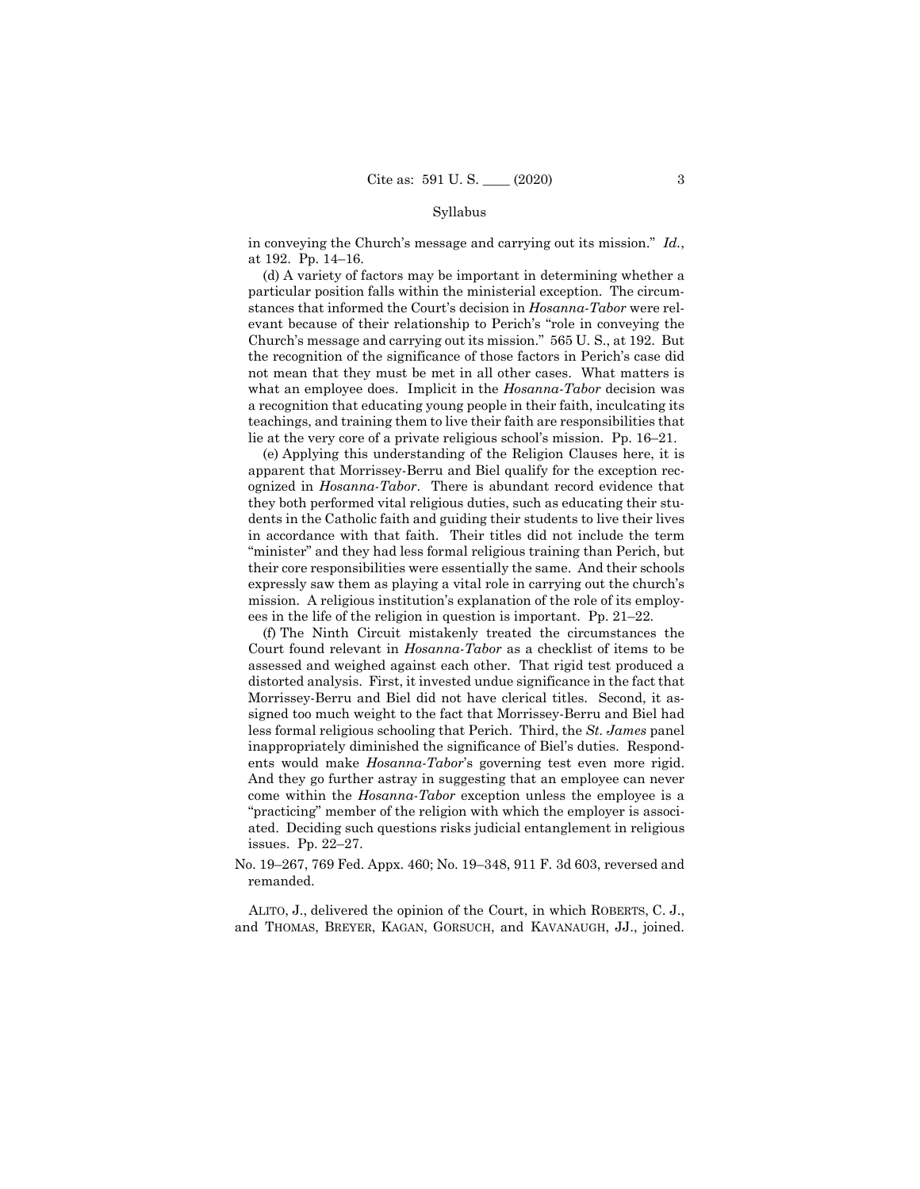### Syllabus

in conveying the Church's message and carrying out its mission." *Id.*, at 192. Pp. 14–16.

(d) A variety of factors may be important in determining whether a particular position falls within the ministerial exception. The circumstances that informed the Court's decision in *Hosanna-Tabor* were relevant because of their relationship to Perich's "role in conveying the Church's message and carrying out its mission." 565 U. S., at 192. But the recognition of the significance of those factors in Perich's case did not mean that they must be met in all other cases. What matters is what an employee does. Implicit in the *Hosanna-Tabor* decision was a recognition that educating young people in their faith, inculcating its teachings, and training them to live their faith are responsibilities that lie at the very core of a private religious school's mission. Pp. 16–21.

(e) Applying this understanding of the Religion Clauses here, it is apparent that Morrissey-Berru and Biel qualify for the exception recognized in *Hosanna-Tabor*. There is abundant record evidence that they both performed vital religious duties, such as educating their students in the Catholic faith and guiding their students to live their lives in accordance with that faith. Their titles did not include the term "minister" and they had less formal religious training than Perich, but their core responsibilities were essentially the same. And their schools expressly saw them as playing a vital role in carrying out the church's mission. A religious institution's explanation of the role of its employees in the life of the religion in question is important. Pp. 21–22.

(f) The Ninth Circuit mistakenly treated the circumstances the Court found relevant in *Hosanna-Tabor* as a checklist of items to be assessed and weighed against each other. That rigid test produced a distorted analysis. First, it invested undue significance in the fact that Morrissey-Berru and Biel did not have clerical titles. Second, it assigned too much weight to the fact that Morrissey-Berru and Biel had less formal religious schooling that Perich. Third, the *St. James* panel inappropriately diminished the significance of Biel's duties. Respondents would make *Hosanna-Tabor*'s governing test even more rigid. And they go further astray in suggesting that an employee can never come within the *Hosanna-Tabor* exception unless the employee is a "practicing" member of the religion with which the employer is associated. Deciding such questions risks judicial entanglement in religious issues. Pp. 22–27.

No. 19–267, 769 Fed. Appx. 460; No. 19–348, 911 F. 3d 603, reversed and remanded.

 ALITO, J., delivered the opinion of the Court, in which ROBERTS, C. J., and THOMAS, BREYER, KAGAN, GORSUCH, and KAVANAUGH, JJ., joined.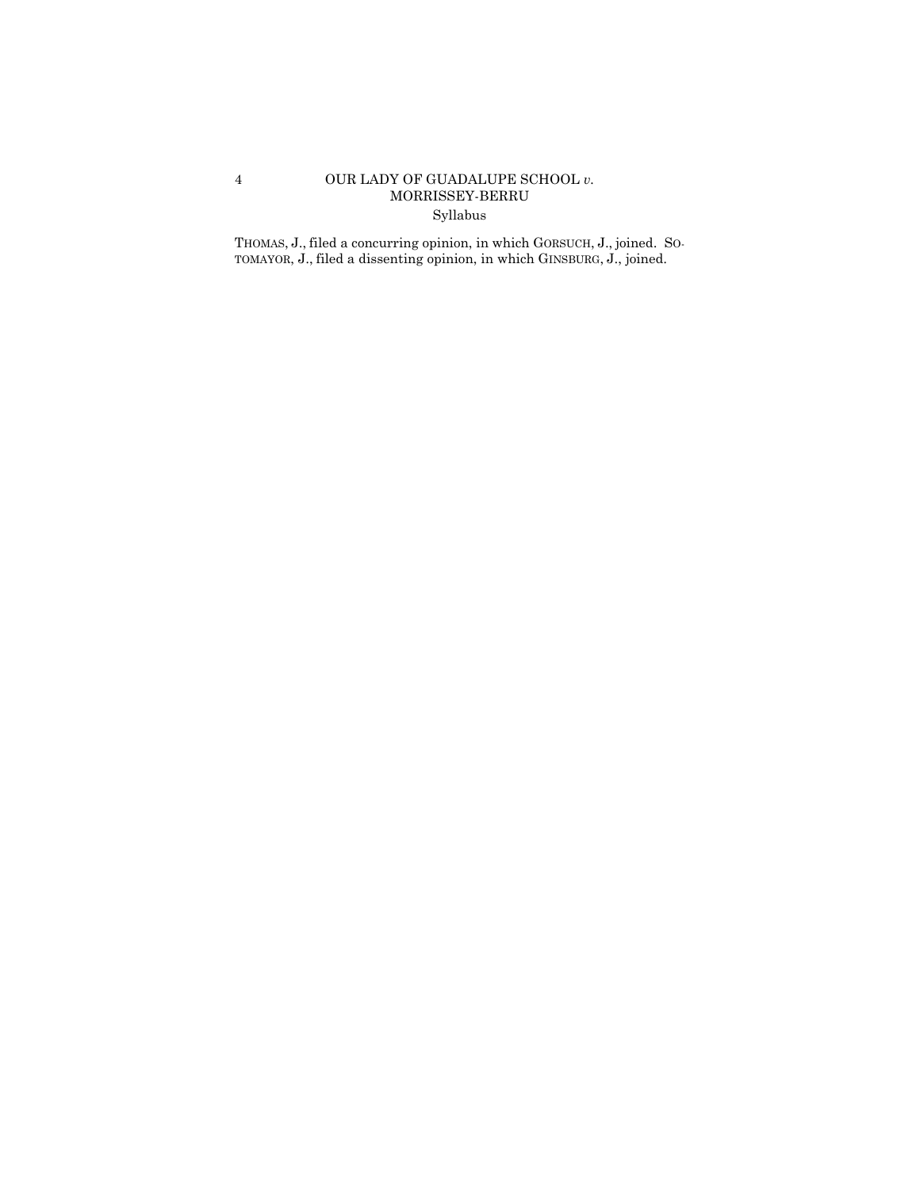# 4 OUR LADY OF GUADALUPE SCHOOL *v.* MORRISSEY-BERRU Syllabus

 THOMAS, J., filed a concurring opinion, in which GORSUCH, J., joined. SO-TOMAYOR, J., filed a dissenting opinion, in which GINSBURG, J., joined.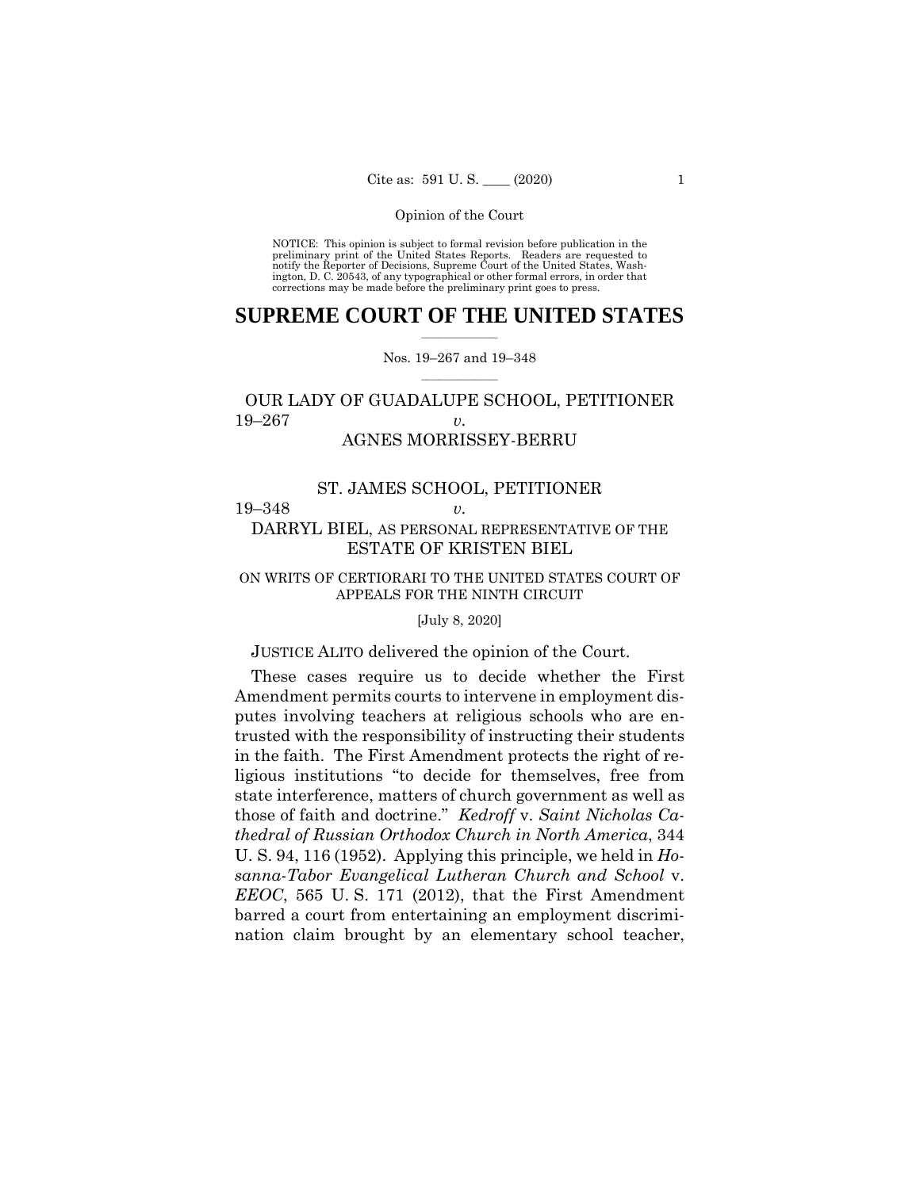NOTICE: This opinion is subject to formal revision before publication in the preliminary print of the United States Reports. Readers are requested to notify the Reporter of Decisions, Supreme Court of the United States, Wash-ington, D. C. 20543, of any typographical or other formal errors, in order that corrections may be made before the preliminary print goes to press.

# $\frac{1}{2}$  ,  $\frac{1}{2}$  ,  $\frac{1}{2}$  ,  $\frac{1}{2}$  ,  $\frac{1}{2}$  ,  $\frac{1}{2}$  ,  $\frac{1}{2}$ **SUPREME COURT OF THE UNITED STATES**

### $\frac{1}{2}$  ,  $\frac{1}{2}$  ,  $\frac{1}{2}$  ,  $\frac{1}{2}$  ,  $\frac{1}{2}$  ,  $\frac{1}{2}$ Nos. 19–267 and 19–348

# OUR LADY OF GUADALUPE SCHOOL, PETITIONER 19–267 *v.*  AGNES MORRISSEY-BERRU

### ST. JAMES SCHOOL, PETITIONER

19–348 *v.* 

# DARRYL BIEL, AS PERSONAL REPRESENTATIVE OF THE ESTATE OF KRISTEN BIEL

# ON WRITS OF CERTIORARI TO THE UNITED STATES COURT OF APPEALS FOR THE NINTH CIRCUIT

[July 8, 2020]

# JUSTICE ALITO delivered the opinion of the Court.

These cases require us to decide whether the First Amendment permits courts to intervene in employment disputes involving teachers at religious schools who are entrusted with the responsibility of instructing their students in the faith. The First Amendment protects the right of religious institutions "to decide for themselves, free from state interference, matters of church government as well as those of faith and doctrine." *Kedroff* v. *Saint Nicholas Cathedral of Russian Orthodox Church in North America*, 344 U. S. 94, 116 (1952). Applying this principle, we held in *Hosanna-Tabor Evangelical Lutheran Church and School* v. *EEOC*, 565 U. S. 171 (2012), that the First Amendment barred a court from entertaining an employment discrimination claim brought by an elementary school teacher,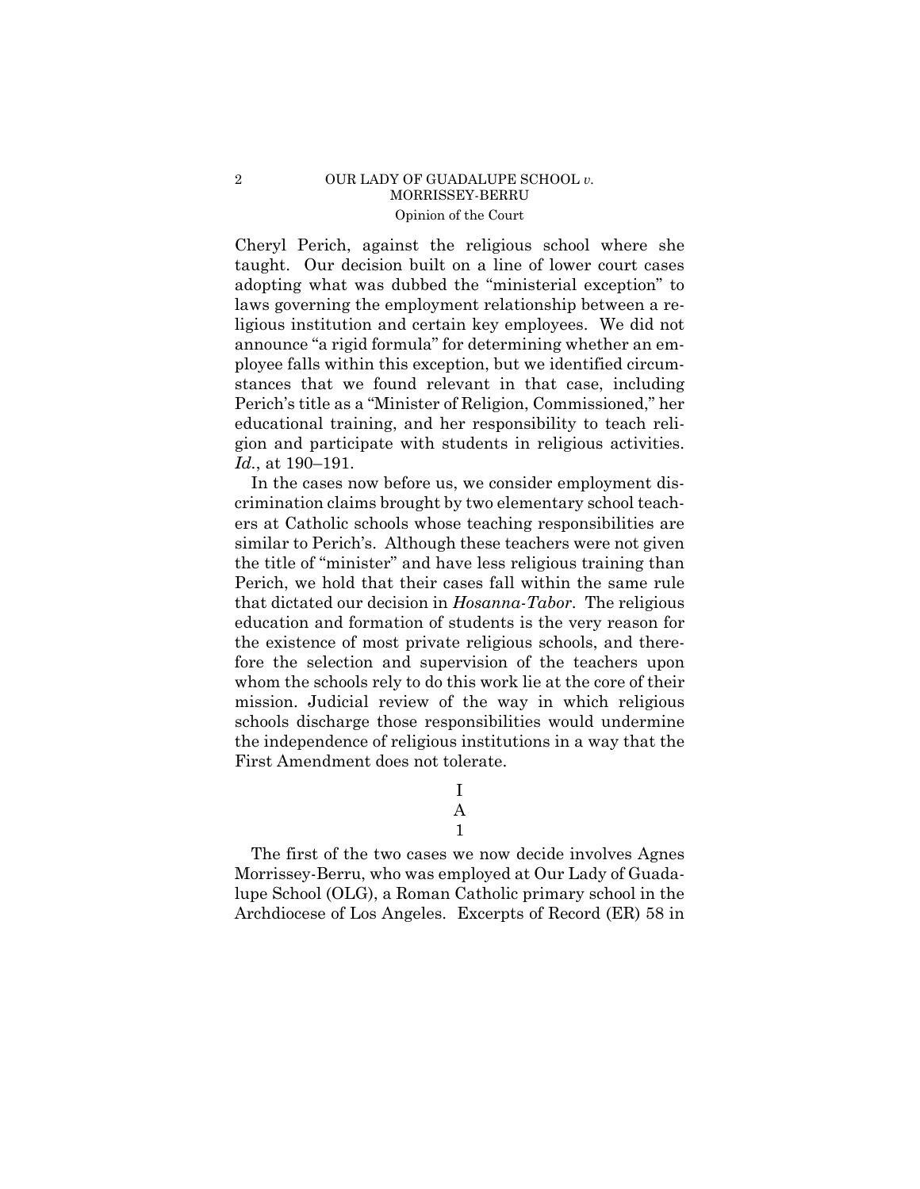# 2 OUR LADY OF GUADALUPE SCHOOL *v.*  MORRISSEY-BERRU Opinion of the Court

Cheryl Perich, against the religious school where she taught. Our decision built on a line of lower court cases adopting what was dubbed the "ministerial exception" to laws governing the employment relationship between a religious institution and certain key employees. We did not announce "a rigid formula" for determining whether an employee falls within this exception, but we identified circumstances that we found relevant in that case, including Perich's title as a "Minister of Religion, Commissioned," her educational training, and her responsibility to teach religion and participate with students in religious activities. *Id.*, at 190–191.

In the cases now before us, we consider employment discrimination claims brought by two elementary school teachers at Catholic schools whose teaching responsibilities are similar to Perich's. Although these teachers were not given the title of "minister" and have less religious training than Perich, we hold that their cases fall within the same rule that dictated our decision in *Hosanna-Tabor*. The religious education and formation of students is the very reason for the existence of most private religious schools, and therefore the selection and supervision of the teachers upon whom the schools rely to do this work lie at the core of their mission. Judicial review of the way in which religious schools discharge those responsibilities would undermine the independence of religious institutions in a way that the First Amendment does not tolerate.

> I A 1

The first of the two cases we now decide involves Agnes Morrissey-Berru, who was employed at Our Lady of Guadalupe School (OLG), a Roman Catholic primary school in the Archdiocese of Los Angeles. Excerpts of Record (ER) 58 in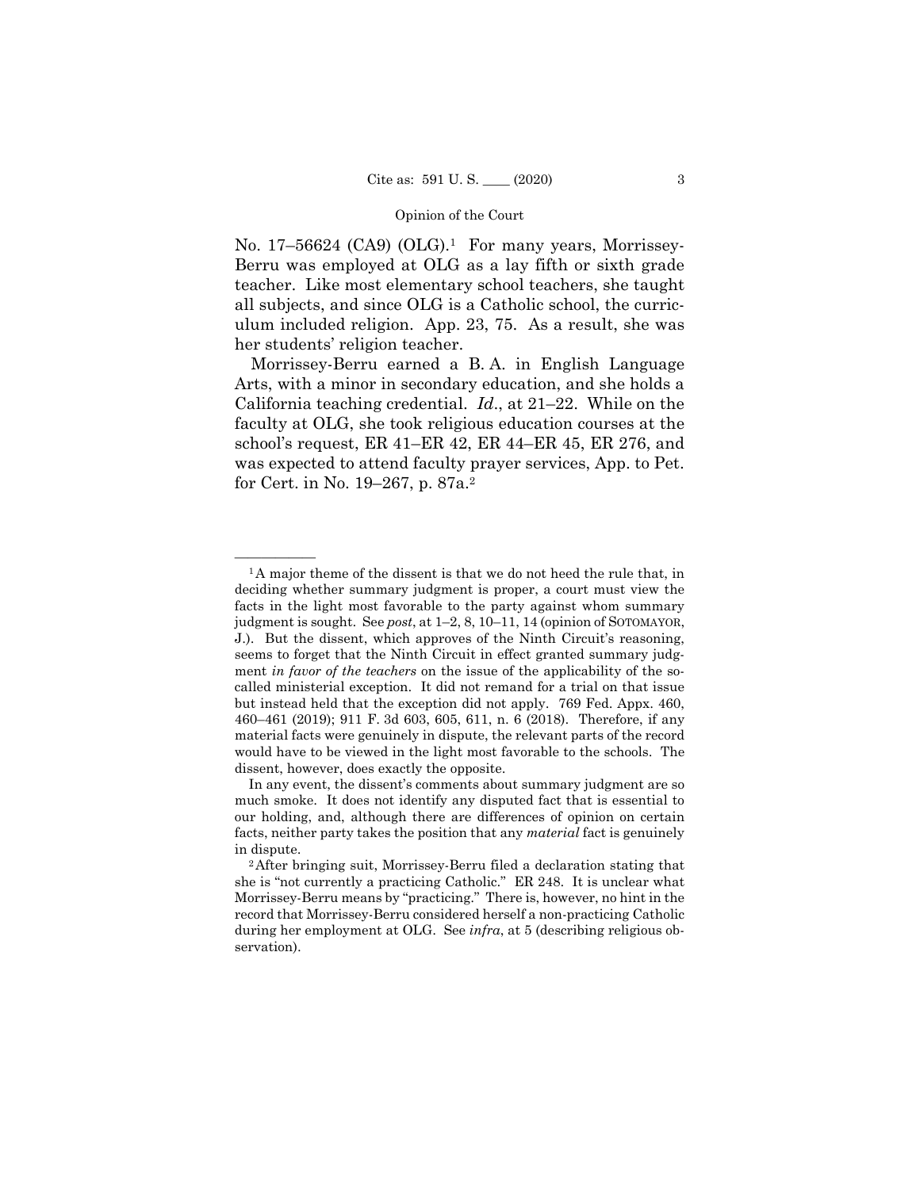No. 17–56624 (CA9) (OLG).<sup>1</sup> For many years, Morrissey-Berru was employed at OLG as a lay fifth or sixth grade teacher. Like most elementary school teachers, she taught all subjects, and since OLG is a Catholic school, the curriculum included religion. App. 23, 75. As a result, she was her students' religion teacher.

Morrissey-Berru earned a B. A. in English Language Arts, with a minor in secondary education, and she holds a California teaching credential. *Id*., at 21–22. While on the faculty at OLG, she took religious education courses at the school's request, ER 41–ER 42, ER 44–ER 45, ER 276, and was expected to attend faculty prayer services, App. to Pet. for Cert. in No. 19–267, p. 87a.2

 deciding whether summary judgment is proper, a court must view the  ${}^{1}$ A major theme of the dissent is that we do not heed the rule that, in facts in the light most favorable to the party against whom summary judgment is sought. See *post*, at 1–2, 8, 10–11, 14 (opinion of SOTOMAYOR, J.). But the dissent, which approves of the Ninth Circuit's reasoning, seems to forget that the Ninth Circuit in effect granted summary judgment *in favor of the teachers* on the issue of the applicability of the socalled ministerial exception. It did not remand for a trial on that issue but instead held that the exception did not apply. 769 Fed. Appx. 460, 460–461 (2019); 911 F. 3d 603, 605, 611, n. 6 (2018). Therefore, if any material facts were genuinely in dispute, the relevant parts of the record would have to be viewed in the light most favorable to the schools. The dissent, however, does exactly the opposite.

In any event, the dissent's comments about summary judgment are so much smoke. It does not identify any disputed fact that is essential to our holding, and, although there are differences of opinion on certain facts, neither party takes the position that any *material* fact is genuinely

in dispute. 2After bringing suit, Morrissey-Berru filed a declaration stating that she is "not currently a practicing Catholic." ER 248. It is unclear what Morrissey-Berru means by "practicing." There is, however, no hint in the record that Morrissey-Berru considered herself a non-practicing Catholic during her employment at OLG. See *infra*, at 5 (describing religious observation).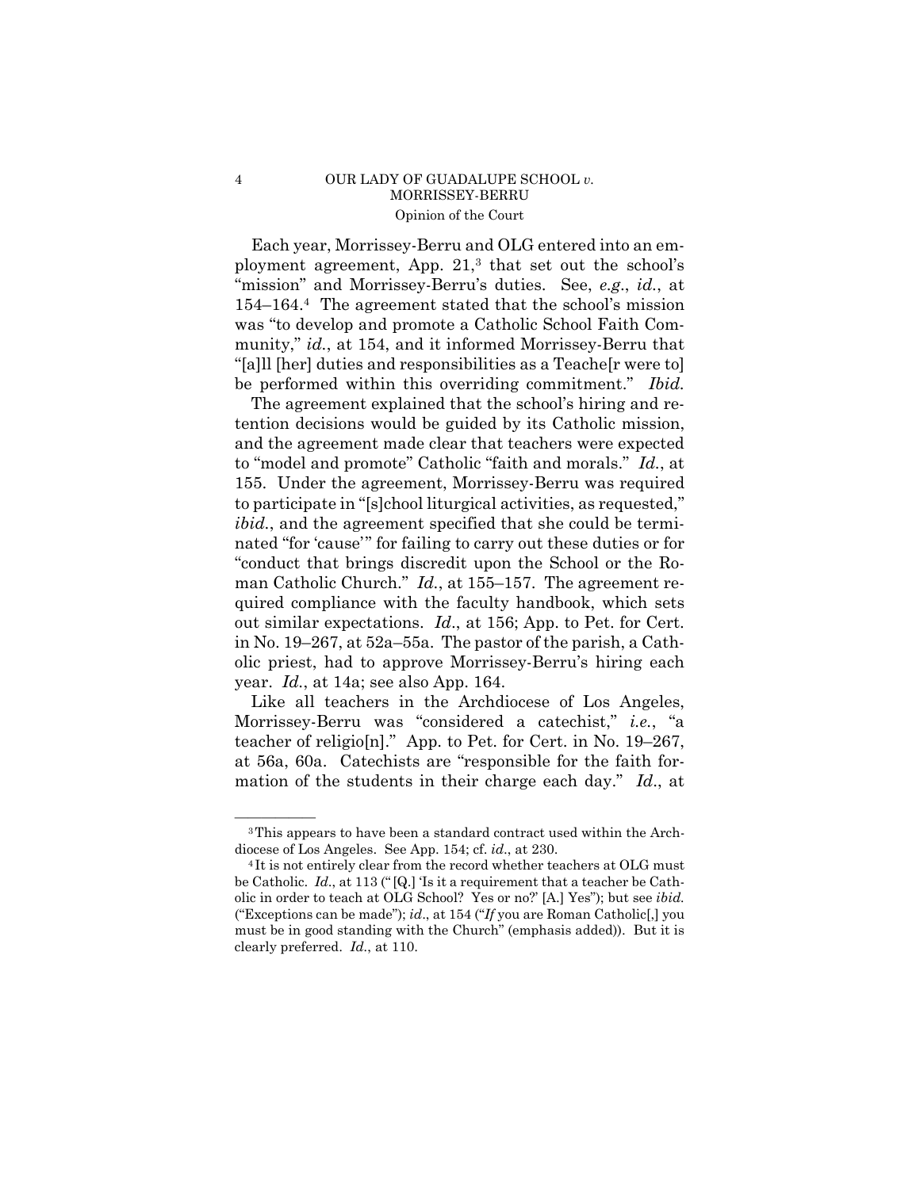# 4 OUR LADY OF GUADALUPE SCHOOL *v.*  MORRISSEY-BERRU Opinion of the Court

Each year, Morrissey-Berru and OLG entered into an employment agreement, App. 21,3 that set out the school's "mission" and Morrissey-Berru's duties. See, *e.g*., *id.*, at 154–164.4 The agreement stated that the school's mission was "to develop and promote a Catholic School Faith Community," *id.*, at 154, and it informed Morrissey-Berru that "[a]ll [her] duties and responsibilities as a Teache[r were to] be performed within this overriding commitment." *Ibid.* 

The agreement explained that the school's hiring and retention decisions would be guided by its Catholic mission, and the agreement made clear that teachers were expected to "model and promote" Catholic "faith and morals." *Id.*, at 155. Under the agreement, Morrissey-Berru was required to participate in "[s]chool liturgical activities, as requested," *ibid.*, and the agreement specified that she could be terminated "for 'cause'" for failing to carry out these duties or for "conduct that brings discredit upon the School or the Roman Catholic Church." *Id.*, at 155–157. The agreement required compliance with the faculty handbook, which sets out similar expectations. *Id*., at 156; App. to Pet. for Cert. in No. 19–267, at 52a–55a. The pastor of the parish, a Catholic priest, had to approve Morrissey-Berru's hiring each year. *Id.*, at 14a; see also App. 164.

Like all teachers in the Archdiocese of Los Angeles, Morrissey-Berru was "considered a catechist," *i.e.*, "a teacher of religio[n]." App. to Pet. for Cert. in No. 19–267, at 56a, 60a. Catechists are "responsible for the faith formation of the students in their charge each day." *Id*., at

<sup>&</sup>lt;sup>3</sup>This appears to have been a standard contract used within the Archdiocese of Los Angeles. See App. 154; cf. *id.*, at 230.<br><sup>4</sup> It is not entirely clear from the record whether teachers at OLG must

be Catholic. *Id*., at 113 (" [Q.] 'Is it a requirement that a teacher be Catholic in order to teach at OLG School? Yes or no?' [A.] Yes"); but see *ibid.*  ("Exceptions can be made"); *id*., at 154 ("*If* you are Roman Catholic[,] you must be in good standing with the Church" (emphasis added)). But it is clearly preferred. *Id.*, at 110.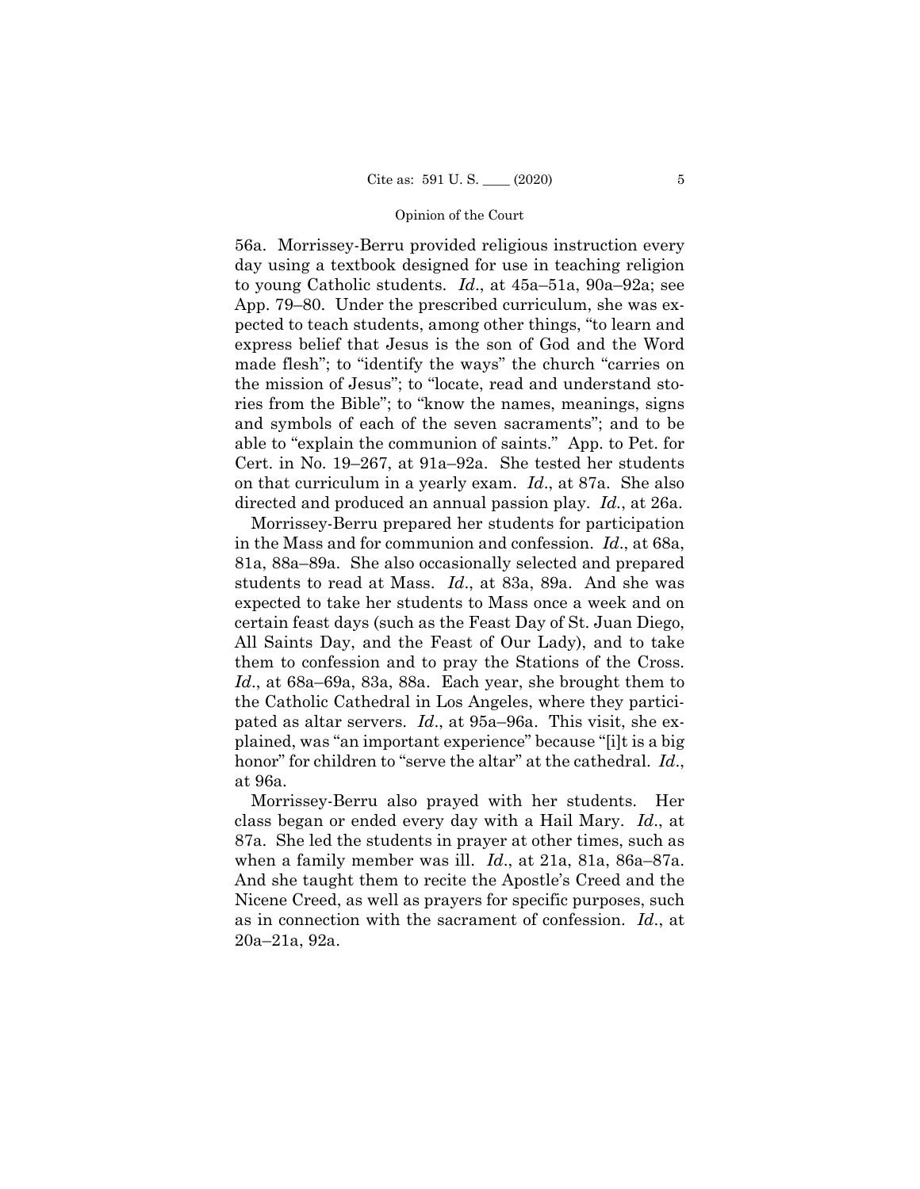directed and produced an annual passion play. *Id.*, at 26a. 56a. Morrissey-Berru provided religious instruction every day using a textbook designed for use in teaching religion to young Catholic students. *Id*., at 45a–51a, 90a–92a; see App. 79–80. Under the prescribed curriculum, she was expected to teach students, among other things, "to learn and express belief that Jesus is the son of God and the Word made flesh"; to "identify the ways" the church "carries on the mission of Jesus"; to "locate, read and understand stories from the Bible"; to "know the names, meanings, signs and symbols of each of the seven sacraments"; and to be able to "explain the communion of saints." App. to Pet. for Cert. in No. 19–267, at 91a–92a. She tested her students on that curriculum in a yearly exam. *Id*., at 87a. She also

 students to read at Mass. *Id*., at 83a, 89a. And she was Morrissey-Berru prepared her students for participation in the Mass and for communion and confession. *Id*., at 68a, 81a, 88a–89a. She also occasionally selected and prepared expected to take her students to Mass once a week and on certain feast days (such as the Feast Day of St. Juan Diego, All Saints Day, and the Feast of Our Lady), and to take them to confession and to pray the Stations of the Cross. *Id*., at 68a–69a, 83a, 88a. Each year, she brought them to the Catholic Cathedral in Los Angeles, where they participated as altar servers. *Id*., at 95a–96a. This visit, she explained, was "an important experience" because "[i]t is a big honor" for children to "serve the altar" at the cathedral. *Id*., at 96a.

Morrissey-Berru also prayed with her students. Her class began or ended every day with a Hail Mary. *Id*., at 87a. She led the students in prayer at other times, such as when a family member was ill. *Id*., at 21a, 81a, 86a–87a. And she taught them to recite the Apostle's Creed and the Nicene Creed, as well as prayers for specific purposes, such as in connection with the sacrament of confession. *Id*., at 20a–21a, 92a.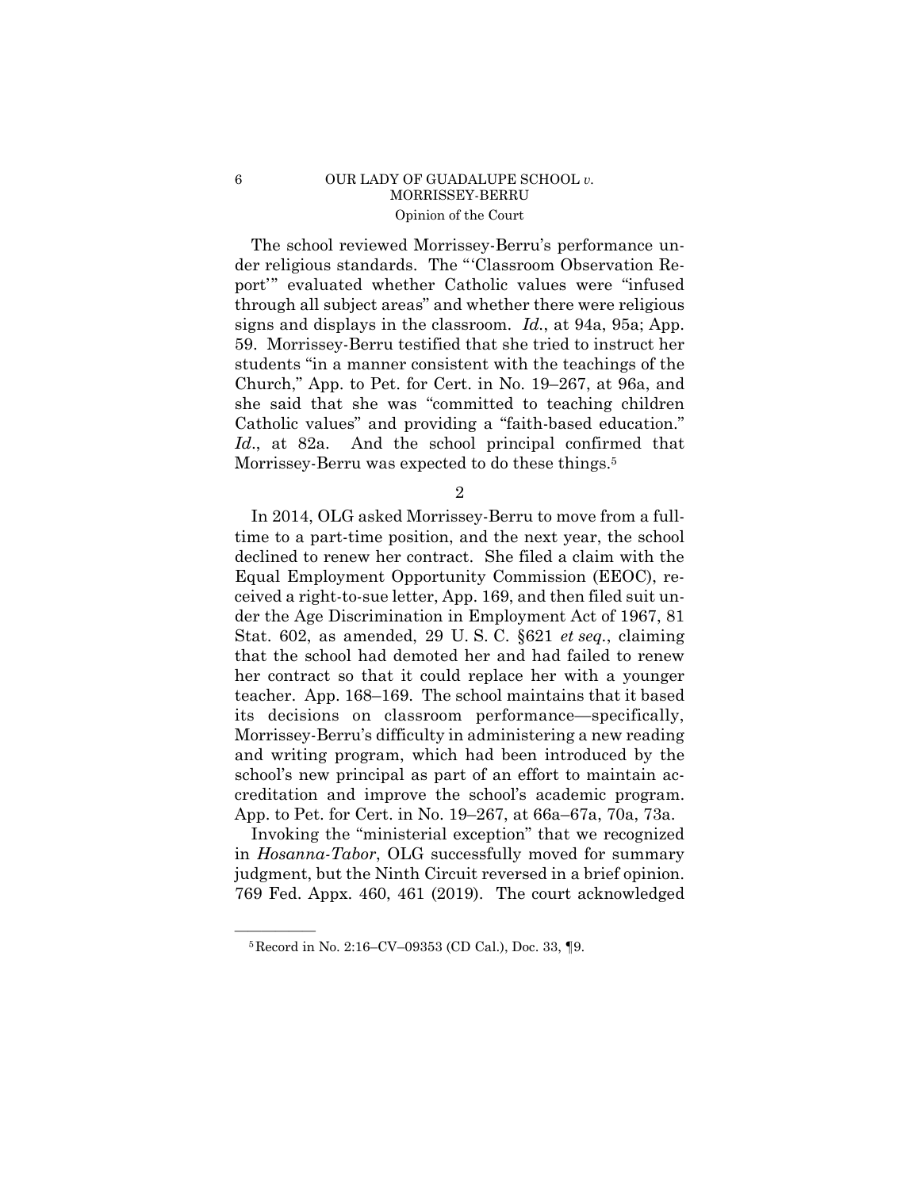# 6 OUR LADY OF GUADALUPE SCHOOL *v.*  MORRISSEY-BERRU Opinion of the Court

The school reviewed Morrissey-Berru's performance under religious standards. The "'Classroom Observation Report'" evaluated whether Catholic values were "infused through all subject areas" and whether there were religious signs and displays in the classroom. *Id.*, at 94a, 95a; App. 59. Morrissey-Berru testified that she tried to instruct her students "in a manner consistent with the teachings of the Church," App. to Pet. for Cert. in No. 19–267, at 96a, and she said that she was "committed to teaching children Catholic values" and providing a "faith-based education." *Id*., at 82a. And the school principal confirmed that Morrissey-Berru was expected to do these things.<sup>5</sup>

2

 its decisions on classroom performance—specifically, In 2014, OLG asked Morrissey-Berru to move from a fulltime to a part-time position, and the next year, the school declined to renew her contract. She filed a claim with the Equal Employment Opportunity Commission (EEOC), received a right-to-sue letter, App. 169, and then filed suit under the Age Discrimination in Employment Act of 1967, 81 Stat. 602, as amended, 29 U. S. C. §621 *et seq.*, claiming that the school had demoted her and had failed to renew her contract so that it could replace her with a younger teacher. App. 168–169. The school maintains that it based Morrissey-Berru's difficulty in administering a new reading and writing program, which had been introduced by the school's new principal as part of an effort to maintain accreditation and improve the school's academic program. App. to Pet. for Cert. in No. 19–267, at 66a–67a, 70a, 73a.

Invoking the "ministerial exception" that we recognized in *Hosanna-Tabor*, OLG successfully moved for summary judgment, but the Ninth Circuit reversed in a brief opinion. 769 Fed. Appx. 460, 461 (2019). The court acknowledged

 ${}^{5}$ Record in No. 2:16–CV–09353 (CD Cal.), Doc. 33, ¶9.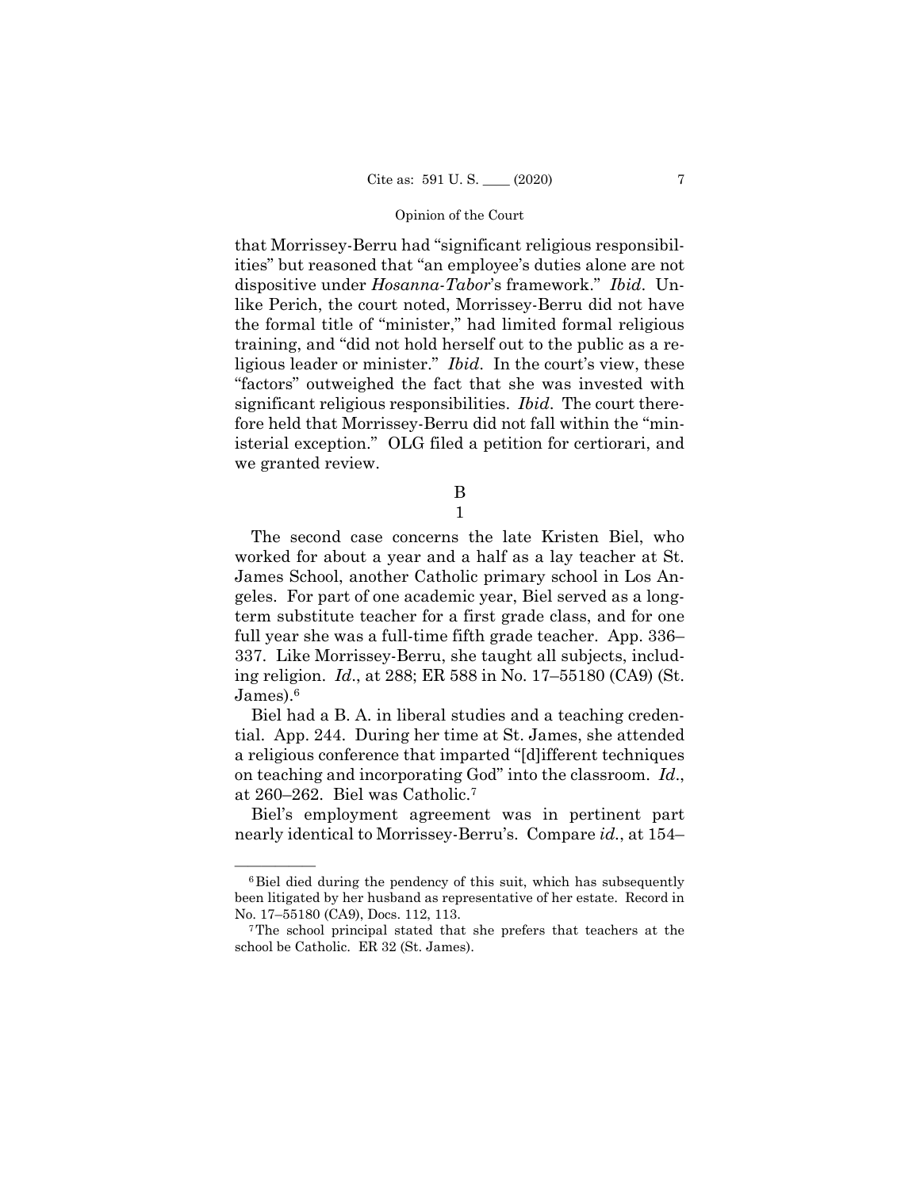that Morrissey-Berru had "significant religious responsibilities" but reasoned that "an employee's duties alone are not dispositive under *Hosanna-Tabor*'s framework." *Ibid*. Unlike Perich, the court noted, Morrissey-Berru did not have the formal title of "minister," had limited formal religious training, and "did not hold herself out to the public as a religious leader or minister." *Ibid*. In the court's view, these "factors" outweighed the fact that she was invested with significant religious responsibilities. *Ibid*. The court therefore held that Morrissey-Berru did not fall within the "ministerial exception." OLG filed a petition for certiorari, and we granted review.

B

 ing religion. *Id*., at 288; ER 588 in No. 17–55180 (CA9) (St. 1 The second case concerns the late Kristen Biel, who worked for about a year and a half as a lay teacher at St. James School, another Catholic primary school in Los Angeles. For part of one academic year, Biel served as a longterm substitute teacher for a first grade class, and for one full year she was a full-time fifth grade teacher. App. 336– 337. Like Morrissey-Berru, she taught all subjects, includ-

James).6

Biel had a B. A. in liberal studies and a teaching credential. App. 244. During her time at St. James, she attended a religious conference that imparted "[d]ifferent techniques on teaching and incorporating God" into the classroom. *Id*., at 260–262. Biel was Catholic.7

Biel's employment agreement was in pertinent part nearly identical to Morrissey-Berru's. Compare *id.*, at 154–

 $6Biel died during the pendency of this suit, which has subsequently$ been litigated by her husband as representative of her estate. Record in No. 17–55180 (CA9), Docs. 112, 113. 7The school principal stated that she prefers that teachers at the

school be Catholic. ER 32 (St. James).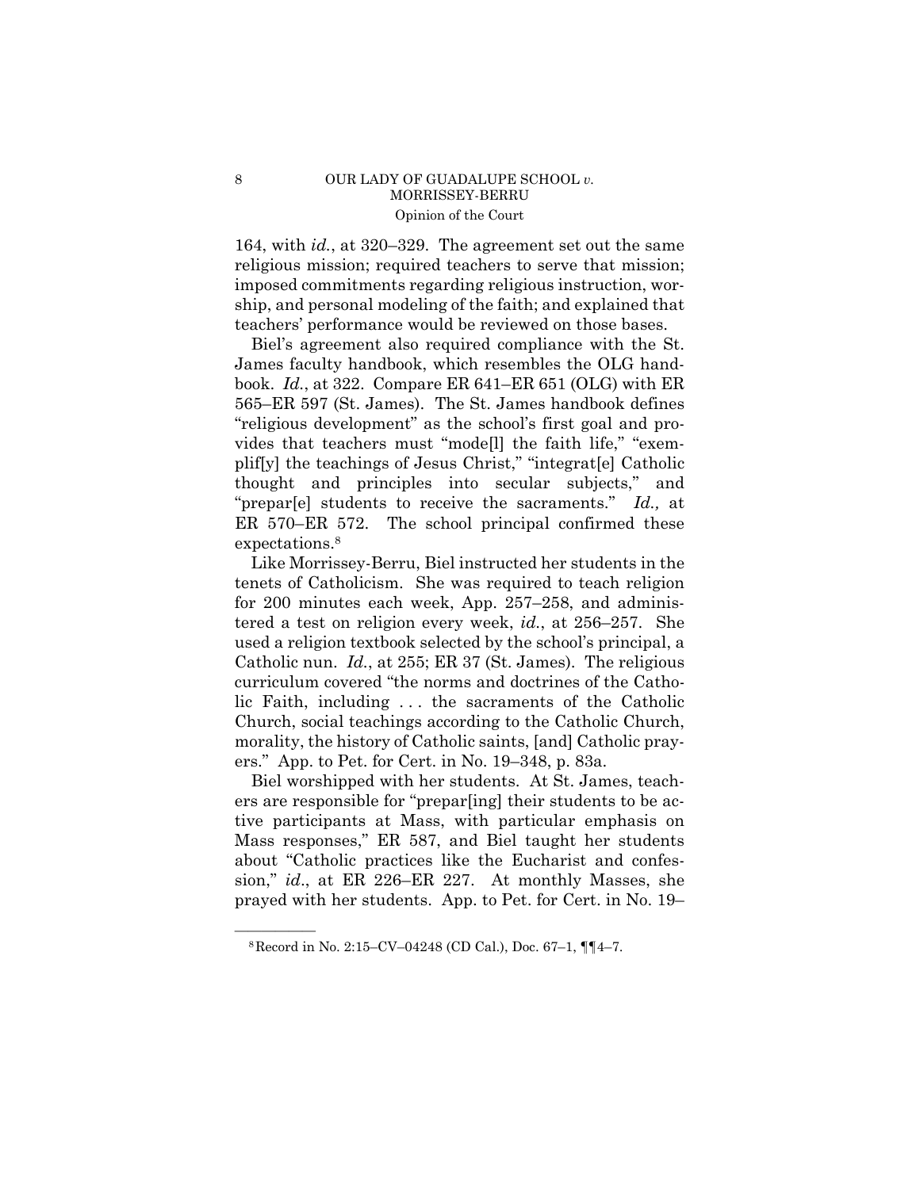# 8 OUR LADY OF GUADALUPE SCHOOL *v*. MORRISSEY-BERRU Opinion of the Court

164, with *id.*, at 320–329. The agreement set out the same religious mission; required teachers to serve that mission; imposed commitments regarding religious instruction, worship, and personal modeling of the faith; and explained that teachers' performance would be reviewed on those bases.

Biel's agreement also required compliance with the St. James faculty handbook, which resembles the OLG handbook. *Id.*, at 322. Compare ER 641–ER 651 (OLG) with ER 565–ER 597 (St. James). The St. James handbook defines "religious development" as the school's first goal and provides that teachers must "mode[l] the faith life," "exemplif[y] the teachings of Jesus Christ," "integrat[e] Catholic thought and principles into secular subjects," and "prepar[e] students to receive the sacraments." *Id.,* at ER 570–ER 572. The school principal confirmed these expectations.8

Like Morrissey-Berru, Biel instructed her students in the tenets of Catholicism. She was required to teach religion for 200 minutes each week, App. 257–258, and administered a test on religion every week, *id.*, at 256–257. She used a religion textbook selected by the school's principal, a Catholic nun. *Id.*, at 255; ER 37 (St. James). The religious curriculum covered "the norms and doctrines of the Catholic Faith, including . . . the sacraments of the Catholic Church, social teachings according to the Catholic Church, morality, the history of Catholic saints, [and] Catholic prayers." App. to Pet. for Cert. in No. 19–348, p. 83a.

Biel worshipped with her students. At St. James, teachers are responsible for "prepar[ing] their students to be active participants at Mass, with particular emphasis on Mass responses," ER 587, and Biel taught her students about "Catholic practices like the Eucharist and confession," *id*., at ER 226–ER 227. At monthly Masses, she prayed with her students. App. to Pet. for Cert. in No. 19–

 $8$ Record in No. 2:15–CV–04248 (CD Cal.), Doc. 67–1,  $\P$  $[4-7.$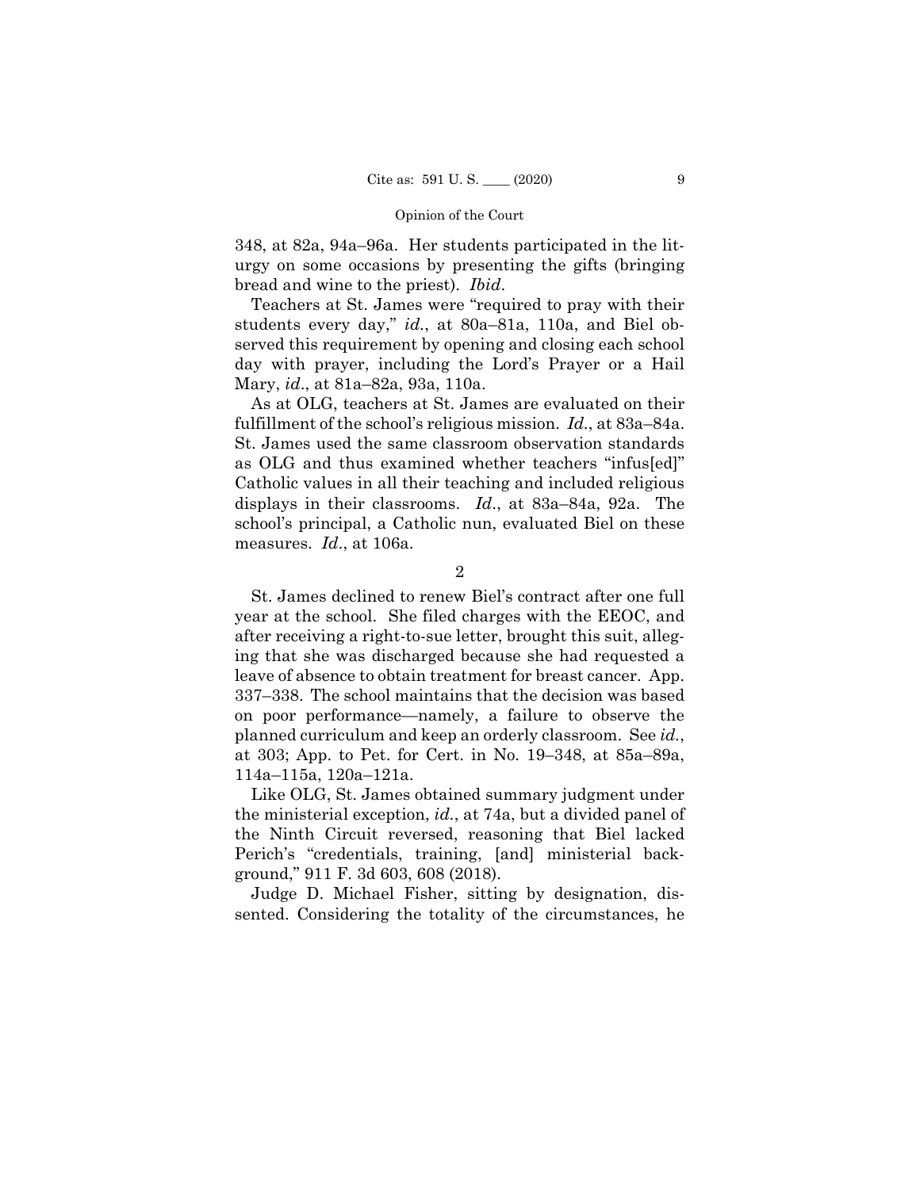348, at 82a, 94a–96a. Her students participated in the liturgy on some occasions by presenting the gifts (bringing bread and wine to the priest). *Ibid*.

Teachers at St. James were "required to pray with their students every day," *id.*, at 80a–81a, 110a, and Biel observed this requirement by opening and closing each school day with prayer, including the Lord's Prayer or a Hail Mary, *id*., at 81a–82a, 93a, 110a.

 fulfillment of the school's religious mission. *Id.*, at 83a–84a. As at OLG, teachers at St. James are evaluated on their St. James used the same classroom observation standards as OLG and thus examined whether teachers "infus[ed]" Catholic values in all their teaching and included religious displays in their classrooms. *Id*., at 83a–84a, 92a. The school's principal, a Catholic nun, evaluated Biel on these measures. *Id*., at 106a.

2

St. James declined to renew Biel's contract after one full year at the school. She filed charges with the EEOC, and after receiving a right-to-sue letter, brought this suit, alleging that she was discharged because she had requested a leave of absence to obtain treatment for breast cancer. App. 337–338. The school maintains that the decision was based on poor performance—namely, a failure to observe the planned curriculum and keep an orderly classroom. See *id.*, at 303; App. to Pet. for Cert. in No. 19–348, at 85a–89a, 114a–115a, 120a–121a.

Like OLG, St. James obtained summary judgment under the ministerial exception, *id.*, at 74a, but a divided panel of the Ninth Circuit reversed, reasoning that Biel lacked Perich's "credentials, training, [and] ministerial background," 911 F. 3d 603, 608 (2018).

Judge D. Michael Fisher, sitting by designation, dissented. Considering the totality of the circumstances, he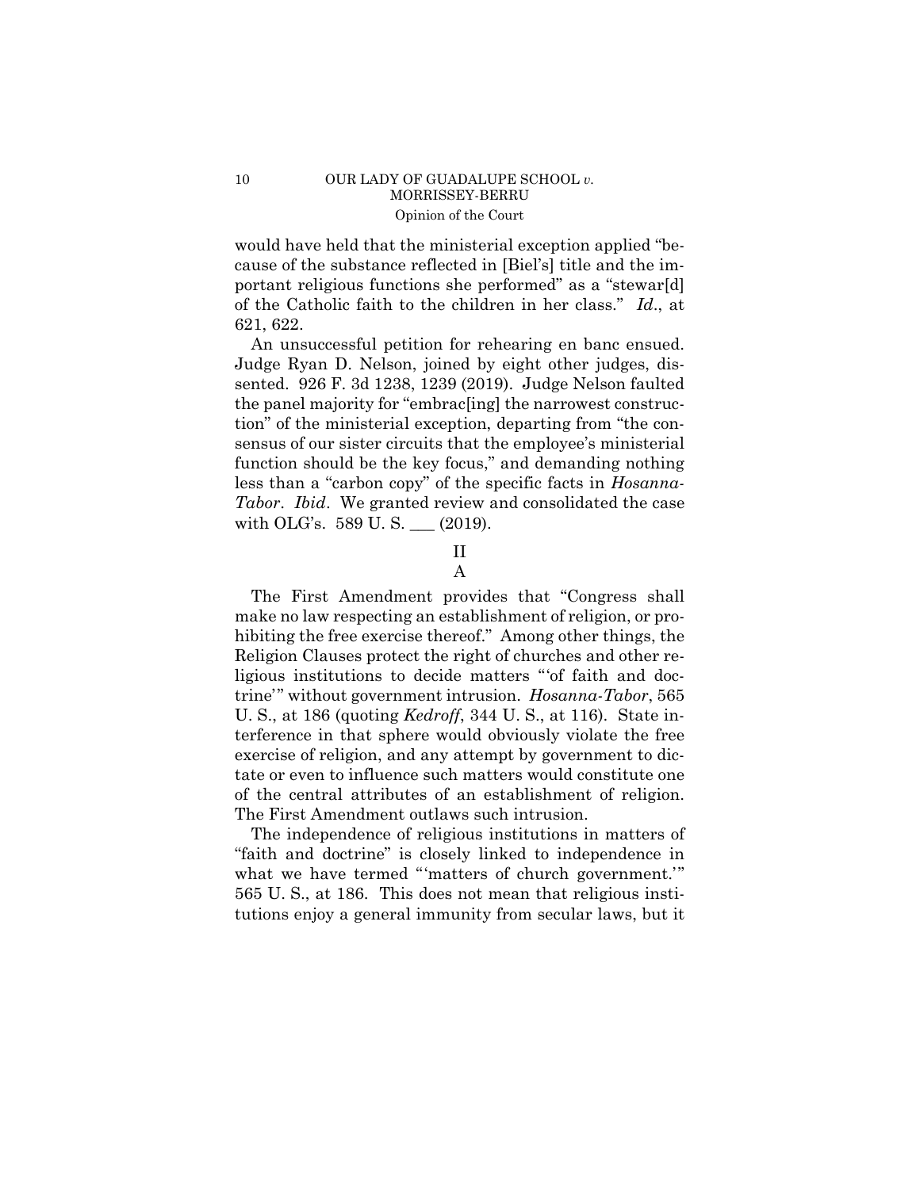# 10 OUR LADY OF GUADALUPE SCHOOL *v*. MORRISSEY-BERRU Opinion of the Court

would have held that the ministerial exception applied "because of the substance reflected in [Biel's] title and the important religious functions she performed" as a "stewar[d] of the Catholic faith to the children in her class." *Id*., at 621, 622.

An unsuccessful petition for rehearing en banc ensued. Judge Ryan D. Nelson, joined by eight other judges, dissented. 926 F. 3d 1238, 1239 (2019). Judge Nelson faulted the panel majority for "embrac[ing] the narrowest construction" of the ministerial exception, departing from "the consensus of our sister circuits that the employee's ministerial function should be the key focus," and demanding nothing less than a "carbon copy" of the specific facts in *Hosanna-Tabor*. *Ibid*. We granted review and consolidated the case with OLG's. 589 U. S. \_\_\_ (2019).

# II A

The First Amendment provides that "Congress shall make no law respecting an establishment of religion, or prohibiting the free exercise thereof." Among other things, the Religion Clauses protect the right of churches and other religious institutions to decide matters "'of faith and doctrine'" without government intrusion. *Hosanna-Tabor*, 565 U. S., at 186 (quoting *Kedroff*, 344 U. S., at 116). State interference in that sphere would obviously violate the free exercise of religion, and any attempt by government to dictate or even to influence such matters would constitute one of the central attributes of an establishment of religion. The First Amendment outlaws such intrusion.

The independence of religious institutions in matters of "faith and doctrine" is closely linked to independence in what we have termed "'matters of church government.'" 565 U. S., at 186. This does not mean that religious institutions enjoy a general immunity from secular laws, but it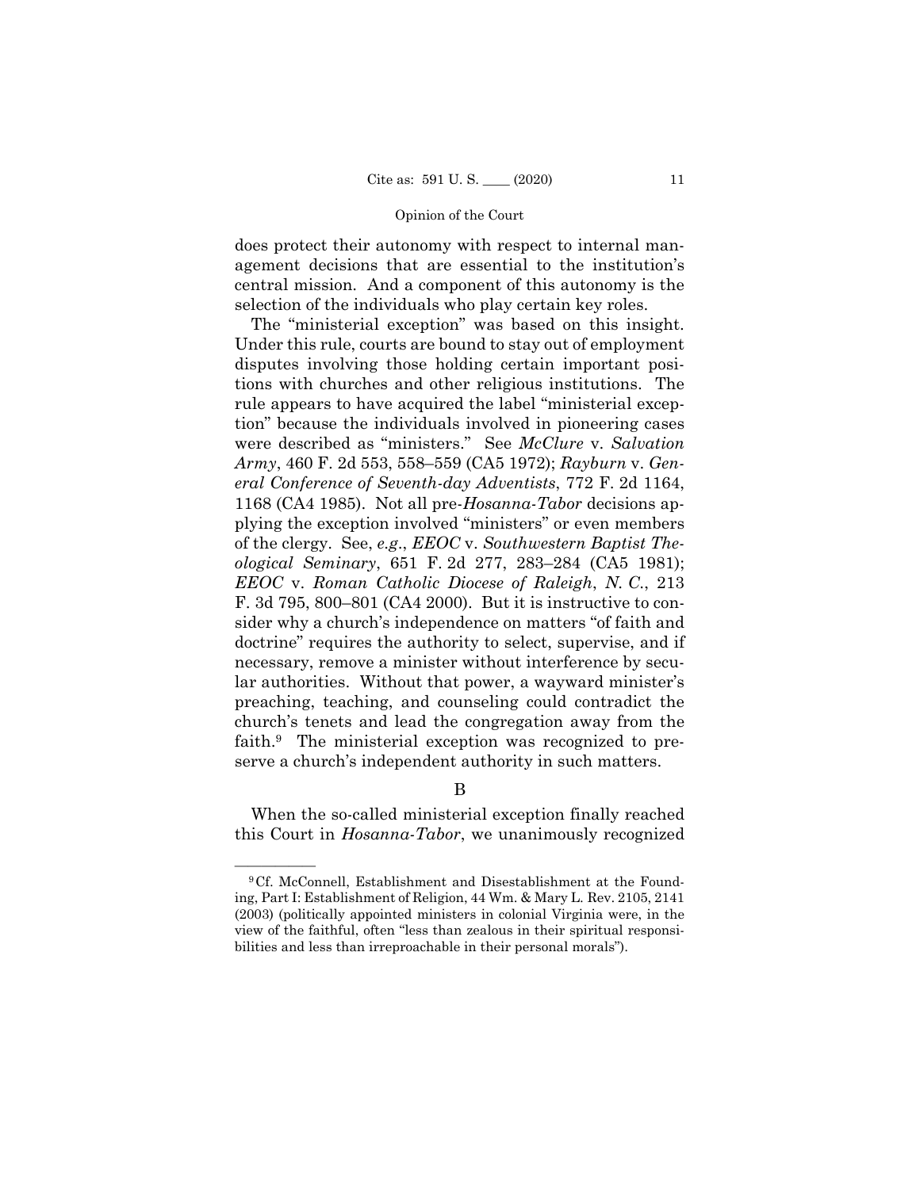does protect their autonomy with respect to internal management decisions that are essential to the institution's central mission. And a component of this autonomy is the selection of the individuals who play certain key roles.

The "ministerial exception" was based on this insight. Under this rule, courts are bound to stay out of employment disputes involving those holding certain important positions with churches and other religious institutions. The rule appears to have acquired the label "ministerial exception" because the individuals involved in pioneering cases were described as "ministers." See *McClure* v. *Salvation Army*, 460 F. 2d 553, 558–559 (CA5 1972); *Rayburn* v. *General Conference of Seventh-day Adventists*, 772 F. 2d 1164, 1168 (CA4 1985). Not all pre-*Hosanna-Tabor* decisions applying the exception involved "ministers" or even members of the clergy. See, *e.g*., *EEOC* v. *Southwestern Baptist Theological Seminary*, 651 F. 2d 277, 283–284 (CA5 1981); *EEOC* v. *Roman Catholic Diocese of Raleigh*, *N. C*., 213 F. 3d 795, 800–801 (CA4 2000). But it is instructive to consider why a church's independence on matters "of faith and doctrine" requires the authority to select, supervise, and if necessary, remove a minister without interference by secular authorities. Without that power, a wayward minister's preaching, teaching, and counseling could contradict the church's tenets and lead the congregation away from the faith.9 The ministerial exception was recognized to preserve a church's independent authority in such matters.

# B

When the so-called ministerial exception finally reached this Court in *Hosanna-Tabor*, we unanimously recognized

<sup>&</sup>lt;sup>9</sup>Cf. McConnell, Establishment and Disestablishment at the Founding, Part I: Establishment of Religion, 44 Wm. & Mary L. Rev. 2105, 2141 (2003) (politically appointed ministers in colonial Virginia were, in the view of the faithful, often "less than zealous in their spiritual responsibilities and less than irreproachable in their personal morals").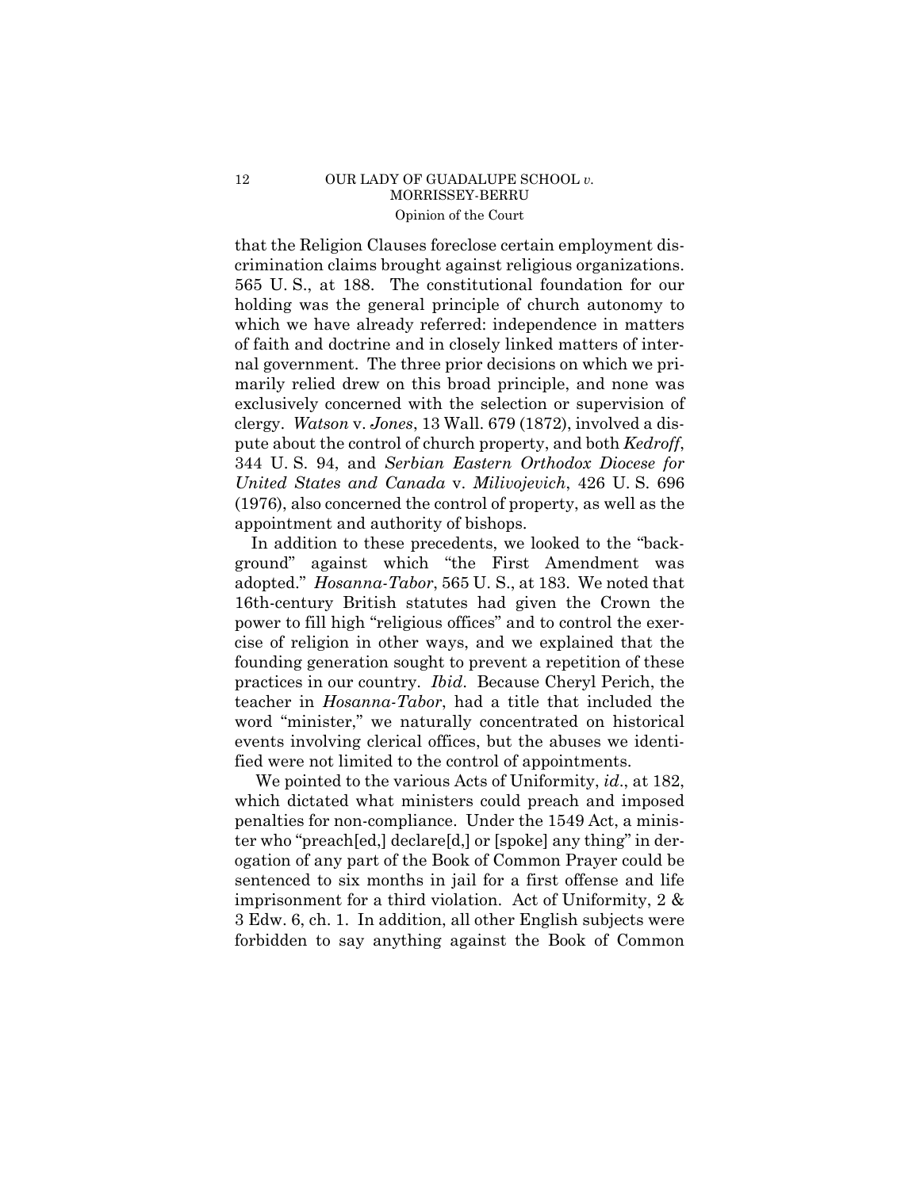### 12 OUR LADY OF GUADALUPE SCHOOL *v*. MORRISSEY-BERRU Opinion of the Court

that the Religion Clauses foreclose certain employment discrimination claims brought against religious organizations. 565 U. S., at 188. The constitutional foundation for our holding was the general principle of church autonomy to which we have already referred: independence in matters of faith and doctrine and in closely linked matters of internal government. The three prior decisions on which we primarily relied drew on this broad principle, and none was exclusively concerned with the selection or supervision of clergy. *Watson* v. *Jones*, 13 Wall. 679 (1872), involved a dispute about the control of church property, and both *Kedroff*, 344 U. S. 94, and *Serbian Eastern Orthodox Diocese for United States and Canada* v. *Milivojevich*, 426 U. S. 696 (1976), also concerned the control of property, as well as the appointment and authority of bishops.

 adopted." *Hosanna-Tabor*, 565 U. S., at 183. We noted that In addition to these precedents, we looked to the "background" against which "the First Amendment was 16th-century British statutes had given the Crown the power to fill high "religious offices" and to control the exercise of religion in other ways, and we explained that the founding generation sought to prevent a repetition of these practices in our country. *Ibid*. Because Cheryl Perich, the teacher in *Hosanna-Tabor*, had a title that included the word "minister," we naturally concentrated on historical events involving clerical offices, but the abuses we identified were not limited to the control of appointments.

We pointed to the various Acts of Uniformity, *id*., at 182, which dictated what ministers could preach and imposed penalties for non-compliance. Under the 1549 Act, a minister who "preach[ed,] declare[d,] or [spoke] any thing" in derogation of any part of the Book of Common Prayer could be sentenced to six months in jail for a first offense and life imprisonment for a third violation. Act of Uniformity, 2 & 3 Edw. 6, ch. 1. In addition, all other English subjects were forbidden to say anything against the Book of Common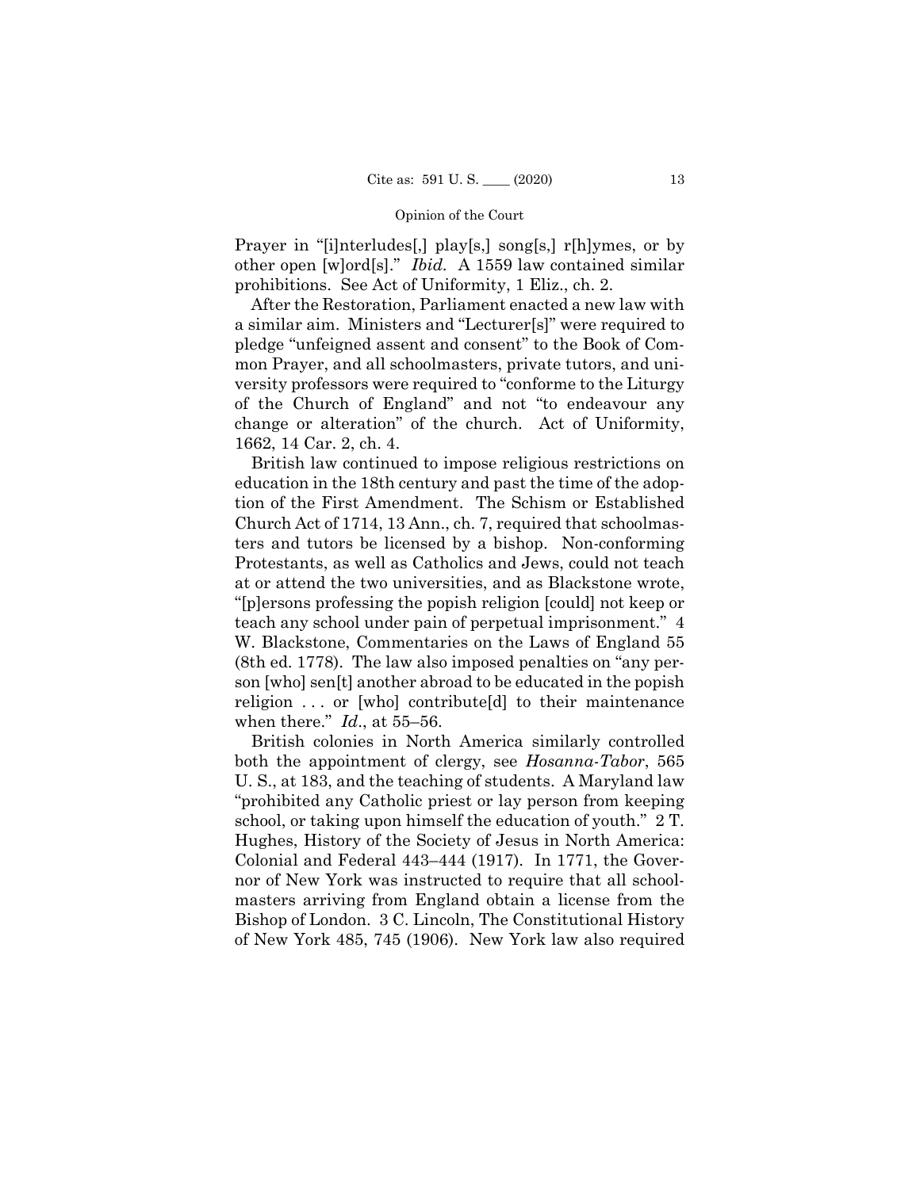Prayer in "[i]nterludes[,] play[s,] song[s,] r[h]ymes, or by other open [w]ord[s]." *Ibid.* A 1559 law contained similar prohibitions. See Act of Uniformity, 1 Eliz., ch. 2.

After the Restoration, Parliament enacted a new law with a similar aim. Ministers and "Lecturer[s]" were required to pledge "unfeigned assent and consent" to the Book of Common Prayer, and all schoolmasters, private tutors, and university professors were required to "conforme to the Liturgy of the Church of England" and not "to endeavour any change or alteration" of the church. Act of Uniformity, 1662, 14 Car. 2, ch. 4.

British law continued to impose religious restrictions on education in the 18th century and past the time of the adoption of the First Amendment. The Schism or Established Church Act of 1714, 13 Ann., ch. 7, required that schoolmasters and tutors be licensed by a bishop. Non-conforming Protestants, as well as Catholics and Jews, could not teach at or attend the two universities, and as Blackstone wrote, "[p]ersons professing the popish religion [could] not keep or teach any school under pain of perpetual imprisonment." 4 W. Blackstone, Commentaries on the Laws of England 55 (8th ed. 1778). The law also imposed penalties on "any person [who] sen[t] another abroad to be educated in the popish religion . . . or [who] contribute[d] to their maintenance when there." *Id*., at 55–56.

British colonies in North America similarly controlled both the appointment of clergy, see *Hosanna-Tabor*, 565 U. S., at 183, and the teaching of students. A Maryland law "prohibited any Catholic priest or lay person from keeping school, or taking upon himself the education of youth." 2 T. Hughes, History of the Society of Jesus in North America: Colonial and Federal 443–444 (1917). In 1771, the Governor of New York was instructed to require that all schoolmasters arriving from England obtain a license from the Bishop of London. 3 C. Lincoln, The Constitutional History of New York 485, 745 (1906). New York law also required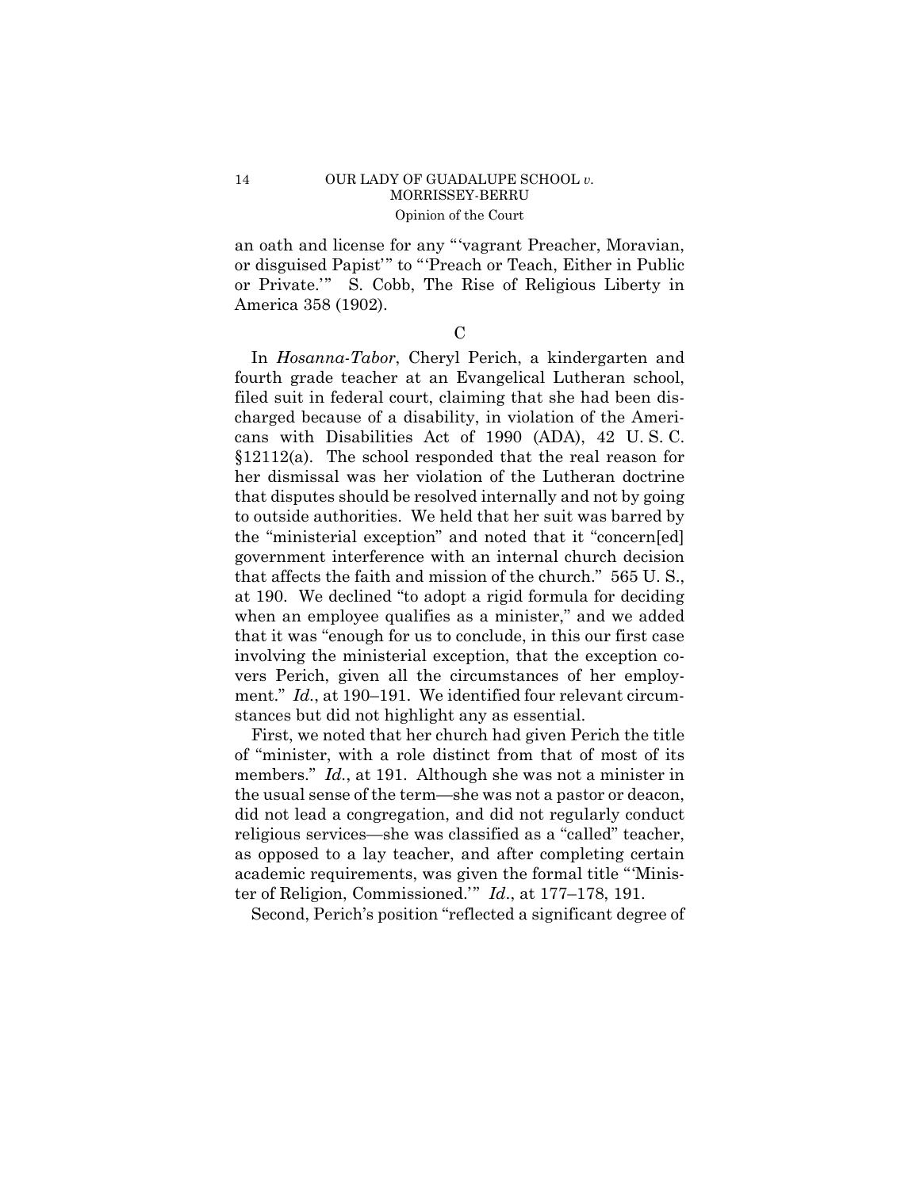# 14 OUR LADY OF GUADALUPE SCHOOL *v*. MORRISSEY-BERRU Opinion of the Court

 or disguised Papist'" to "'Preach or Teach, Either in Public an oath and license for any "'vagrant Preacher, Moravian, or Private.'" S. Cobb, The Rise of Religious Liberty in America 358 (1902).

 $\mathcal{C}$ 

In *Hosanna-Tabor*, Cheryl Perich, a kindergarten and fourth grade teacher at an Evangelical Lutheran school, filed suit in federal court, claiming that she had been discharged because of a disability, in violation of the Americans with Disabilities Act of 1990 (ADA), 42 U. S. C. §12112(a). The school responded that the real reason for her dismissal was her violation of the Lutheran doctrine that disputes should be resolved internally and not by going to outside authorities. We held that her suit was barred by the "ministerial exception" and noted that it "concern[ed] government interference with an internal church decision that affects the faith and mission of the church." 565 U. S., at 190. We declined "to adopt a rigid formula for deciding when an employee qualifies as a minister," and we added that it was "enough for us to conclude, in this our first case involving the ministerial exception, that the exception covers Perich, given all the circumstances of her employment." *Id.*, at 190–191. We identified four relevant circumstances but did not highlight any as essential.

First, we noted that her church had given Perich the title of "minister, with a role distinct from that of most of its members." *Id.*, at 191. Although she was not a minister in the usual sense of the term—she was not a pastor or deacon, did not lead a congregation, and did not regularly conduct religious services—she was classified as a "called" teacher, as opposed to a lay teacher, and after completing certain academic requirements, was given the formal title "'Minister of Religion, Commissioned.'" *Id*., at 177–178, 191.

Second, Perich's position "reflected a significant degree of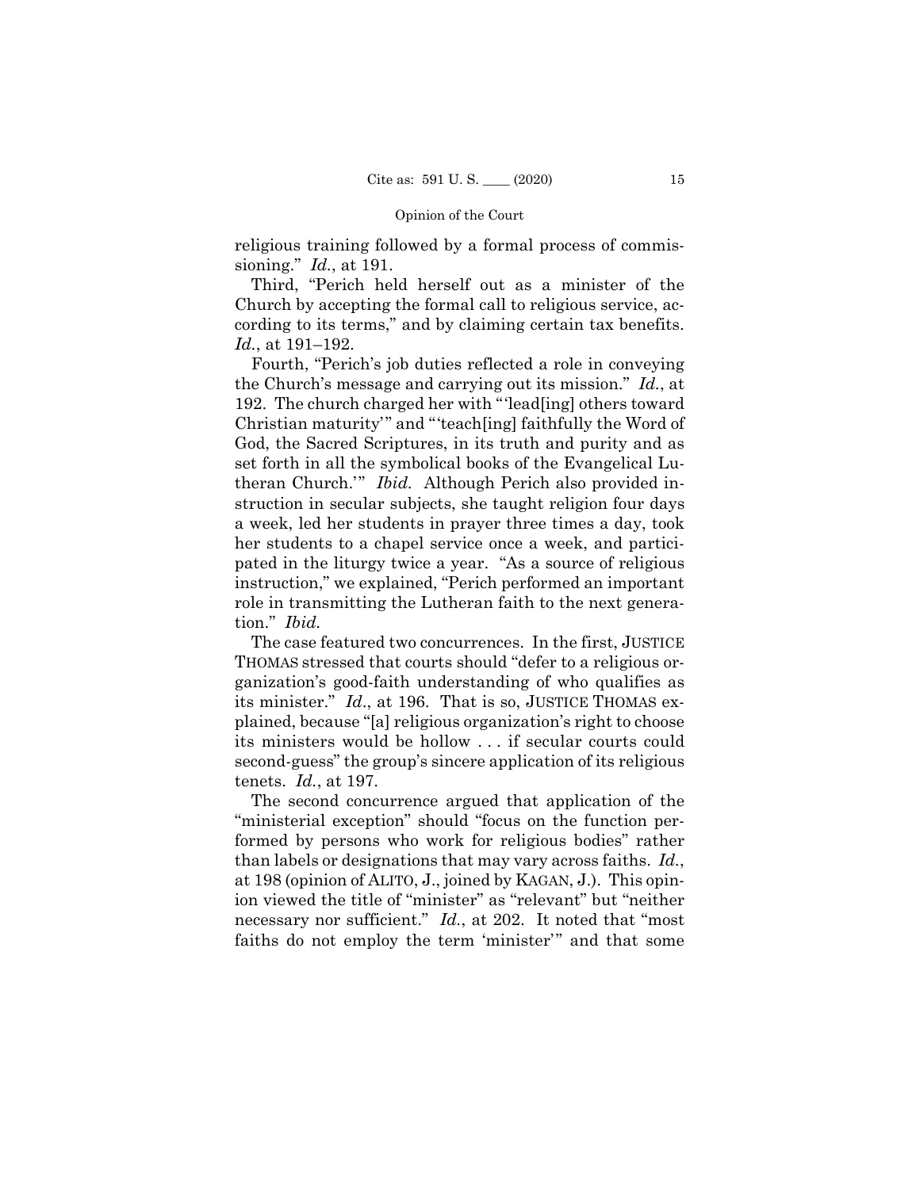religious training followed by a formal process of commissioning." *Id.*, at 191.

Third, "Perich held herself out as a minister of the Church by accepting the formal call to religious service, according to its terms," and by claiming certain tax benefits. *Id.*, at 191–192.

Fourth, "Perich's job duties reflected a role in conveying the Church's message and carrying out its mission." *Id.*, at 192. The church charged her with "'lead[ing] others toward Christian maturity'" and "'teach[ing] faithfully the Word of God, the Sacred Scriptures, in its truth and purity and as set forth in all the symbolical books of the Evangelical Lutheran Church.'" *Ibid.* Although Perich also provided instruction in secular subjects, she taught religion four days a week, led her students in prayer three times a day, took her students to a chapel service once a week, and participated in the liturgy twice a year. "As a source of religious instruction," we explained, "Perich performed an important role in transmitting the Lutheran faith to the next generation." *Ibid.* 

The case featured two concurrences. In the first, JUSTICE THOMAS stressed that courts should "defer to a religious organization's good-faith understanding of who qualifies as its minister." *Id*., at 196. That is so, JUSTICE THOMAS explained, because "[a] religious organization's right to choose its ministers would be hollow . . . if secular courts could second-guess" the group's sincere application of its religious tenets. *Id.*, at 197.

The second concurrence argued that application of the "ministerial exception" should "focus on the function performed by persons who work for religious bodies" rather than labels or designations that may vary across faiths. *Id.*, at 198 (opinion of ALITO, J., joined by KAGAN, J.). This opinion viewed the title of "minister" as "relevant" but "neither necessary nor sufficient." *Id.*, at 202. It noted that "most" faiths do not employ the term 'minister'" and that some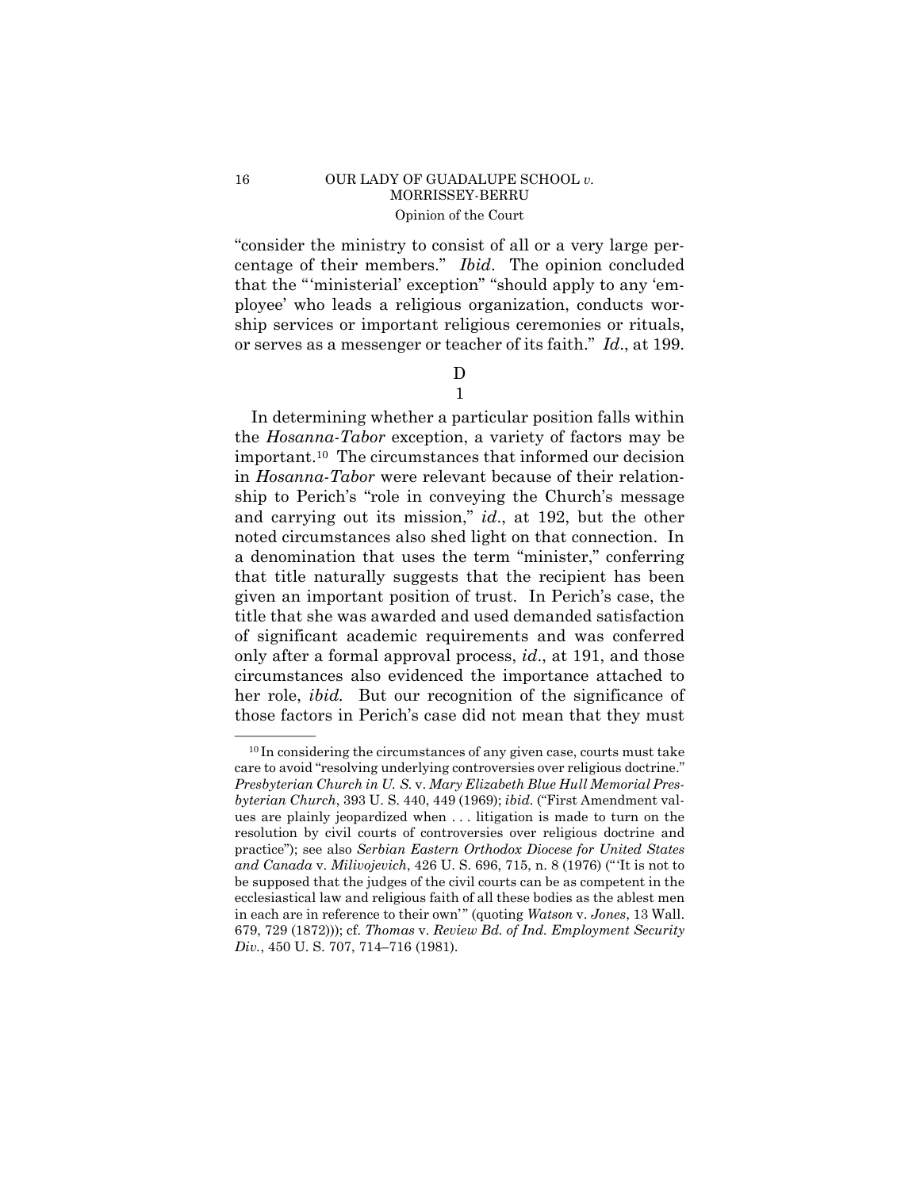### 16 OUR LADY OF GUADALUPE SCHOOL *v*. MORRISSEY-BERRU Opinion of the Court

 or serves as a messenger or teacher of its faith." *Id*., at 199. "consider the ministry to consist of all or a very large percentage of their members." *Ibid*. The opinion concluded that the "'ministerial' exception" "should apply to any 'employee' who leads a religious organization, conducts worship services or important religious ceremonies or rituals,

> D 1

In determining whether a particular position falls within the *Hosanna-Tabor* exception, a variety of factors may be important.10 The circumstances that informed our decision in *Hosanna-Tabor* were relevant because of their relationship to Perich's "role in conveying the Church's message and carrying out its mission," *id*., at 192, but the other noted circumstances also shed light on that connection. In a denomination that uses the term "minister," conferring that title naturally suggests that the recipient has been given an important position of trust. In Perich's case, the title that she was awarded and used demanded satisfaction of significant academic requirements and was conferred only after a formal approval process, *id*., at 191, and those circumstances also evidenced the importance attached to her role, *ibid*. But our recognition of the significance of those factors in Perich's case did not mean that they must

 $^{10}$  In considering the circumstances of any given case, courts must take care to avoid "resolving underlying controversies over religious doctrine." *Presbyterian Church in U. S.* v. *Mary Elizabeth Blue Hull Memorial Presbyterian Church*, 393 U. S. 440, 449 (1969); *ibid.* ("First Amendment values are plainly jeopardized when . . . litigation is made to turn on the resolution by civil courts of controversies over religious doctrine and practice"); see also *Serbian Eastern Orthodox Diocese for United States and Canada* v. *Milivojevich*, 426 U. S. 696, 715, n. 8 (1976) (" 'It is not to be supposed that the judges of the civil courts can be as competent in the ecclesiastical law and religious faith of all these bodies as the ablest men in each are in reference to their own'" (quoting *Watson v. Jones*, 13 Wall. 679, 729 (1872))); cf. *Thomas* v. *Review Bd. of Ind. Employment Security Div.*, 450 U. S. 707, 714–716 (1981).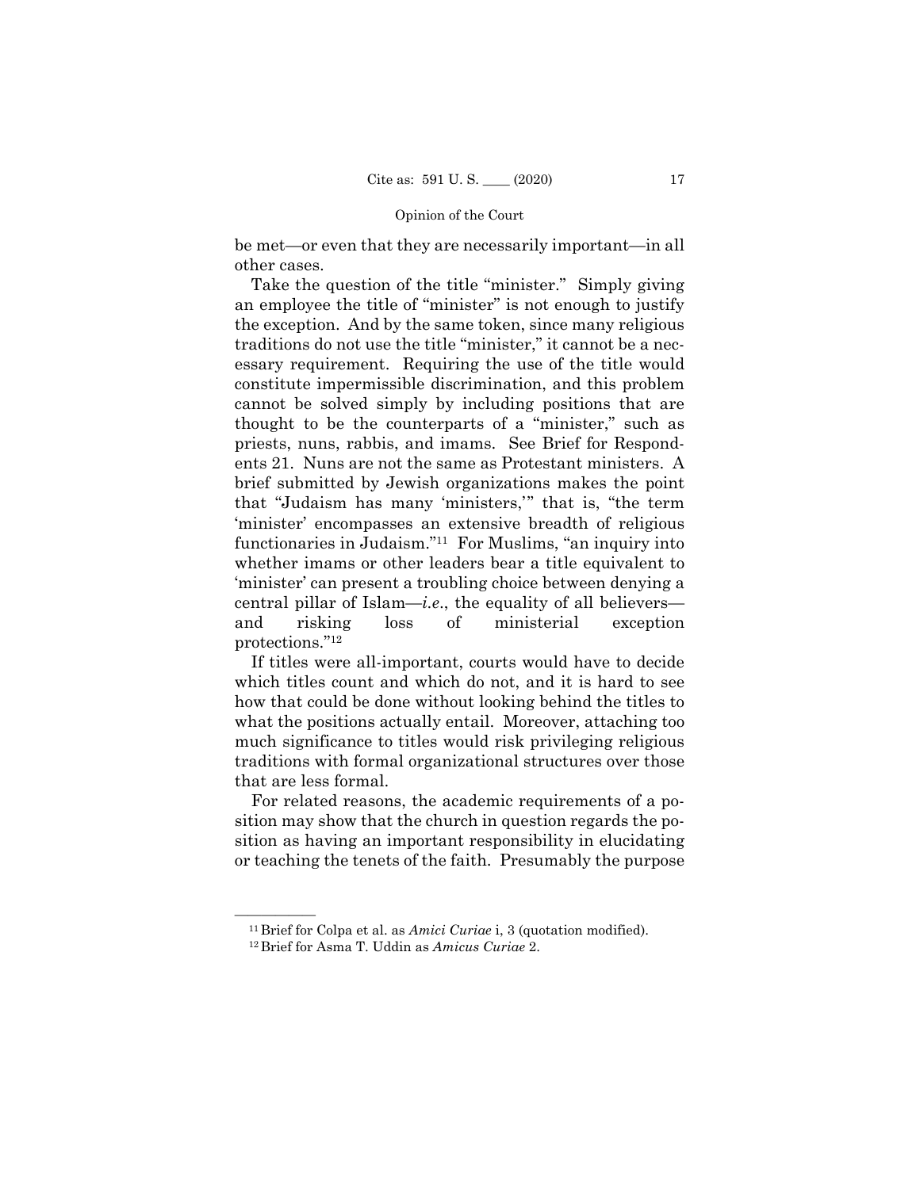be met—or even that they are necessarily important—in all other cases.

Take the question of the title "minister." Simply giving an employee the title of "minister" is not enough to justify the exception. And by the same token, since many religious traditions do not use the title "minister," it cannot be a necessary requirement. Requiring the use of the title would constitute impermissible discrimination, and this problem cannot be solved simply by including positions that are thought to be the counterparts of a "minister," such as priests, nuns, rabbis, and imams. See Brief for Respondents 21. Nuns are not the same as Protestant ministers. A brief submitted by Jewish organizations makes the point that "Judaism has many 'ministers,'" that is, "the term 'minister' encompasses an extensive breadth of religious functionaries in Judaism."11 For Muslims, "an inquiry into whether imams or other leaders bear a title equivalent to 'minister' can present a troubling choice between denying a central pillar of Islam—*i.e*., the equality of all believers and risking loss of ministerial exception protections."12

If titles were all-important, courts would have to decide which titles count and which do not, and it is hard to see how that could be done without looking behind the titles to what the positions actually entail. Moreover, attaching too much significance to titles would risk privileging religious traditions with formal organizational structures over those that are less formal.

For related reasons, the academic requirements of a position may show that the church in question regards the position as having an important responsibility in elucidating or teaching the tenets of the faith. Presumably the purpose

<sup>&</sup>lt;sup>11</sup> Brief for Colpa et al. as *Amici Curiae* i, 3 (quotation modified). <sup>12</sup> Brief for Asma T. Uddin as *Amicus Curiae* 2.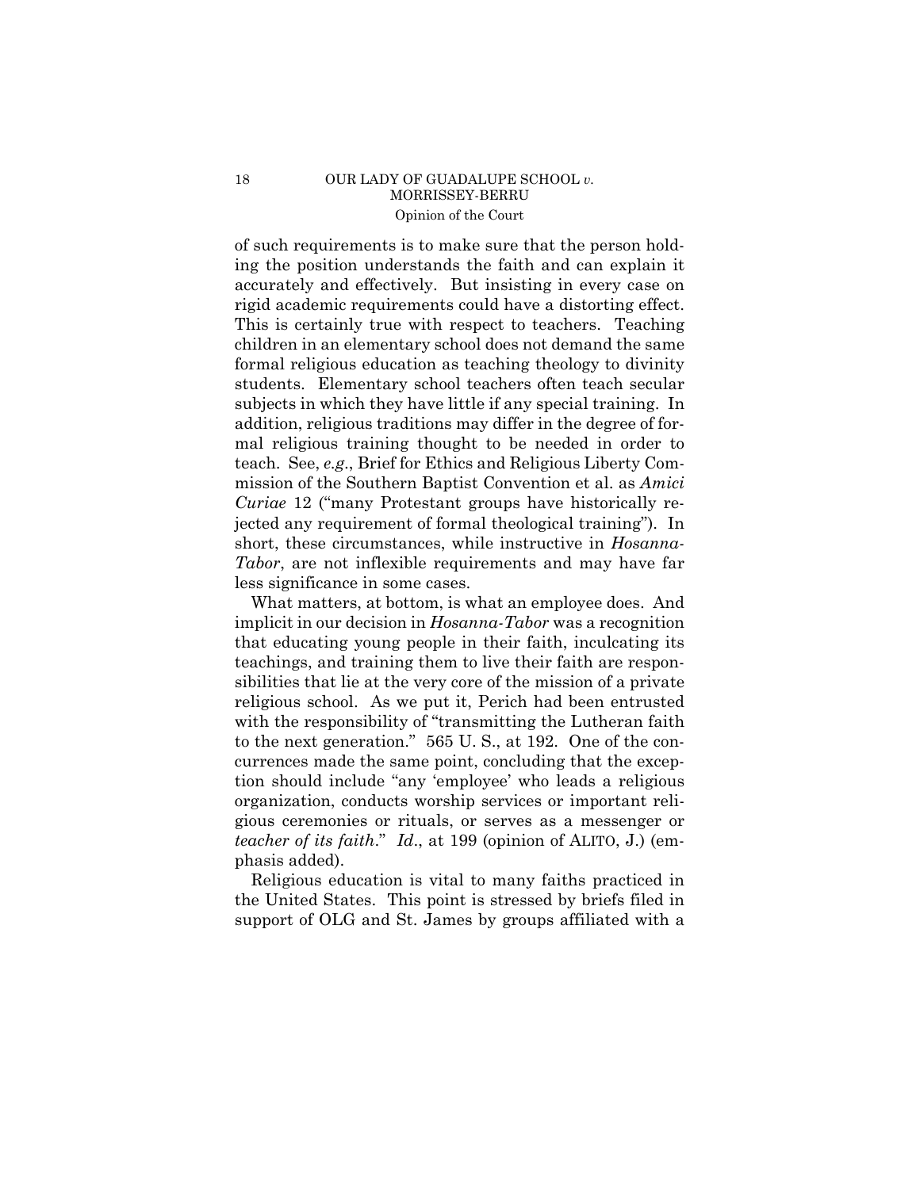### 18 OUR LADY OF GUADALUPE SCHOOL *v*. MORRISSEY-BERRU Opinion of the Court

 rigid academic requirements could have a distorting effect. of such requirements is to make sure that the person holding the position understands the faith and can explain it accurately and effectively. But insisting in every case on This is certainly true with respect to teachers. Teaching children in an elementary school does not demand the same formal religious education as teaching theology to divinity students. Elementary school teachers often teach secular subjects in which they have little if any special training. In addition, religious traditions may differ in the degree of formal religious training thought to be needed in order to teach. See, *e.g*., Brief for Ethics and Religious Liberty Commission of the Southern Baptist Convention et al. as *Amici Curiae* 12 ("many Protestant groups have historically rejected any requirement of formal theological training"). In short, these circumstances, while instructive in *Hosanna-Tabor*, are not inflexible requirements and may have far less significance in some cases.

What matters, at bottom, is what an employee does. And implicit in our decision in *Hosanna-Tabor* was a recognition that educating young people in their faith, inculcating its teachings, and training them to live their faith are responsibilities that lie at the very core of the mission of a private religious school. As we put it, Perich had been entrusted with the responsibility of "transmitting the Lutheran faith" to the next generation." 565 U. S., at 192. One of the concurrences made the same point, concluding that the exception should include "any 'employee' who leads a religious organization, conducts worship services or important religious ceremonies or rituals, or serves as a messenger or *teacher of its faith*." *Id*., at 199 (opinion of ALITO, J.) (emphasis added).

Religious education is vital to many faiths practiced in the United States. This point is stressed by briefs filed in support of OLG and St. James by groups affiliated with a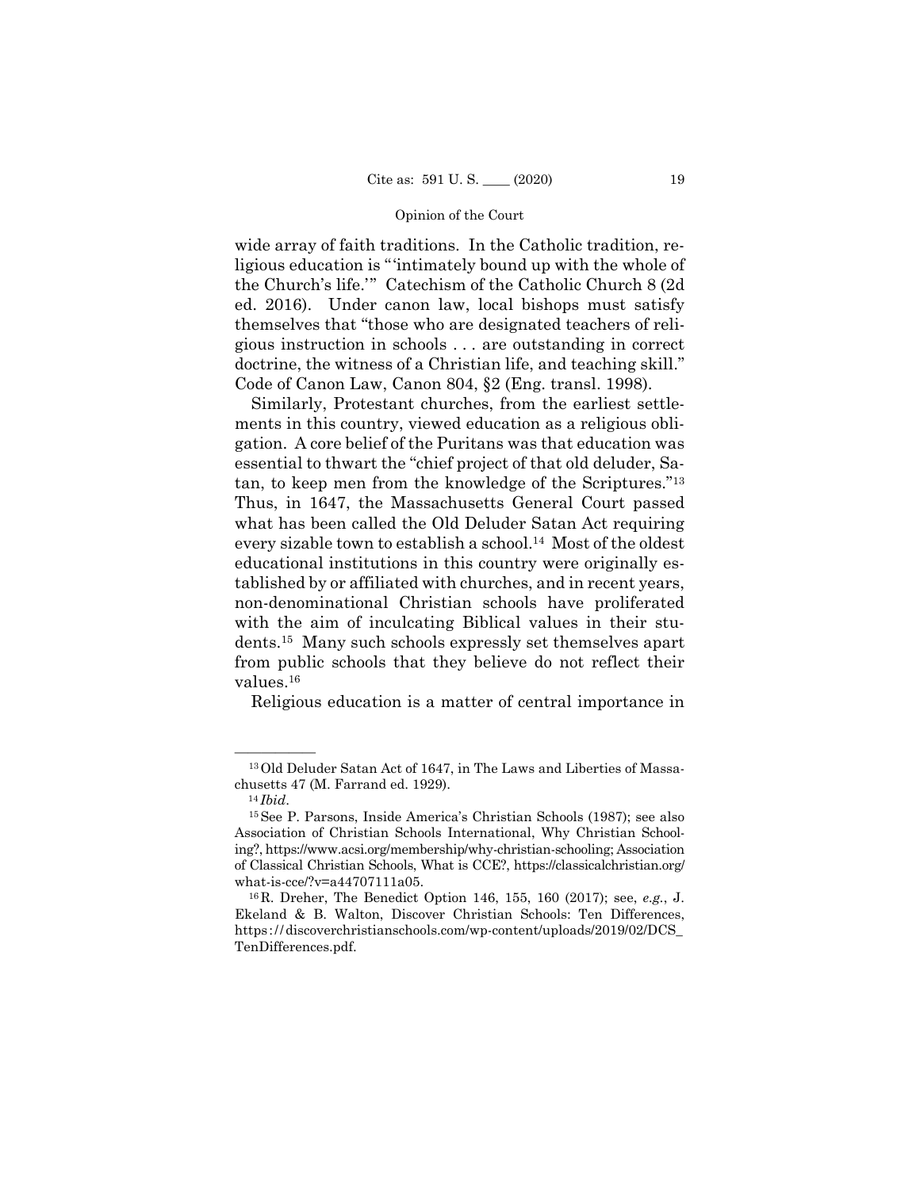wide array of faith traditions. In the Catholic tradition, religious education is "'intimately bound up with the whole of the Church's life.'" Catechism of the Catholic Church 8 (2d ed. 2016). Under canon law, local bishops must satisfy themselves that "those who are designated teachers of religious instruction in schools . . . are outstanding in correct doctrine, the witness of a Christian life, and teaching skill." Code of Canon Law, Canon 804, §2 (Eng. transl. 1998).

 tan, to keep men from the knowledge of the Scriptures."13 Similarly, Protestant churches, from the earliest settlements in this country, viewed education as a religious obligation. A core belief of the Puritans was that education was essential to thwart the "chief project of that old deluder, Sa-Thus, in 1647, the Massachusetts General Court passed what has been called the Old Deluder Satan Act requiring every sizable town to establish a school.14 Most of the oldest educational institutions in this country were originally established by or affiliated with churches, and in recent years, non-denominational Christian schools have proliferated with the aim of inculcating Biblical values in their students.15 Many such schools expressly set themselves apart from public schools that they believe do not reflect their values.16

Religious education is a matter of central importance in

<sup>&</sup>lt;sup>13</sup> Old Deluder Satan Act of 1647, in The Laws and Liberties of Massachusetts 47 (M. Farrand ed. 1929). 14 *Ibid*. 15See P. Parsons, Inside America's Christian Schools (1987); see also

Association of Christian Schools International, Why Christian Schooling?, https://www.acsi.org/membership/why-christian-schooling; Association of Classical Christian Schools, What is CCE?, https://classicalchristian.org/ what-is-cce/?v=a44707111a05. 16R. Dreher, The Benedict Option 146, 155, 160 (2017); see, *e.g.*, J.

 https ://discoverchristianschools.com/wp-content/uploads/2019/02/DCS\_ Ekeland & B. Walton, Discover Christian Schools: Ten Differences, TenDifferences.pdf.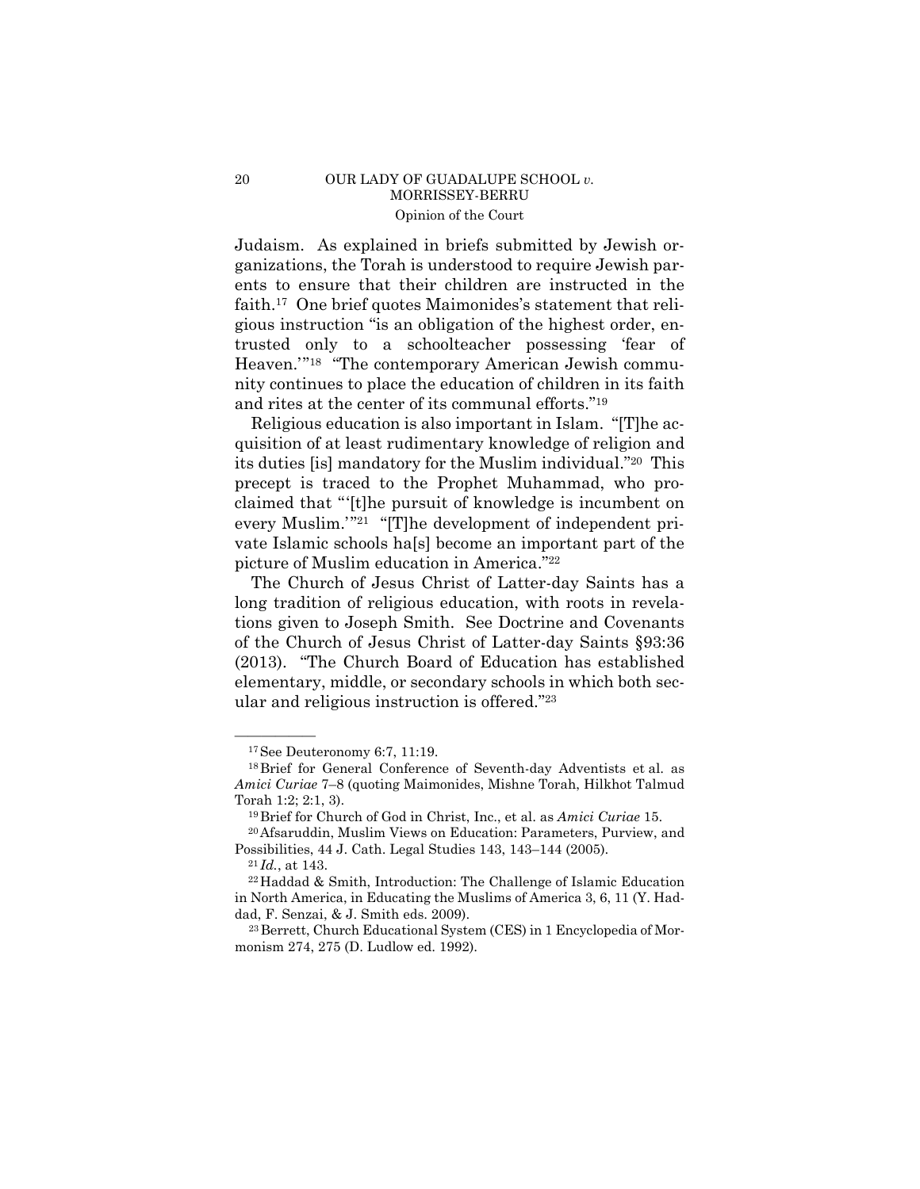### 20 OUR LADY OF GUADALUPE SCHOOL *v.*  MORRISSEY-BERRU Opinion of the Court

Judaism. As explained in briefs submitted by Jewish organizations, the Torah is understood to require Jewish parents to ensure that their children are instructed in the faith.17 One brief quotes Maimonides's statement that religious instruction "is an obligation of the highest order, entrusted only to a schoolteacher possessing 'fear of Heaven.'"18 "The contemporary American Jewish community continues to place the education of children in its faith and rites at the center of its communal efforts."19

Religious education is also important in Islam. "[T]he acquisition of at least rudimentary knowledge of religion and its duties [is] mandatory for the Muslim individual."20 This precept is traced to the Prophet Muhammad, who proclaimed that "'[t]he pursuit of knowledge is incumbent on every Muslim.'"<sup>21</sup> "[T]he development of independent private Islamic schools ha[s] become an important part of the picture of Muslim education in America."22

The Church of Jesus Christ of Latter-day Saints has a long tradition of religious education, with roots in revelations given to Joseph Smith. See Doctrine and Covenants of the Church of Jesus Christ of Latter-day Saints §93:36 (2013). "The Church Board of Education has established elementary, middle, or secondary schools in which both secular and religious instruction is offered."23

 $17$ See Deuteronomy 6:7, 11:19.

 18Brief for General Conference of Seventh-day Adventists et al. as *Amici Curiae* 7–8 (quoting Maimonides, Mishne Torah, Hilkhot Talmud Torah 1:2; 2:1, 3). 19Brief for Church of God in Christ, Inc., et al. as *Amici Curiae* 15. 20Afsaruddin, Muslim Views on Education: Parameters, Purview, and

Possibilities, 44 J. Cath. Legal Studies 143, 143–144 (2005).<br><sup>21</sup>*Id.*, at 143.<br><sup>22</sup>Haddad & Smith, Introduction: The Challenge of Islamic Education

in North America, in Educating the Muslims of America 3, 6, 11 (Y. Haddad, F. Senzai, & J. Smith eds. 2009).<br><sup>23</sup> Berrett, Church Educational System (CES) in 1 Encyclopedia of Mor-

monism 274, 275 (D. Ludlow ed. 1992).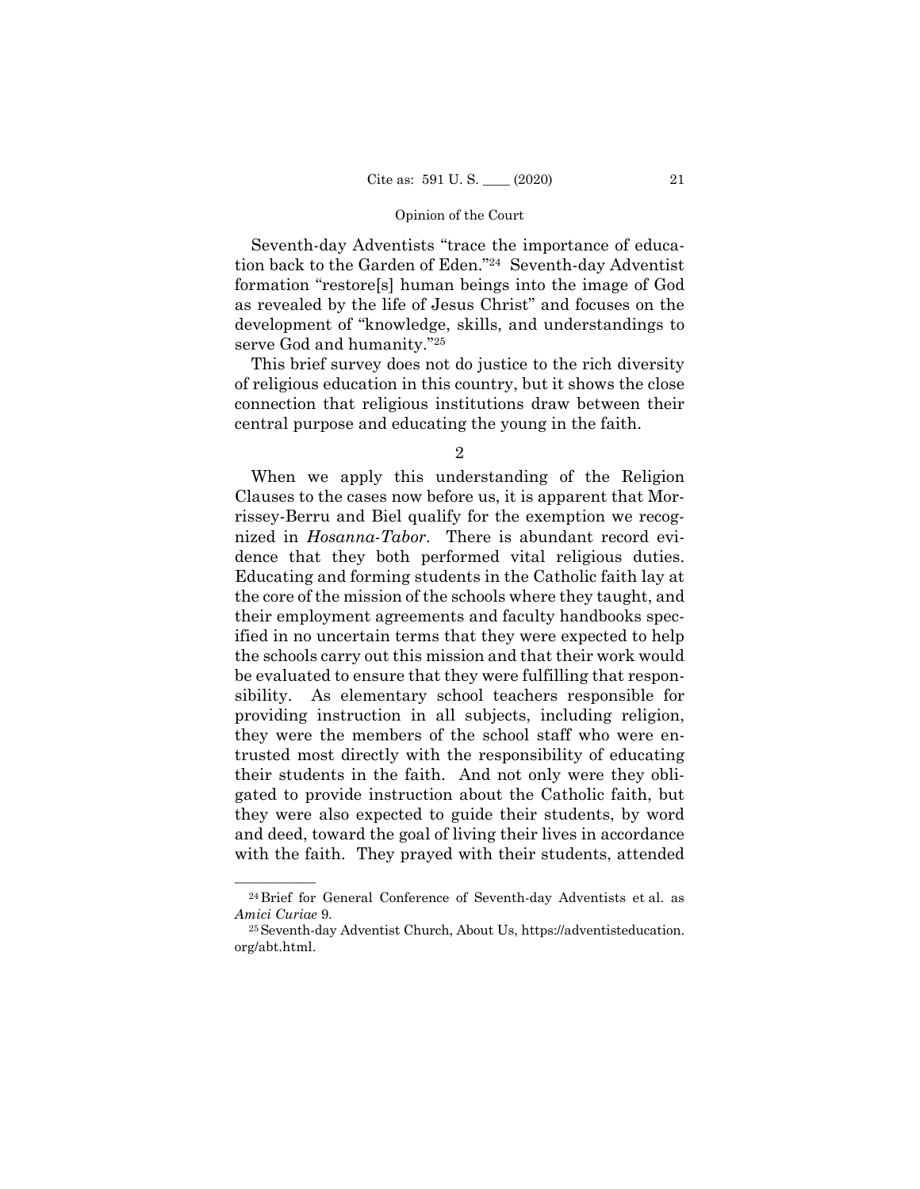Seventh-day Adventists "trace the importance of education back to the Garden of Eden."24 Seventh-day Adventist formation "restore[s] human beings into the image of God as revealed by the life of Jesus Christ" and focuses on the development of "knowledge, skills, and understandings to serve God and humanity."25

This brief survey does not do justice to the rich diversity of religious education in this country, but it shows the close connection that religious institutions draw between their central purpose and educating the young in the faith.

2

 the schools carry out this mission and that their work would When we apply this understanding of the Religion Clauses to the cases now before us, it is apparent that Morrissey-Berru and Biel qualify for the exemption we recognized in *Hosanna-Tabor*. There is abundant record evidence that they both performed vital religious duties. Educating and forming students in the Catholic faith lay at the core of the mission of the schools where they taught, and their employment agreements and faculty handbooks specified in no uncertain terms that they were expected to help be evaluated to ensure that they were fulfilling that responsibility. As elementary school teachers responsible for providing instruction in all subjects, including religion, they were the members of the school staff who were entrusted most directly with the responsibility of educating their students in the faith. And not only were they obligated to provide instruction about the Catholic faith, but they were also expected to guide their students, by word and deed, toward the goal of living their lives in accordance with the faith. They prayed with their students, attended

 $\overline{\hspace{2cm} \hspace{2cm} \hspace{2cm} \hspace{2cm} \hspace{2cm} \hspace{2cm} \hspace{2cm} \text{24 Brief for General Conference of Seventh-day Adventists et al. as} }$ *Amici Curiae* 9.<br><sup>25</sup> Seventh-day Adventist Church, About Us, https://adventisteducation.

org/abt.html.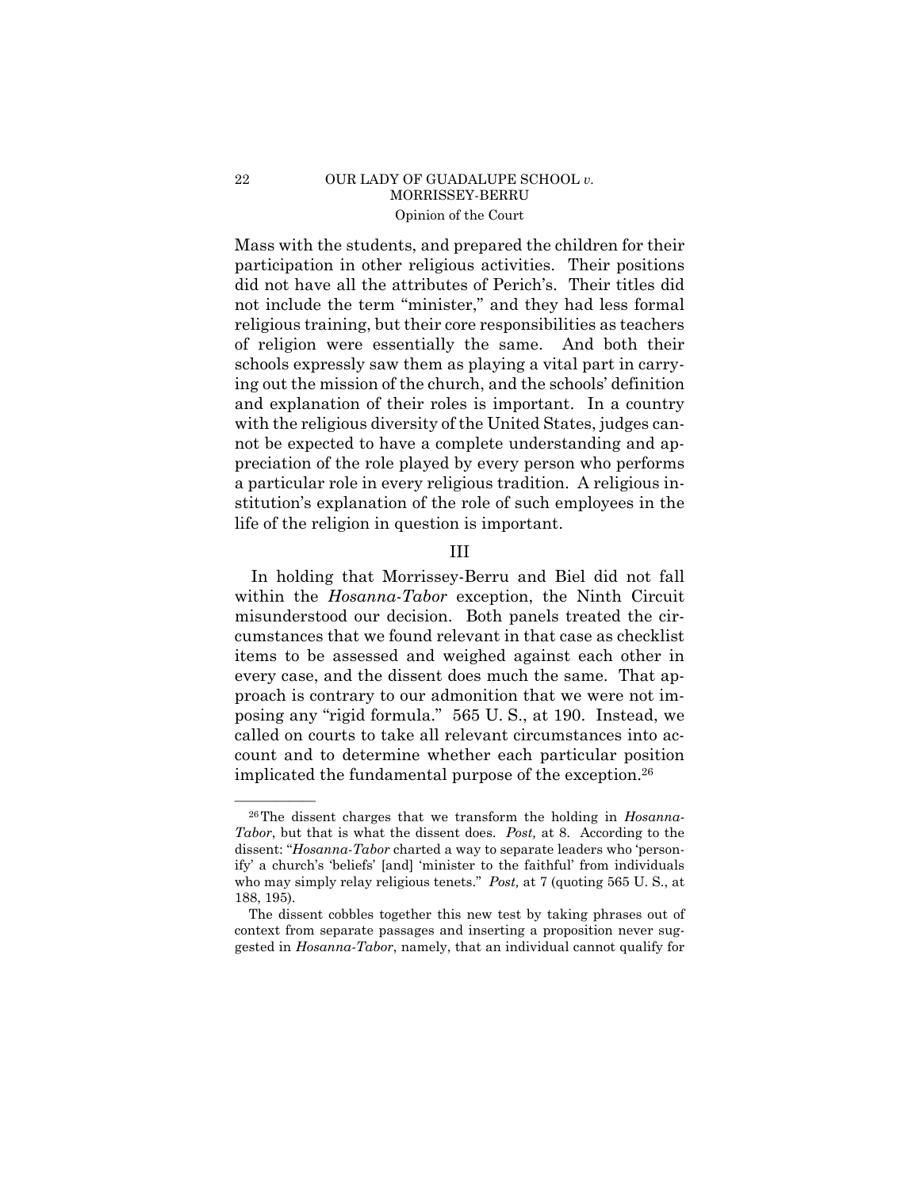# 22 OUR LADY OF GUADALUPE SCHOOL *v*. MORRISSEY-BERRU Opinion of the Court

Mass with the students, and prepared the children for their participation in other religious activities. Their positions did not have all the attributes of Perich's. Their titles did not include the term "minister," and they had less formal religious training, but their core responsibilities as teachers of religion were essentially the same. And both their schools expressly saw them as playing a vital part in carrying out the mission of the church, and the schools' definition and explanation of their roles is important. In a country with the religious diversity of the United States, judges cannot be expected to have a complete understanding and appreciation of the role played by every person who performs a particular role in every religious tradition. A religious institution's explanation of the role of such employees in the life of the religion in question is important.

### III

In holding that Morrissey-Berru and Biel did not fall within the *Hosanna-Tabor* exception, the Ninth Circuit misunderstood our decision. Both panels treated the circumstances that we found relevant in that case as checklist items to be assessed and weighed against each other in every case, and the dissent does much the same. That approach is contrary to our admonition that we were not imposing any "rigid formula." 565 U. S., at 190. Instead, we called on courts to take all relevant circumstances into account and to determine whether each particular position implicated the fundamental purpose of the exception.26

<sup>&</sup>lt;sup>26</sup>The dissent charges that we transform the holding in *Hosanna*-*Tabor*, but that is what the dissent does. *Post,* at 8. According to the dissent: "*Hosanna-Tabor* charted a way to separate leaders who 'personify' a church's 'beliefs' [and] 'minister to the faithful' from individuals who may simply relay religious tenets." *Post,* at 7 (quoting 565 U. S., at 188, 195).

The dissent cobbles together this new test by taking phrases out of context from separate passages and inserting a proposition never suggested in *Hosanna-Tabor*, namely, that an individual cannot qualify for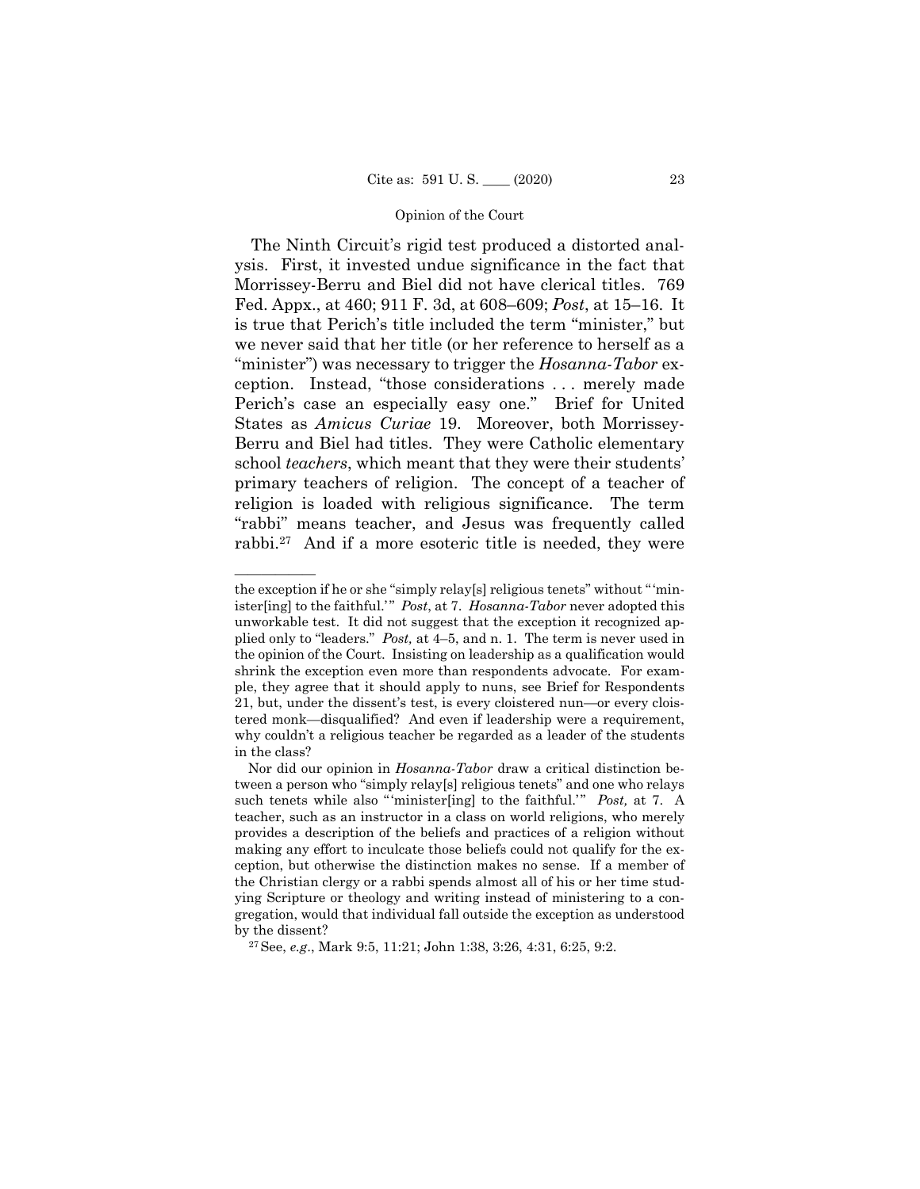The Ninth Circuit's rigid test produced a distorted analysis. First, it invested undue significance in the fact that Morrissey-Berru and Biel did not have clerical titles. 769 Fed. Appx., at 460; 911 F. 3d, at 608–609; *Post*, at 15–16. It is true that Perich's title included the term "minister," but we never said that her title (or her reference to herself as a "minister") was necessary to trigger the *Hosanna-Tabor* exception. Instead, "those considerations . . . merely made Perich's case an especially easy one." Brief for United States as *Amicus Curiae* 19. Moreover, both Morrissey-Berru and Biel had titles. They were Catholic elementary school *teachers*, which meant that they were their students' primary teachers of religion. The concept of a teacher of religion is loaded with religious significance. The term "rabbi" means teacher, and Jesus was frequently called rabbi.27 And if a more esoteric title is needed, they were

——————

 plied only to "leaders." *Post,* at 4–5, and n. 1. The term is never used in the exception if he or she "simply relay[s] religious tenets" without " 'minister[ing] to the faithful.'" *Post*, at 7. *Hosanna-Tabor* never adopted this unworkable test. It did not suggest that the exception it recognized apthe opinion of the Court. Insisting on leadership as a qualification would shrink the exception even more than respondents advocate. For example, they agree that it should apply to nuns, see Brief for Respondents 21, but, under the dissent's test, is every cloistered nun—or every cloistered monk—disqualified? And even if leadership were a requirement, why couldn't a religious teacher be regarded as a leader of the students in the class?

Nor did our opinion in *Hosanna-Tabor* draw a critical distinction between a person who "simply relay[s] religious tenets" and one who relays such tenets while also "'minister[ing] to the faithful.'" *Post*, at 7. A teacher, such as an instructor in a class on world religions, who merely provides a description of the beliefs and practices of a religion without making any effort to inculcate those beliefs could not qualify for the exception, but otherwise the distinction makes no sense. If a member of the Christian clergy or a rabbi spends almost all of his or her time studying Scripture or theology and writing instead of ministering to a congregation, would that individual fall outside the exception as understood by the dissent?

<sup>27</sup>See, *e.g*., Mark 9:5, 11:21; John 1:38, 3:26, 4:31, 6:25, 9:2.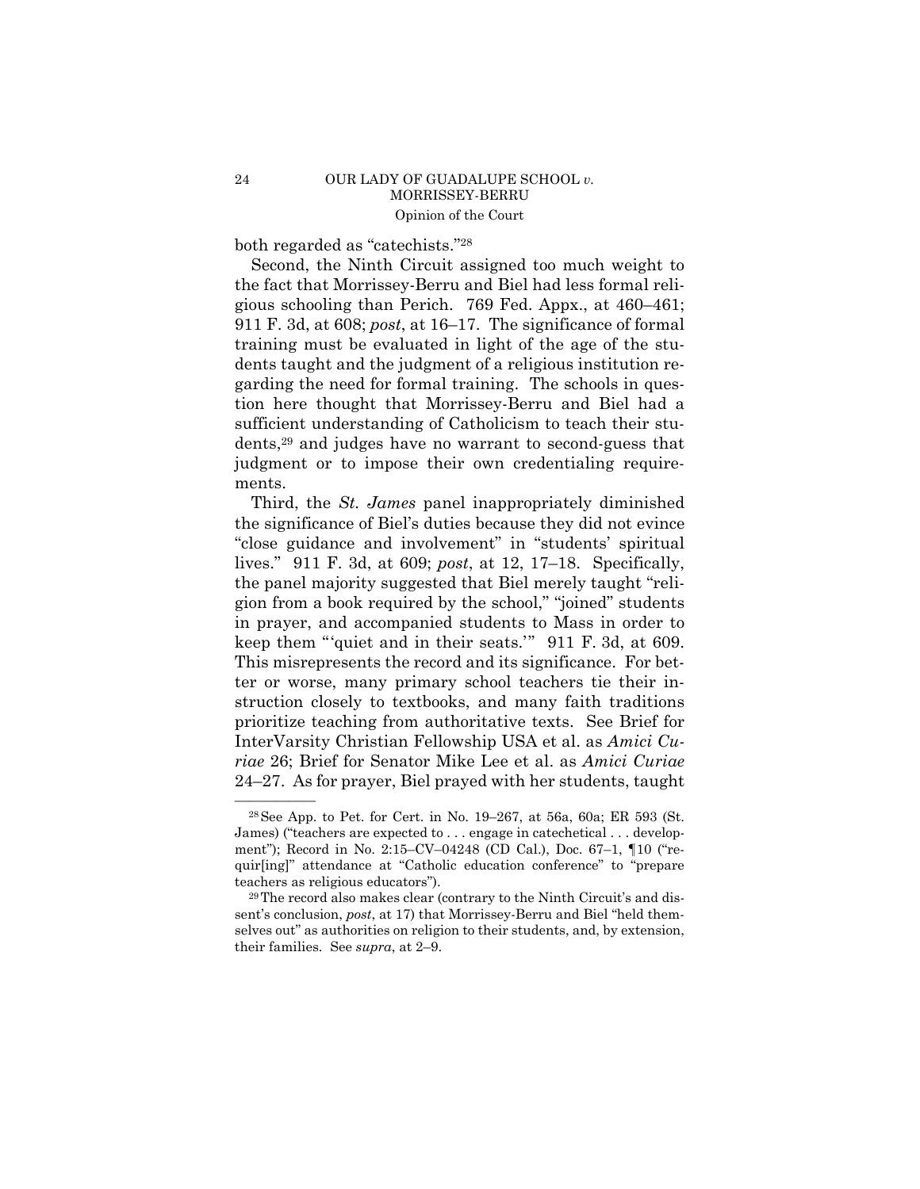# 24 OUR LADY OF GUADALUPE SCHOOL *v.*  MORRISSEY-BERRU Opinion of the Court

both regarded as "catechists."28

Second, the Ninth Circuit assigned too much weight to the fact that Morrissey-Berru and Biel had less formal religious schooling than Perich. 769 Fed. Appx., at 460–461; 911 F. 3d, at 608; *post*, at 16–17. The significance of formal training must be evaluated in light of the age of the students taught and the judgment of a religious institution regarding the need for formal training. The schools in question here thought that Morrissey-Berru and Biel had a sufficient understanding of Catholicism to teach their students,29 and judges have no warrant to second-guess that judgment or to impose their own credentialing requirements.

 keep them "'quiet and in their seats.'" 911 F. 3d, at 609. Third, the *St. James* panel inappropriately diminished the significance of Biel's duties because they did not evince "close guidance and involvement" in "students' spiritual lives." 911 F. 3d, at 609; *post*, at 12, 17–18. Specifically, the panel majority suggested that Biel merely taught "religion from a book required by the school," "joined" students in prayer, and accompanied students to Mass in order to This misrepresents the record and its significance. For better or worse, many primary school teachers tie their instruction closely to textbooks, and many faith traditions prioritize teaching from authoritative texts. See Brief for InterVarsity Christian Fellowship USA et al. as *Amici Curiae* 26; Brief for Senator Mike Lee et al. as *Amici Curiae*  24–27. As for prayer, Biel prayed with her students, taught

 $28$ See App. to Pet. for Cert. in No. 19–267, at 56a, 60a; ER 593 (St. James) ("teachers are expected to . . . engage in catechetical . . . development"); Record in No. 2:15–CV–04248 (CD Cal.), Doc. 67–1, ¶10 ("requir[ing]" attendance at "Catholic education conference" to "prepare teachers as religious educators"). 29The record also makes clear (contrary to the Ninth Circuit's and dis-

sent's conclusion, *post*, at 17) that Morrissey-Berru and Biel "held themselves out" as authorities on religion to their students, and, by extension, their families. See *supra*, at 2–9.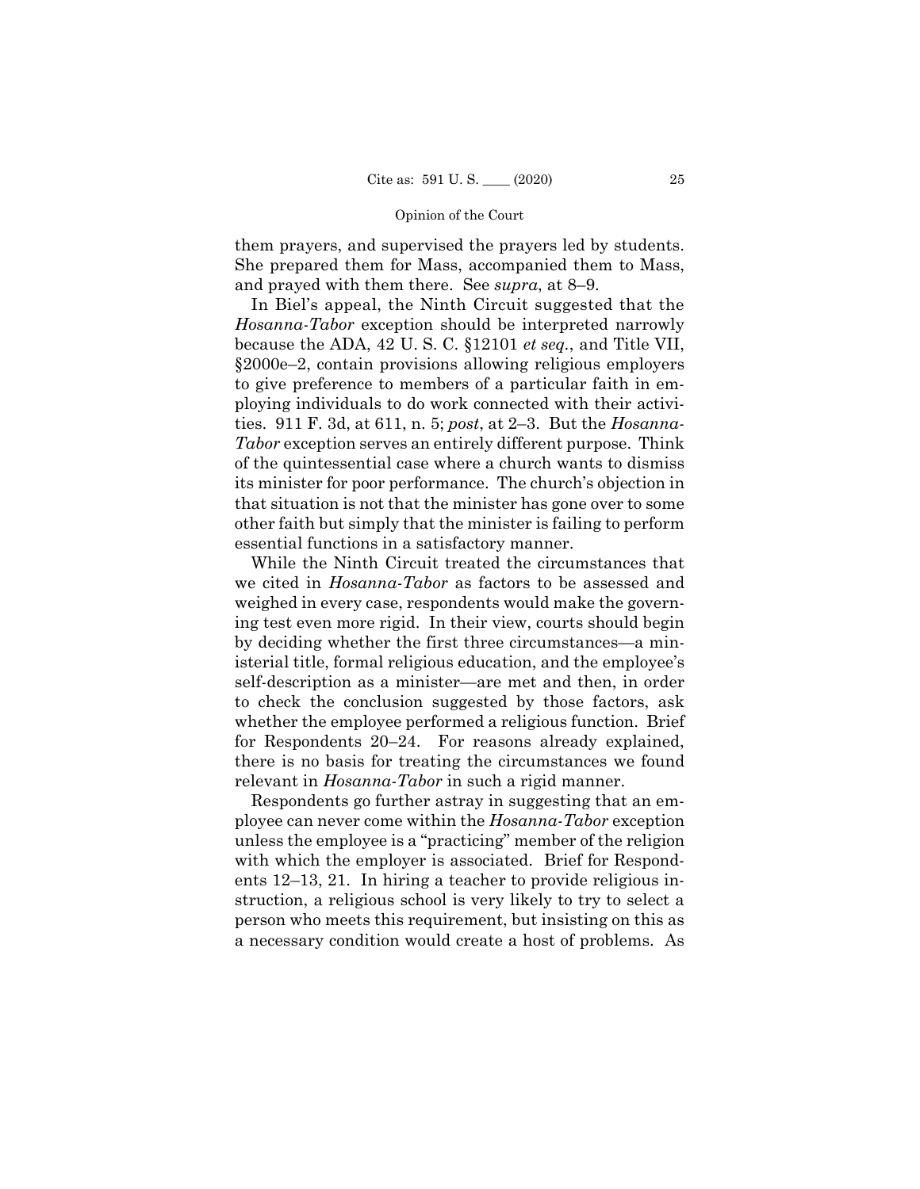them prayers, and supervised the prayers led by students. She prepared them for Mass, accompanied them to Mass, and prayed with them there. See *supra*, at 8–9.

In Biel's appeal, the Ninth Circuit suggested that the *Hosanna-Tabor* exception should be interpreted narrowly because the ADA, 42 U. S. C. §12101 *et seq.*, and Title VII, §2000e–2, contain provisions allowing religious employers to give preference to members of a particular faith in employing individuals to do work connected with their activities. 911 F. 3d, at 611, n. 5; *post*, at 2–3. But the *Hosanna-Tabor* exception serves an entirely different purpose. Think of the quintessential case where a church wants to dismiss its minister for poor performance. The church's objection in that situation is not that the minister has gone over to some other faith but simply that the minister is failing to perform essential functions in a satisfactory manner.

While the Ninth Circuit treated the circumstances that we cited in *Hosanna-Tabor* as factors to be assessed and weighed in every case, respondents would make the governing test even more rigid. In their view, courts should begin by deciding whether the first three circumstances—a ministerial title, formal religious education, and the employee's self-description as a minister—are met and then, in order to check the conclusion suggested by those factors, ask whether the employee performed a religious function. Brief for Respondents 20–24. For reasons already explained, there is no basis for treating the circumstances we found relevant in *Hosanna-Tabor* in such a rigid manner.

Respondents go further astray in suggesting that an employee can never come within the *Hosanna-Tabor* exception unless the employee is a "practicing" member of the religion with which the employer is associated. Brief for Respondents 12–13, 21. In hiring a teacher to provide religious instruction, a religious school is very likely to try to select a person who meets this requirement, but insisting on this as a necessary condition would create a host of problems. As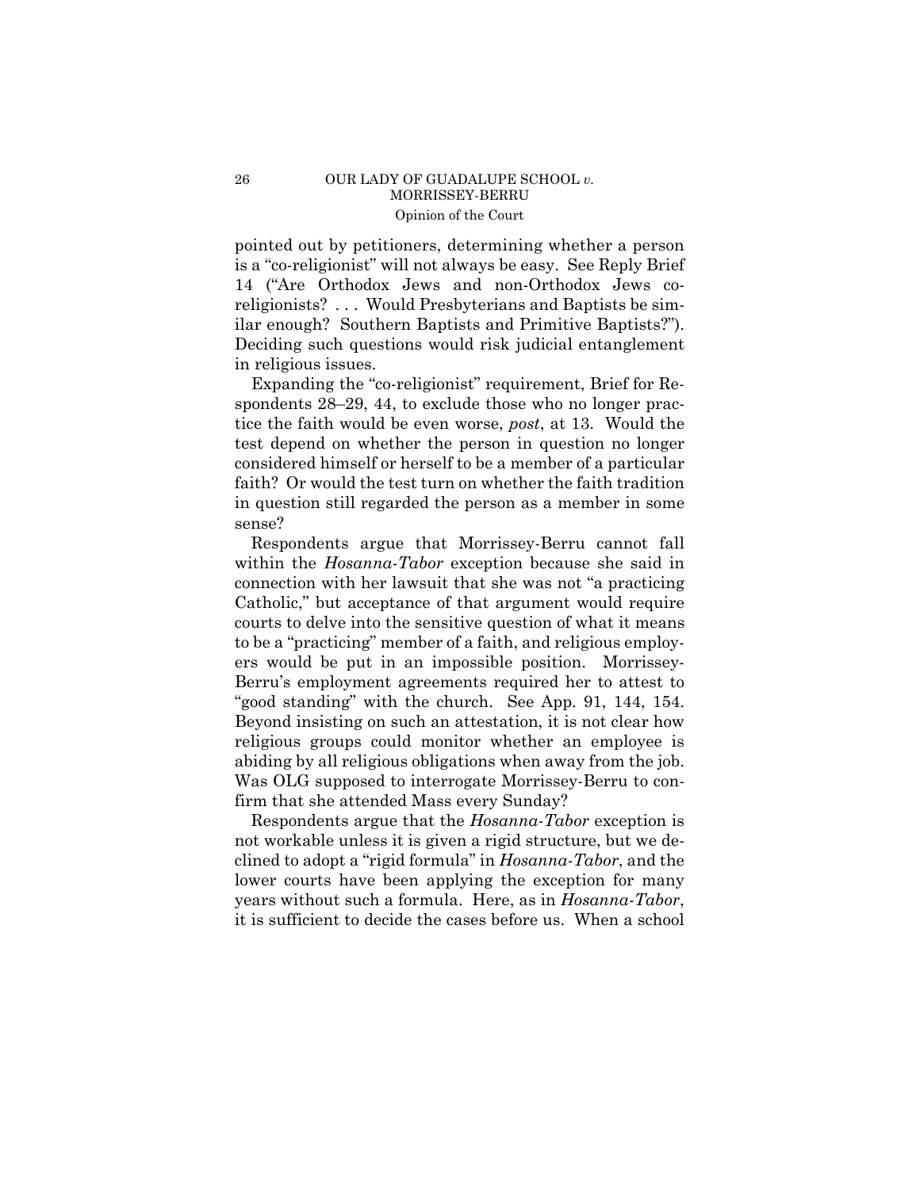### 26 OUR LADY OF GUADALUPE SCHOOL *v.*  MORRISSEY-BERRU Opinion of the Court

 pointed out by petitioners, determining whether a person is a "co-religionist" will not always be easy. See Reply Brief 14 ("Are Orthodox Jews and non-Orthodox Jews coreligionists? . . . Would Presbyterians and Baptists be similar enough? Southern Baptists and Primitive Baptists?"). Deciding such questions would risk judicial entanglement in religious issues.

 Expanding the "co-religionist" requirement, Brief for Respondents  $28-29$ , 44, to exclude those who no longer practice the faith would be even worse, *post*, at 13. Would the test depend on whether the person in question no longer considered himself or herself to be a member of a particular faith? Or would the test turn on whether the faith tradition in question still regarded the person as a member in some sense?

Respondents argue that Morrissey-Berru cannot fall within the *Hosanna-Tabor* exception because she said in connection with her lawsuit that she was not "a practicing Catholic," but acceptance of that argument would require courts to delve into the sensitive question of what it means to be a "practicing" member of a faith, and religious employers would be put in an impossible position. Morrissey-Berru's employment agreements required her to attest to "good standing" with the church. See App. 91, 144, 154. Beyond insisting on such an attestation, it is not clear how religious groups could monitor whether an employee is abiding by all religious obligations when away from the job. Was OLG supposed to interrogate Morrissey-Berru to confirm that she attended Mass every Sunday?

 it is sufficient to decide the cases before us. When a school Respondents argue that the *Hosanna-Tabor* exception is not workable unless it is given a rigid structure, but we declined to adopt a "rigid formula" in *Hosanna-Tabor*, and the lower courts have been applying the exception for many years without such a formula. Here, as in *Hosanna-Tabor*,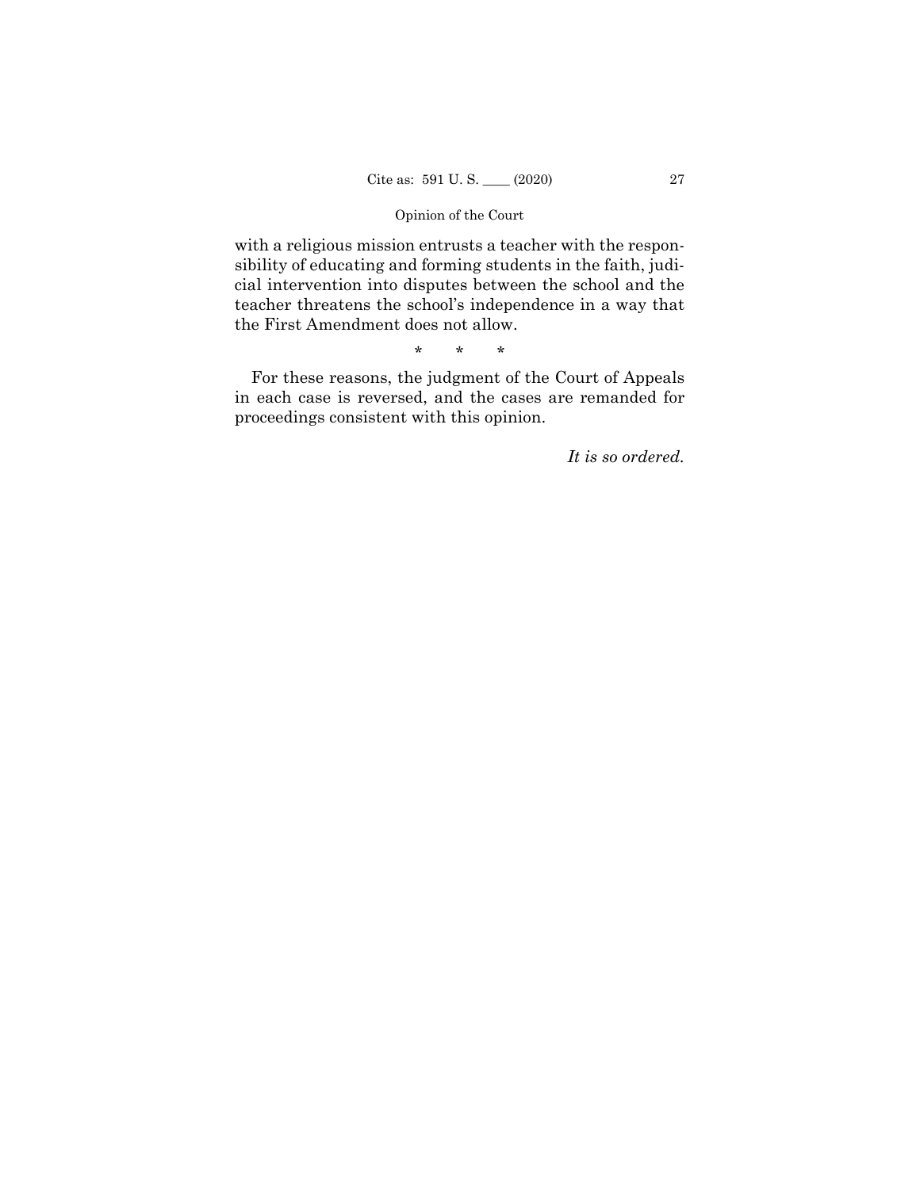with a religious mission entrusts a teacher with the responsibility of educating and forming students in the faith, judicial intervention into disputes between the school and the teacher threatens the school's independence in a way that the First Amendment does not allow.

\* \* \*

For these reasons, the judgment of the Court of Appeals in each case is reversed, and the cases are remanded for proceedings consistent with this opinion.

*It is so ordered.*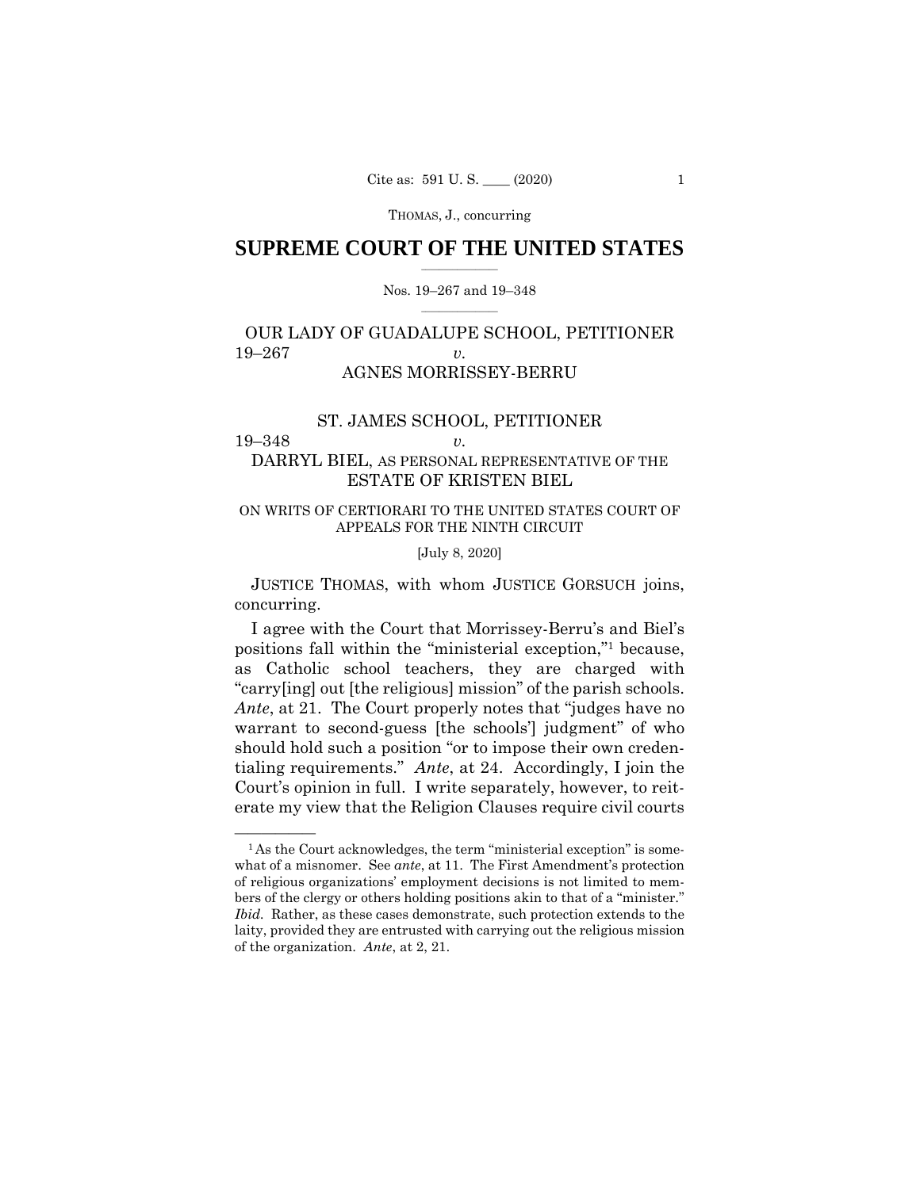THOMAS, J., concurring

# $\frac{1}{2}$  ,  $\frac{1}{2}$  ,  $\frac{1}{2}$  ,  $\frac{1}{2}$  ,  $\frac{1}{2}$  ,  $\frac{1}{2}$  ,  $\frac{1}{2}$ **SUPREME COURT OF THE UNITED STATES**

### $\frac{1}{2}$  ,  $\frac{1}{2}$  ,  $\frac{1}{2}$  ,  $\frac{1}{2}$  ,  $\frac{1}{2}$  ,  $\frac{1}{2}$ Nos. 19–267 and 19–348

# OUR LADY OF GUADALUPE SCHOOL, PETITIONER 19–267 *v.*  AGNES MORRISSEY-BERRU

# ST. JAMES SCHOOL, PETITIONER 19–348 *v.*

# DARRYL BIEL, AS PERSONAL REPRESENTATIVE OF THE ESTATE OF KRISTEN BIEL

# ON WRITS OF CERTIORARI TO THE UNITED STATES COURT OF APPEALS FOR THE NINTH CIRCUIT

# [July 8, 2020]

 JUSTICE THOMAS, with whom JUSTICE GORSUCH joins, concurring.

I agree with the Court that Morrissey-Berru's and Biel's positions fall within the "ministerial exception,"1 because, as Catholic school teachers, they are charged with "carry[ing] out [the religious] mission" of the parish schools. *Ante*, at 21. The Court properly notes that "judges have no warrant to second-guess [the schools'] judgment" of who should hold such a position "or to impose their own credentialing requirements." *Ante*, at 24. Accordingly, I join the Court's opinion in full. I write separately, however, to reiterate my view that the Religion Clauses require civil courts

 bers of the clergy or others holding positions akin to that of a "minister."  $<sup>1</sup>$ As the Court acknowledges, the term "ministerial exception" is some-</sup> what of a misnomer. See *ante*, at 11. The First Amendment's protection of religious organizations' employment decisions is not limited to mem-*Ibid.* Rather, as these cases demonstrate, such protection extends to the laity, provided they are entrusted with carrying out the religious mission of the organization. *Ante*, at 2, 21.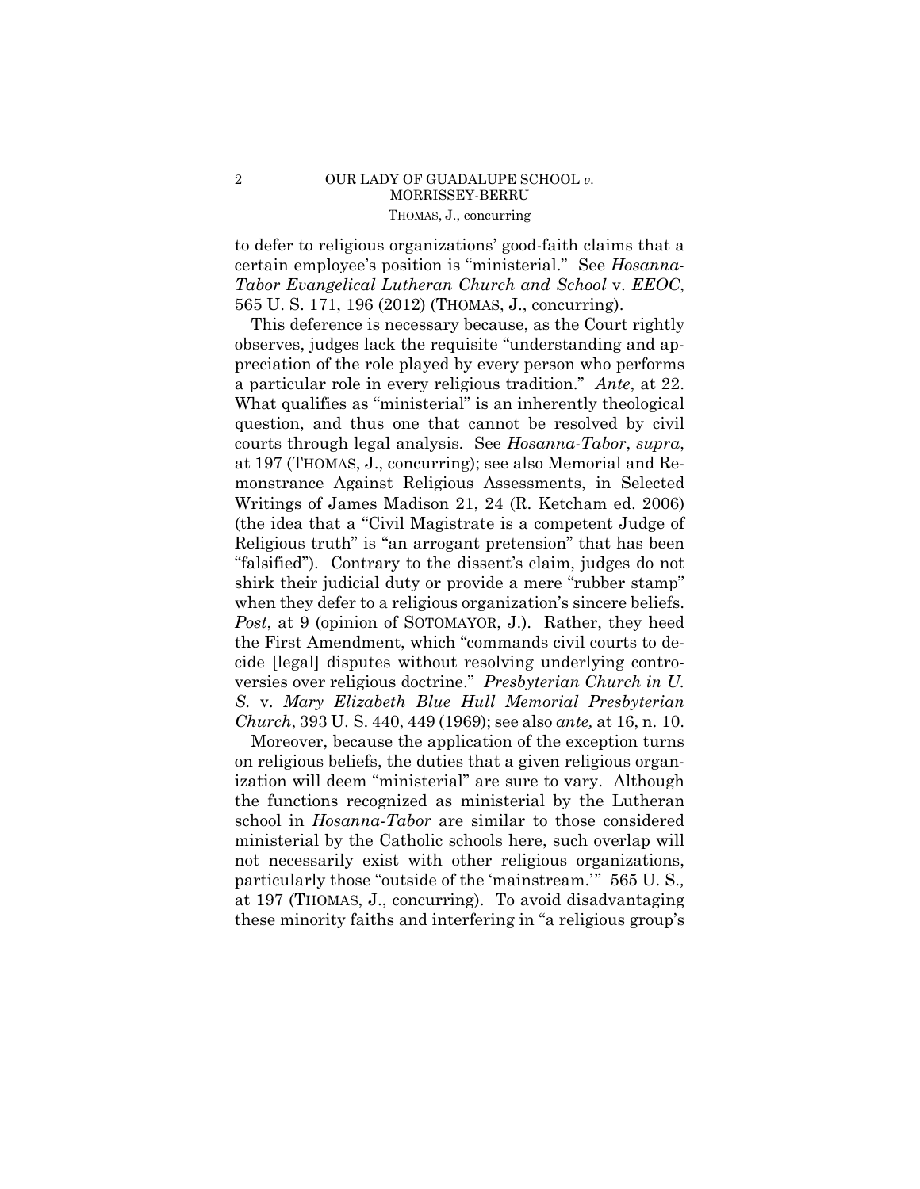# 2 OUR LADY OF GUADALUPE SCHOOL *v.* MORRISSEY-BERRU THOMAS, J., concurring

to defer to religious organizations' good-faith claims that a certain employee's position is "ministerial." See *Hosanna-Tabor Evangelical Lutheran Church and School* v. *EEOC*, 565 U. S. 171, 196 (2012) (THOMAS, J., concurring).

This deference is necessary because, as the Court rightly observes, judges lack the requisite "understanding and appreciation of the role played by every person who performs a particular role in every religious tradition." *Ante*, at 22. What qualifies as "ministerial" is an inherently theological question, and thus one that cannot be resolved by civil courts through legal analysis. See *Hosanna-Tabor*, *supra*, at 197 (THOMAS, J., concurring); see also Memorial and Remonstrance Against Religious Assessments, in Selected Writings of James Madison 21, 24 (R. Ketcham ed. 2006) (the idea that a "Civil Magistrate is a competent Judge of Religious truth" is "an arrogant pretension" that has been "falsified"). Contrary to the dissent's claim, judges do not shirk their judicial duty or provide a mere "rubber stamp" when they defer to a religious organization's sincere beliefs. *Post*, at 9 (opinion of SOTOMAYOR, J.). Rather, they heed the First Amendment, which "commands civil courts to decide [legal] disputes without resolving underlying controversies over religious doctrine." *Presbyterian Church in U. S.* v. *Mary Elizabeth Blue Hull Memorial Presbyterian Church*, 393 U. S. 440, 449 (1969); see also *ante,* at 16, n. 10.

 at 197 (THOMAS, J., concurring). To avoid disadvantaging Moreover, because the application of the exception turns on religious beliefs, the duties that a given religious organization will deem "ministerial" are sure to vary. Although the functions recognized as ministerial by the Lutheran school in *Hosanna-Tabor* are similar to those considered ministerial by the Catholic schools here, such overlap will not necessarily exist with other religious organizations, particularly those "outside of the 'mainstream.'" 565 U. S.*,*  these minority faiths and interfering in "a religious group's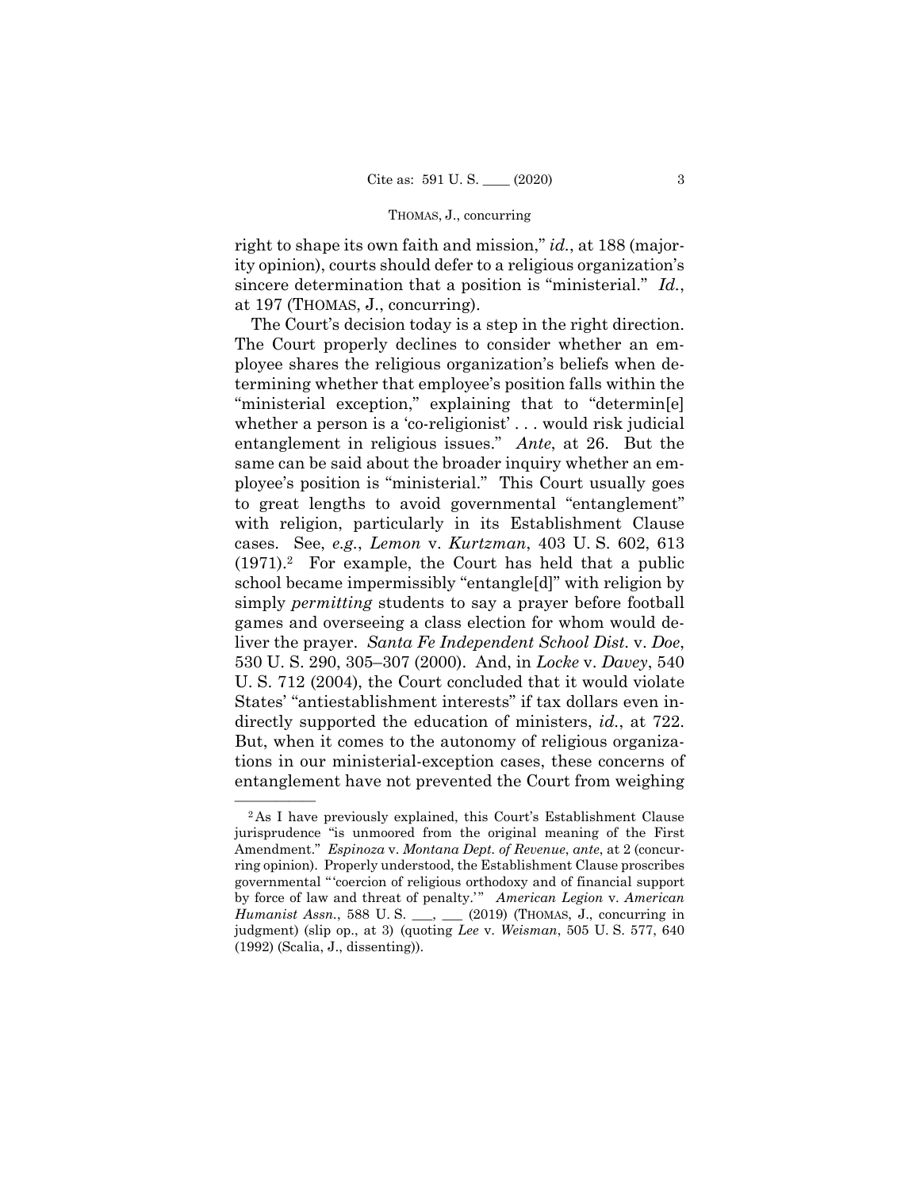### THOMAS, J., concurring

right to shape its own faith and mission," *id.*, at 188 (majority opinion), courts should defer to a religious organization's sincere determination that a position is "ministerial." *Id.*, at 197 (THOMAS, J., concurring).

The Court's decision today is a step in the right direction. The Court properly declines to consider whether an employee shares the religious organization's beliefs when determining whether that employee's position falls within the "ministerial exception," explaining that to "determin[e] whether a person is a 'co-religionist' . . . would risk judicial entanglement in religious issues." *Ante*, at 26. But the same can be said about the broader inquiry whether an employee's position is "ministerial." This Court usually goes to great lengths to avoid governmental "entanglement" with religion, particularly in its Establishment Clause cases. See, *e.g.*, *Lemon* v. *Kurtzman*, 403 U. S. 602, 613  $(1971).<sup>2</sup>$  For example, the Court has held that a public school became impermissibly "entangle[d]" with religion by simply *permitting* students to say a prayer before football games and overseeing a class election for whom would deliver the prayer. *Santa Fe Independent School Dist.* v. *Doe*, 530 U. S. 290, 305–307 (2000). And, in *Locke* v. *Davey*, 540 U. S. 712 (2004), the Court concluded that it would violate States' "antiestablishment interests" if tax dollars even indirectly supported the education of ministers, *id.*, at 722. But, when it comes to the autonomy of religious organizations in our ministerial-exception cases, these concerns of entanglement have not prevented the Court from weighing

 $\overline{\hspace{1cm}}$  <sup>2</sup>As I have previously explained, this Court's Establishment Clause jurisprudence "is unmoored from the original meaning of the First Amendment." *Espinoza* v. *Montana Dept. of Revenue*, *ante*, at 2 (concurring opinion). Properly understood, the Establishment Clause proscribes governmental " 'coercion of religious orthodoxy and of financial support by force of law and threat of penalty.'" American Legion v. American *Humanist Assn.*, 588 U.S. \_\_, \_\_ (2019) (THOMAS, J., concurring in judgment) (slip op., at 3) (quoting *Lee* v. *Weisman*, 505 U. S. 577, 640 (1992) (Scalia, J., dissenting)).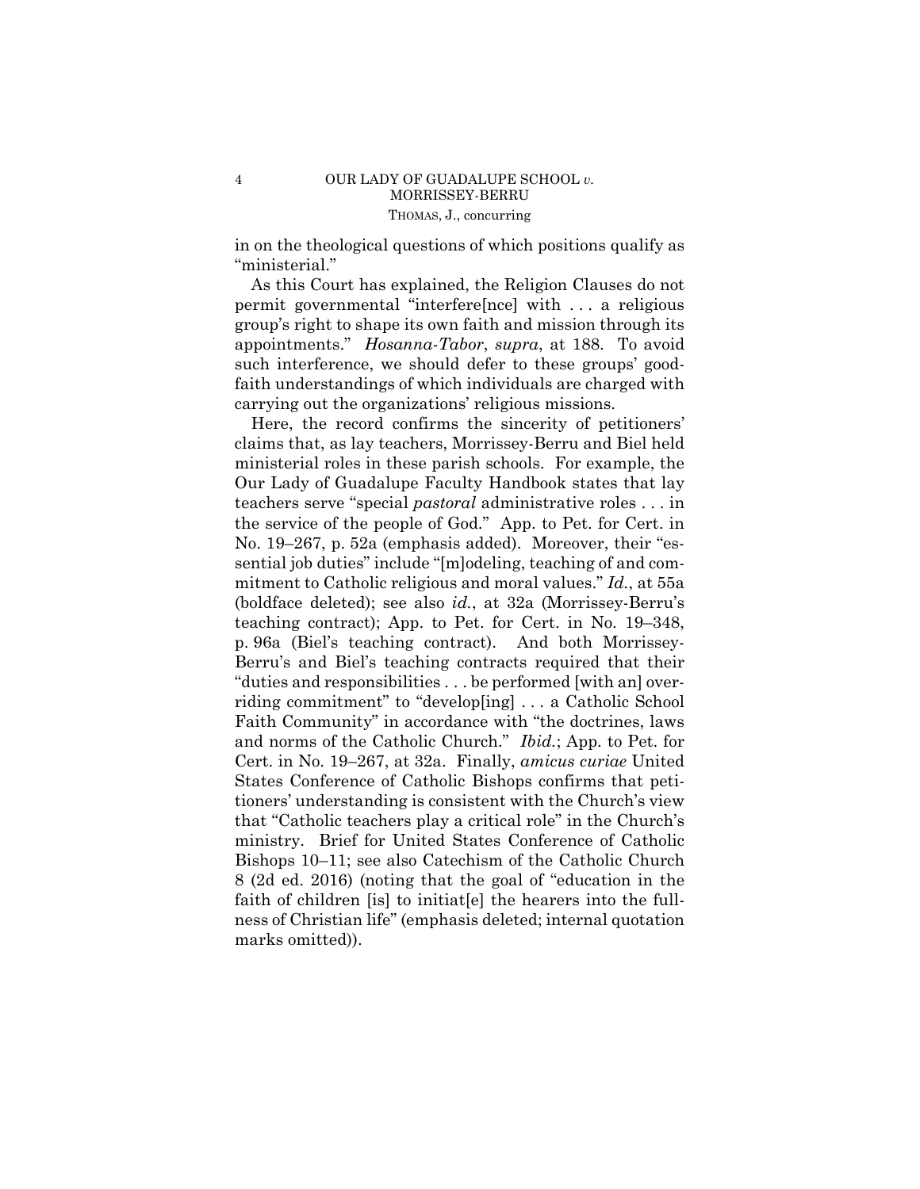in on the theological questions of which positions qualify as "ministerial."

As this Court has explained, the Religion Clauses do not permit governmental "interfere[nce] with . . . a religious group's right to shape its own faith and mission through its appointments." *Hosanna-Tabor*, *supra*, at 188. To avoid such interference, we should defer to these groups' goodfaith understandings of which individuals are charged with carrying out the organizations' religious missions.

Here, the record confirms the sincerity of petitioners' claims that, as lay teachers, Morrissey-Berru and Biel held ministerial roles in these parish schools. For example, the Our Lady of Guadalupe Faculty Handbook states that lay teachers serve "special *pastoral* administrative roles . . . in the service of the people of God." App. to Pet. for Cert. in No. 19–267, p. 52a (emphasis added). Moreover, their "essential job duties" include "[m]odeling, teaching of and commitment to Catholic religious and moral values." *Id.*, at 55a (boldface deleted); see also *id.*, at 32a (Morrissey-Berru's teaching contract); App. to Pet. for Cert. in No. 19–348, p. 96a (Biel's teaching contract). And both Morrissey-Berru's and Biel's teaching contracts required that their "duties and responsibilities . . . be performed [with an] overriding commitment" to "develop[ing] . . . a Catholic School Faith Community" in accordance with "the doctrines, laws and norms of the Catholic Church." *Ibid.*; App. to Pet. for Cert. in No. 19–267, at 32a. Finally, *amicus curiae* United States Conference of Catholic Bishops confirms that petitioners' understanding is consistent with the Church's view that "Catholic teachers play a critical role" in the Church's ministry. Brief for United States Conference of Catholic Bishops 10–11; see also Catechism of the Catholic Church 8 (2d ed. 2016) (noting that the goal of "education in the faith of children [is] to initiat[e] the hearers into the fullness of Christian life" (emphasis deleted; internal quotation marks omitted)).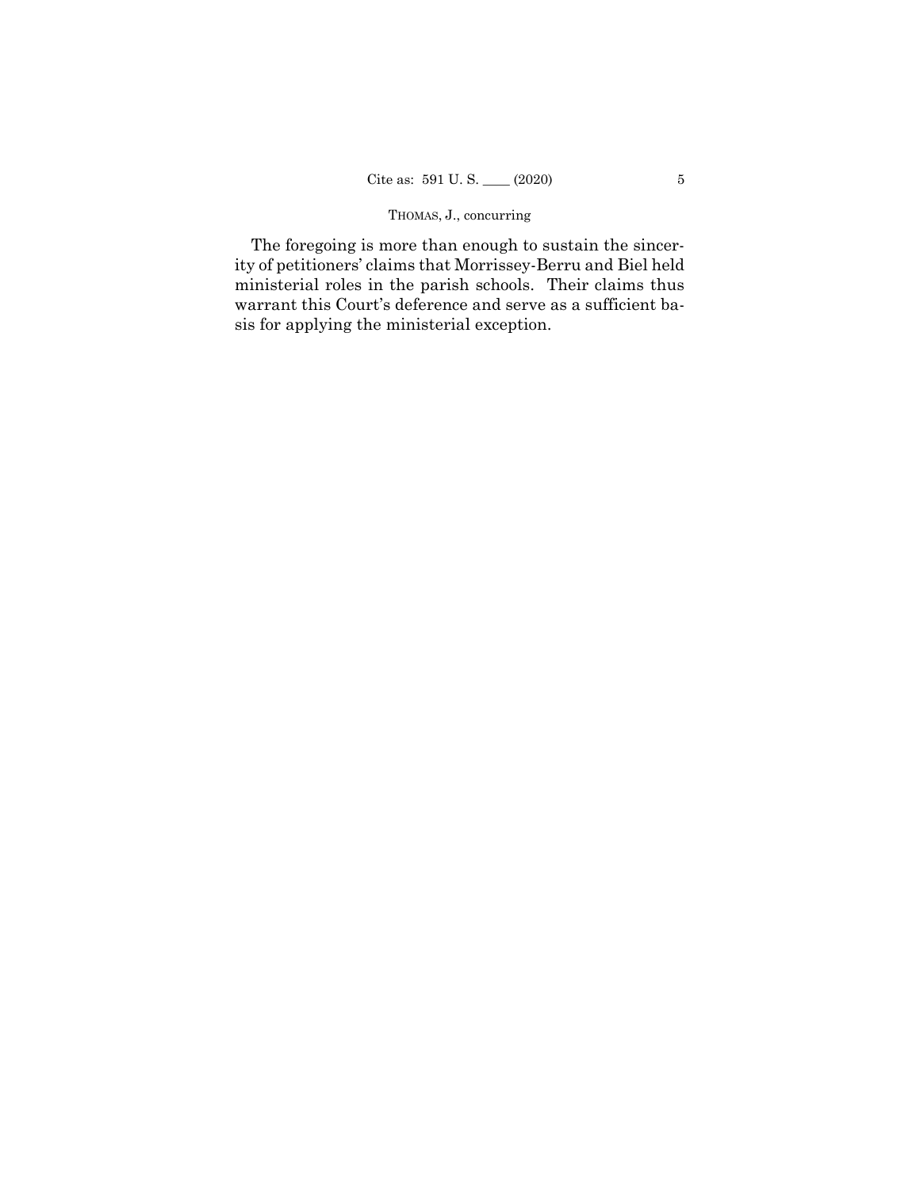# THOMAS, J., concurring

The foregoing is more than enough to sustain the sincerity of petitioners' claims that Morrissey-Berru and Biel held ministerial roles in the parish schools. Their claims thus warrant this Court's deference and serve as a sufficient basis for applying the ministerial exception.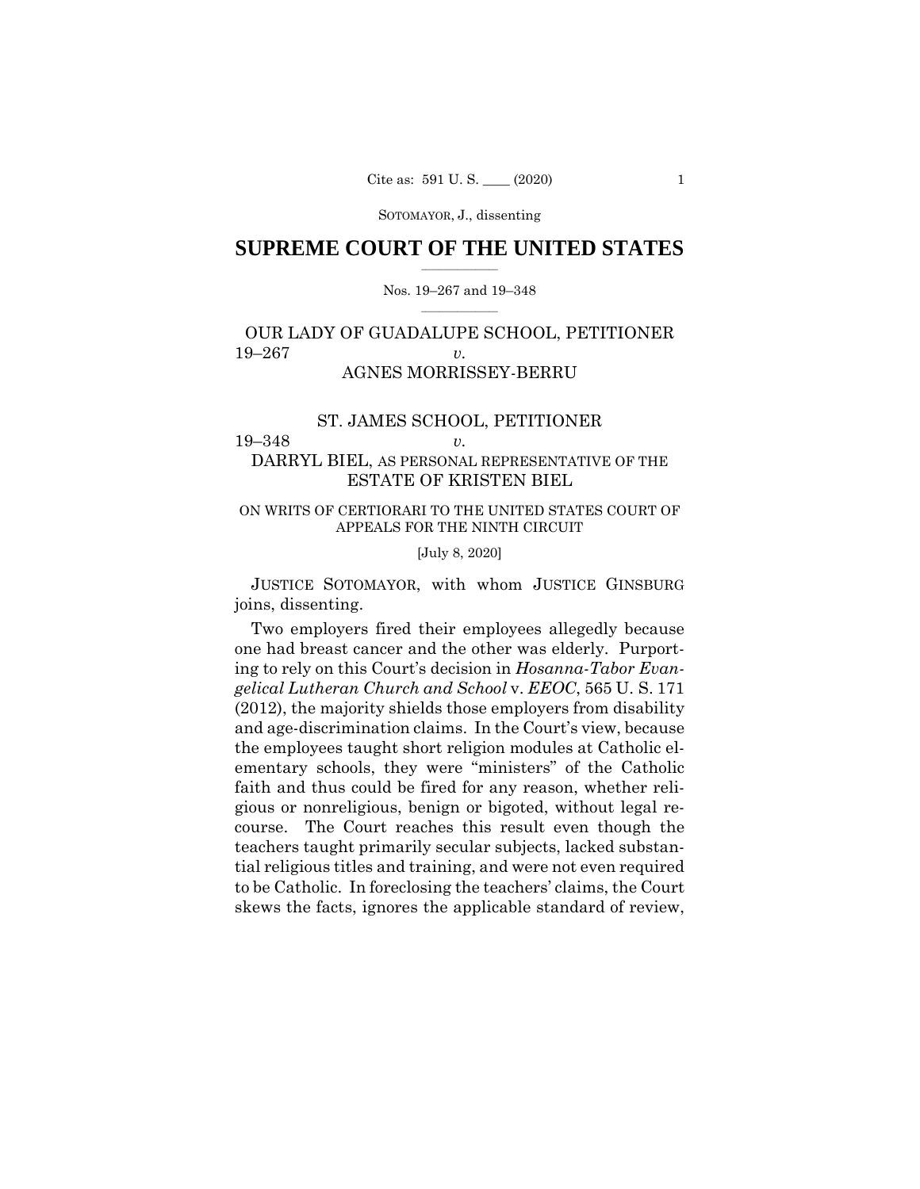SOTOMAYOR, J., dissenting

# $\frac{1}{2}$  ,  $\frac{1}{2}$  ,  $\frac{1}{2}$  ,  $\frac{1}{2}$  ,  $\frac{1}{2}$  ,  $\frac{1}{2}$  ,  $\frac{1}{2}$ **SUPREME COURT OF THE UNITED STATES**

### $\frac{1}{2}$  ,  $\frac{1}{2}$  ,  $\frac{1}{2}$  ,  $\frac{1}{2}$  ,  $\frac{1}{2}$  ,  $\frac{1}{2}$ Nos. 19–267 and 19–348

# OUR LADY OF GUADALUPE SCHOOL, PETITIONER 19–267 *v.*  AGNES MORRISSEY-BERRU

# ST. JAMES SCHOOL, PETITIONER 19–348 *v.*

# DARRYL BIEL, AS PERSONAL REPRESENTATIVE OF THE ESTATE OF KRISTEN BIEL

# ON WRITS OF CERTIORARI TO THE UNITED STATES COURT OF APPEALS FOR THE NINTH CIRCUIT

# [July 8, 2020]

 JUSTICE SOTOMAYOR, with whom JUSTICE GINSBURG joins, dissenting.

Two employers fired their employees allegedly because one had breast cancer and the other was elderly. Purporting to rely on this Court's decision in *Hosanna-Tabor Evangelical Lutheran Church and School* v. *EEOC*, 565 U. S. 171 (2012), the majority shields those employers from disability and age-discrimination claims. In the Court's view, because the employees taught short religion modules at Catholic elementary schools, they were "ministers" of the Catholic faith and thus could be fired for any reason, whether religious or nonreligious, benign or bigoted, without legal recourse. The Court reaches this result even though the teachers taught primarily secular subjects, lacked substantial religious titles and training, and were not even required to be Catholic. In foreclosing the teachers' claims, the Court skews the facts, ignores the applicable standard of review,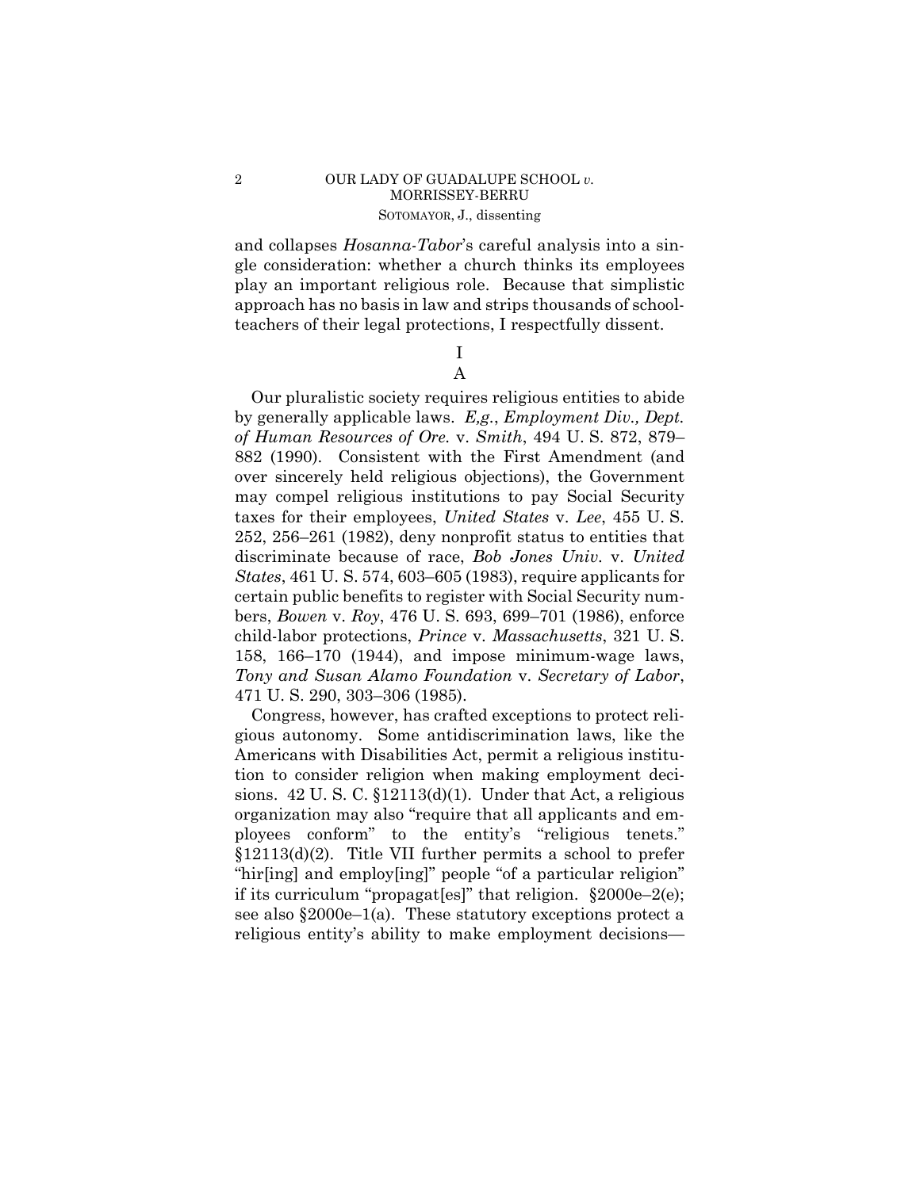# 2 OUR LADY OF GUADALUPE SCHOOL *v.*  MORRISSEY-BERRU SOTOMAYOR, J., dissenting

and collapses *Hosanna-Tabor*'s careful analysis into a single consideration: whether a church thinks its employees play an important religious role. Because that simplistic approach has no basis in law and strips thousands of schoolteachers of their legal protections, I respectfully dissent.

# I A

Our pluralistic society requires religious entities to abide by generally applicable laws. *E,g.*, *Employment Div., Dept. of Human Resources of Ore.* v. *Smith*, 494 U. S. 872, 879– 882 (1990). Consistent with the First Amendment (and over sincerely held religious objections), the Government may compel religious institutions to pay Social Security taxes for their employees, *United States* v. *Lee*, 455 U. S. 252, 256–261 (1982), deny nonprofit status to entities that discriminate because of race, *Bob Jones Univ.* v. *United States*, 461 U. S. 574, 603–605 (1983), require applicants for certain public benefits to register with Social Security numbers, *Bowen* v. *Roy*, 476 U. S. 693, 699–701 (1986), enforce child-labor protections, *Prince* v. *Massachusetts*, 321 U. S. 158, 166–170 (1944), and impose minimum-wage laws, *Tony and Susan Alamo Foundation* v. *Secretary of Labor*, 471 U. S. 290, 303–306 (1985).

Congress, however, has crafted exceptions to protect religious autonomy. Some antidiscrimination laws, like the Americans with Disabilities Act, permit a religious institution to consider religion when making employment decisions. 42 U. S. C. §12113(d)(1). Under that Act, a religious organization may also "require that all applicants and employees conform" to the entity's "religious tenets." §12113(d)(2). Title VII further permits a school to prefer "hir[ing] and employ[ing]" people "of a particular religion" if its curriculum "propagat[es]" that religion. §2000e–2(e); see also §2000e–1(a). These statutory exceptions protect a religious entity's ability to make employment decisions—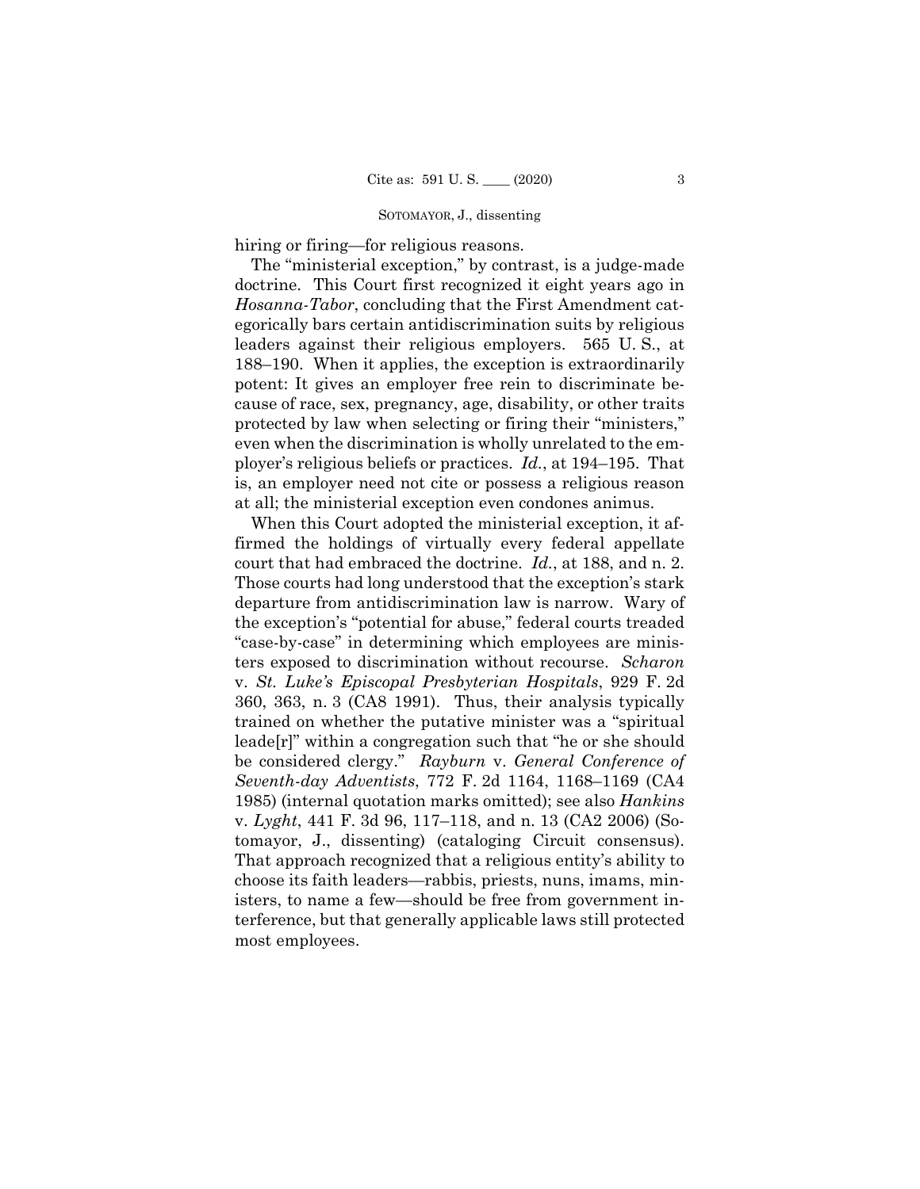### SOTOMAYOR, J., dissenting

hiring or firing—for religious reasons.

The "ministerial exception," by contrast, is a judge-made doctrine. This Court first recognized it eight years ago in *Hosanna-Tabor*, concluding that the First Amendment categorically bars certain antidiscrimination suits by religious leaders against their religious employers. 565 U. S., at 188–190. When it applies, the exception is extraordinarily potent: It gives an employer free rein to discriminate because of race, sex, pregnancy, age, disability, or other traits protected by law when selecting or firing their "ministers," even when the discrimination is wholly unrelated to the employer's religious beliefs or practices. *Id.*, at 194–195. That is, an employer need not cite or possess a religious reason at all; the ministerial exception even condones animus.

 court that had embraced the doctrine. *Id.*, at 188, and n. 2. Those courts had long understood that the exception's stark tomayor, J., dissenting) (cataloging Circuit consensus). When this Court adopted the ministerial exception, it affirmed the holdings of virtually every federal appellate departure from antidiscrimination law is narrow. Wary of the exception's "potential for abuse," federal courts treaded "case-by-case" in determining which employees are ministers exposed to discrimination without recourse. *Scharon*  v. *St. Luke's Episcopal Presbyterian Hospitals*, 929 F. 2d 360, 363, n. 3 (CA8 1991). Thus, their analysis typically trained on whether the putative minister was a "spiritual leade[r]" within a congregation such that "he or she should be considered clergy." *Rayburn* v. *General Conference of Seventh-day Adventists*, 772 F. 2d 1164, 1168–1169 (CA4 1985) (internal quotation marks omitted); see also *Hankins*  v. *Lyght*, 441 F. 3d 96, 117–118, and n. 13 (CA2 2006) (So-That approach recognized that a religious entity's ability to choose its faith leaders—rabbis, priests, nuns, imams, ministers, to name a few—should be free from government interference, but that generally applicable laws still protected most employees.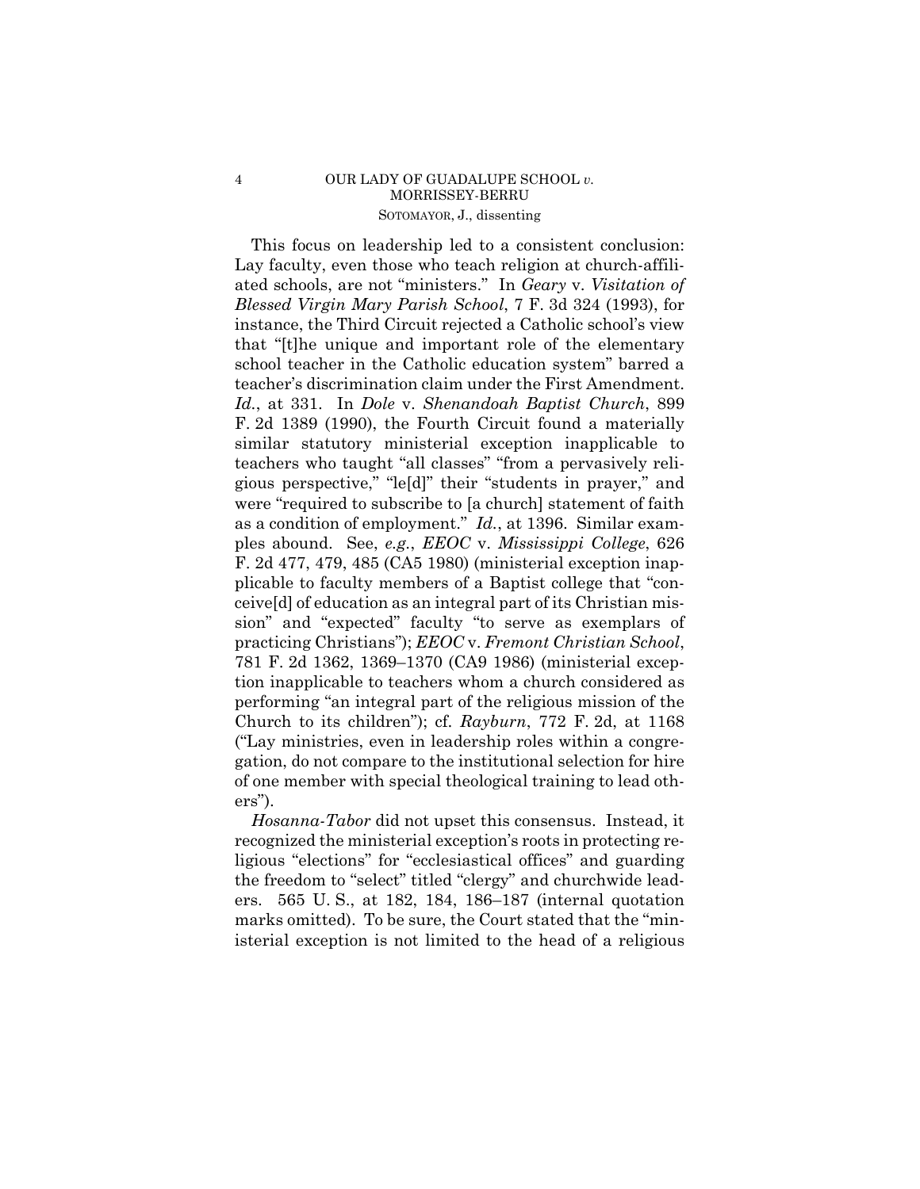# 4 OUR LADY OF GUADALUPE SCHOOL *v.*  MORRISSEY-BERRU SOTOMAYOR, J., dissenting

This focus on leadership led to a consistent conclusion: Lay faculty, even those who teach religion at church-affiliated schools, are not "ministers." In *Geary* v. *Visitation of Blessed Virgin Mary Parish School*, 7 F. 3d 324 (1993), for instance, the Third Circuit rejected a Catholic school's view that "[t]he unique and important role of the elementary school teacher in the Catholic education system" barred a teacher's discrimination claim under the First Amendment. *Id.*, at 331. In *Dole* v. *Shenandoah Baptist Church*, 899 F. 2d 1389 (1990), the Fourth Circuit found a materially similar statutory ministerial exception inapplicable to teachers who taught "all classes" "from a pervasively religious perspective," "le[d]" their "students in prayer," and were "required to subscribe to [a church] statement of faith as a condition of employment." *Id.*, at 1396. Similar examples abound. See, *e.g.*, *EEOC* v. *Mississippi College*, 626 F. 2d 477, 479, 485 (CA5 1980) (ministerial exception inapplicable to faculty members of a Baptist college that "conceive[d] of education as an integral part of its Christian mission" and "expected" faculty "to serve as exemplars of practicing Christians"); *EEOC* v. *Fremont Christian School*, 781 F. 2d 1362, 1369–1370 (CA9 1986) (ministerial exception inapplicable to teachers whom a church considered as performing "an integral part of the religious mission of the Church to its children"); cf. *Rayburn*, 772 F. 2d, at 1168 ("Lay ministries, even in leadership roles within a congregation, do not compare to the institutional selection for hire of one member with special theological training to lead others").

*Hosanna-Tabor* did not upset this consensus. Instead, it recognized the ministerial exception's roots in protecting religious "elections" for "ecclesiastical offices" and guarding the freedom to "select" titled "clergy" and churchwide leaders. 565 U. S., at 182, 184, 186–187 (internal quotation marks omitted). To be sure, the Court stated that the "ministerial exception is not limited to the head of a religious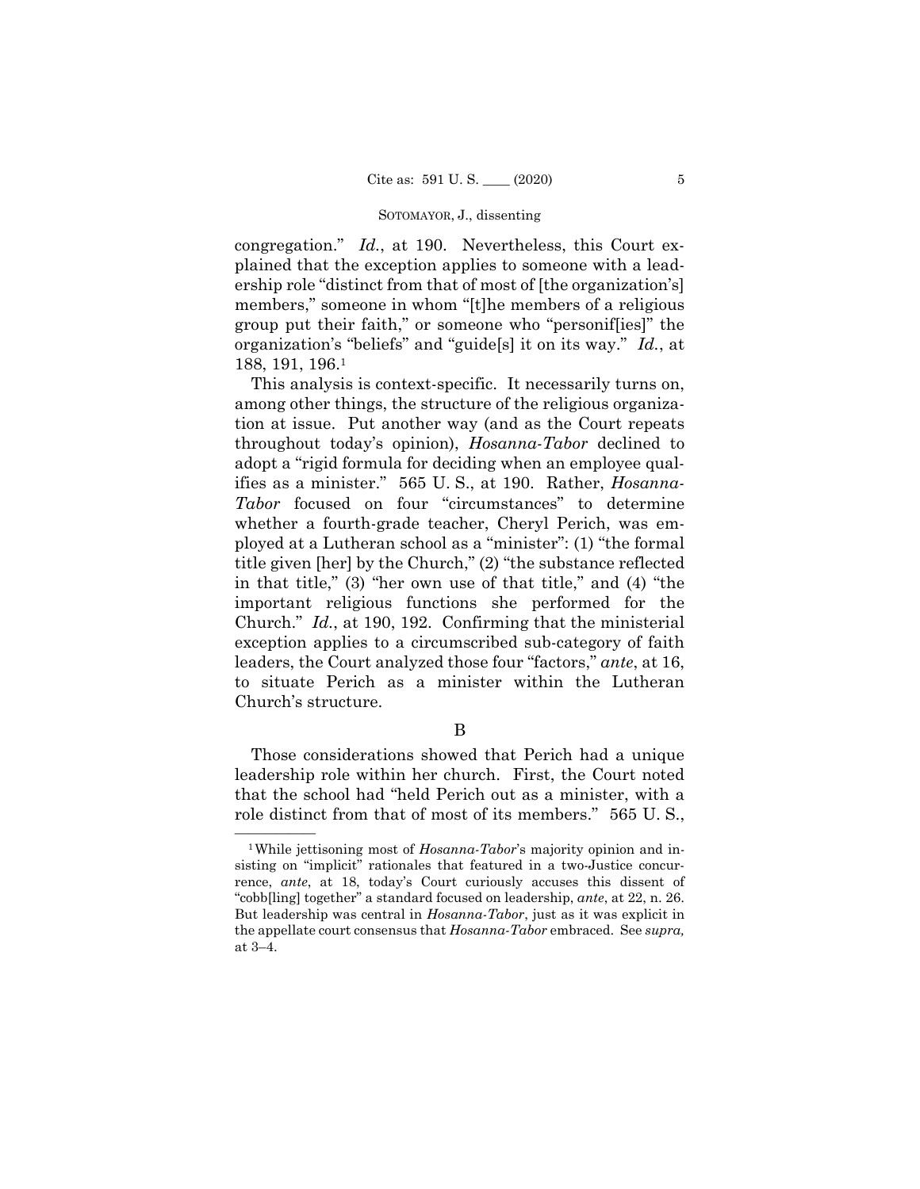### SOTOMAYOR, J., dissenting

congregation." *Id.*, at 190. Nevertheless, this Court explained that the exception applies to someone with a leadership role "distinct from that of most of [the organization's] members," someone in whom "[t]he members of a religious group put their faith," or someone who "personif[ies]" the organization's "beliefs" and "guide[s] it on its way." *Id.*, at 188, 191, 196.1

This analysis is context-specific. It necessarily turns on, among other things, the structure of the religious organization at issue. Put another way (and as the Court repeats throughout today's opinion), *Hosanna-Tabor* declined to adopt a "rigid formula for deciding when an employee qualifies as a minister." 565 U. S., at 190. Rather, *Hosanna-Tabor* focused on four "circumstances" to determine whether a fourth-grade teacher, Cheryl Perich, was employed at a Lutheran school as a "minister": (1) "the formal title given [her] by the Church," (2) "the substance reflected in that title," (3) "her own use of that title," and (4) "the important religious functions she performed for the Church." *Id.*, at 190, 192. Confirming that the ministerial exception applies to a circumscribed sub-category of faith leaders, the Court analyzed those four "factors," *ante*, at 16, to situate Perich as a minister within the Lutheran Church's structure.

B

Those considerations showed that Perich had a unique leadership role within her church. First, the Court noted that the school had "held Perich out as a minister, with a role distinct from that of most of its members." 565 U. S.,

 rence, *ante*, at 18, today's Court curiously accuses this dissent of "cobb[ling] together" a standard focused on leadership, *ante*, at 22, n. 26. <sup>1</sup>While jettisoning most of *Hosanna-Tabor*'s majority opinion and insisting on "implicit" rationales that featured in a two-Justice concur-But leadership was central in *Hosanna-Tabor*, just as it was explicit in the appellate court consensus that *Hosanna-Tabor* embraced. See *supra,*  at 3–4.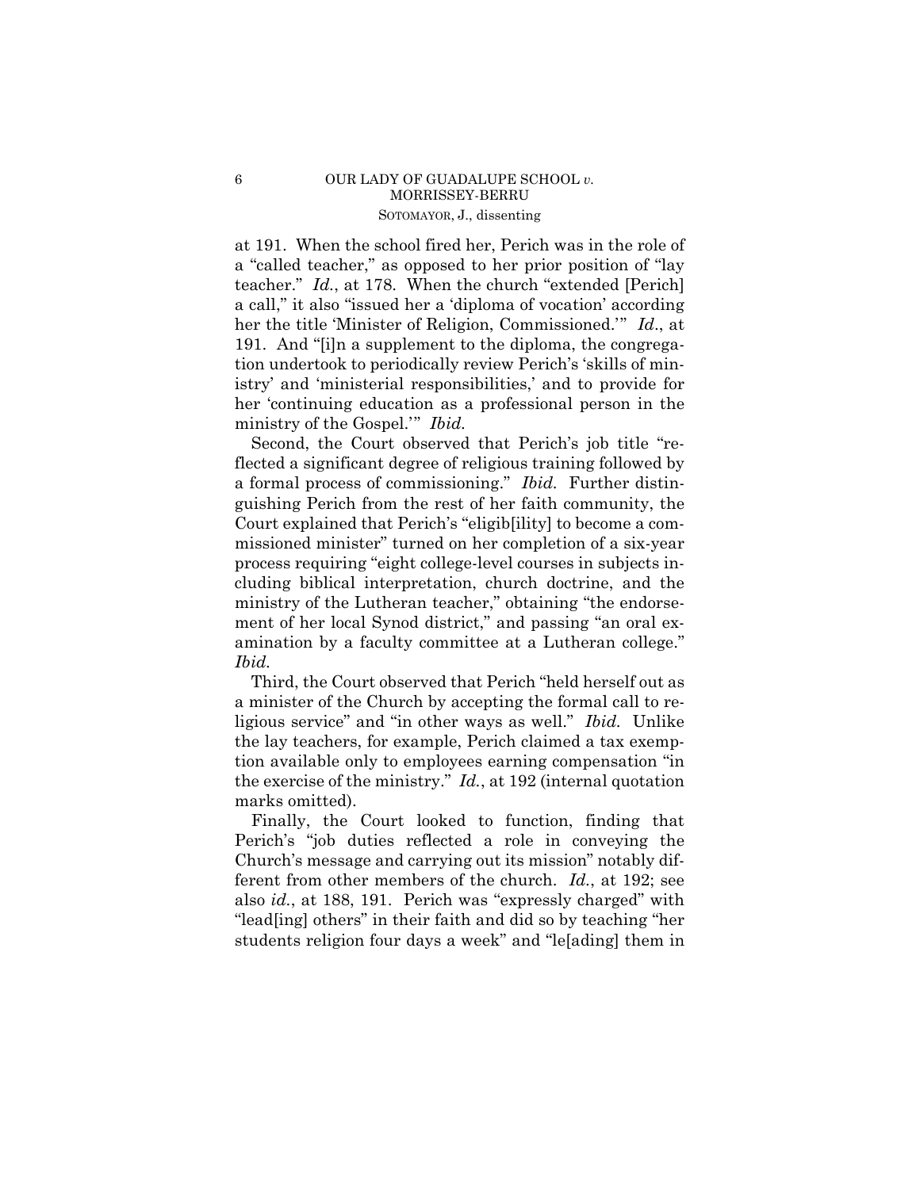# 6 OUR LADY OF GUADALUPE SCHOOL *v.*  MORRISSEY-BERRU SOTOMAYOR, J., dissenting

at 191. When the school fired her, Perich was in the role of a "called teacher," as opposed to her prior position of "lay teacher." *Id.*, at 178. When the church "extended [Perich] a call," it also "issued her a 'diploma of vocation' according her the title 'Minister of Religion, Commissioned.'" *Id*., at 191. And "[i]n a supplement to the diploma, the congregation undertook to periodically review Perich's 'skills of ministry' and 'ministerial responsibilities,' and to provide for her 'continuing education as a professional person in the ministry of the Gospel.'" *Ibid.* 

Second, the Court observed that Perich's job title "reflected a significant degree of religious training followed by a formal process of commissioning." *Ibid.* Further distinguishing Perich from the rest of her faith community, the Court explained that Perich's "eligib[ility] to become a commissioned minister" turned on her completion of a six-year process requiring "eight college-level courses in subjects including biblical interpretation, church doctrine, and the ministry of the Lutheran teacher," obtaining "the endorsement of her local Synod district," and passing "an oral examination by a faculty committee at a Lutheran college." *Ibid.* 

Third, the Court observed that Perich "held herself out as a minister of the Church by accepting the formal call to religious service" and "in other ways as well." *Ibid.* Unlike the lay teachers, for example, Perich claimed a tax exemption available only to employees earning compensation "in the exercise of the ministry." *Id.*, at 192 (internal quotation marks omitted).

Finally, the Court looked to function, finding that Perich's "job duties reflected a role in conveying the Church's message and carrying out its mission" notably different from other members of the church. *Id.*, at 192; see also *id.*, at 188, 191. Perich was "expressly charged" with "lead[ing] others" in their faith and did so by teaching "her students religion four days a week" and "le[ading] them in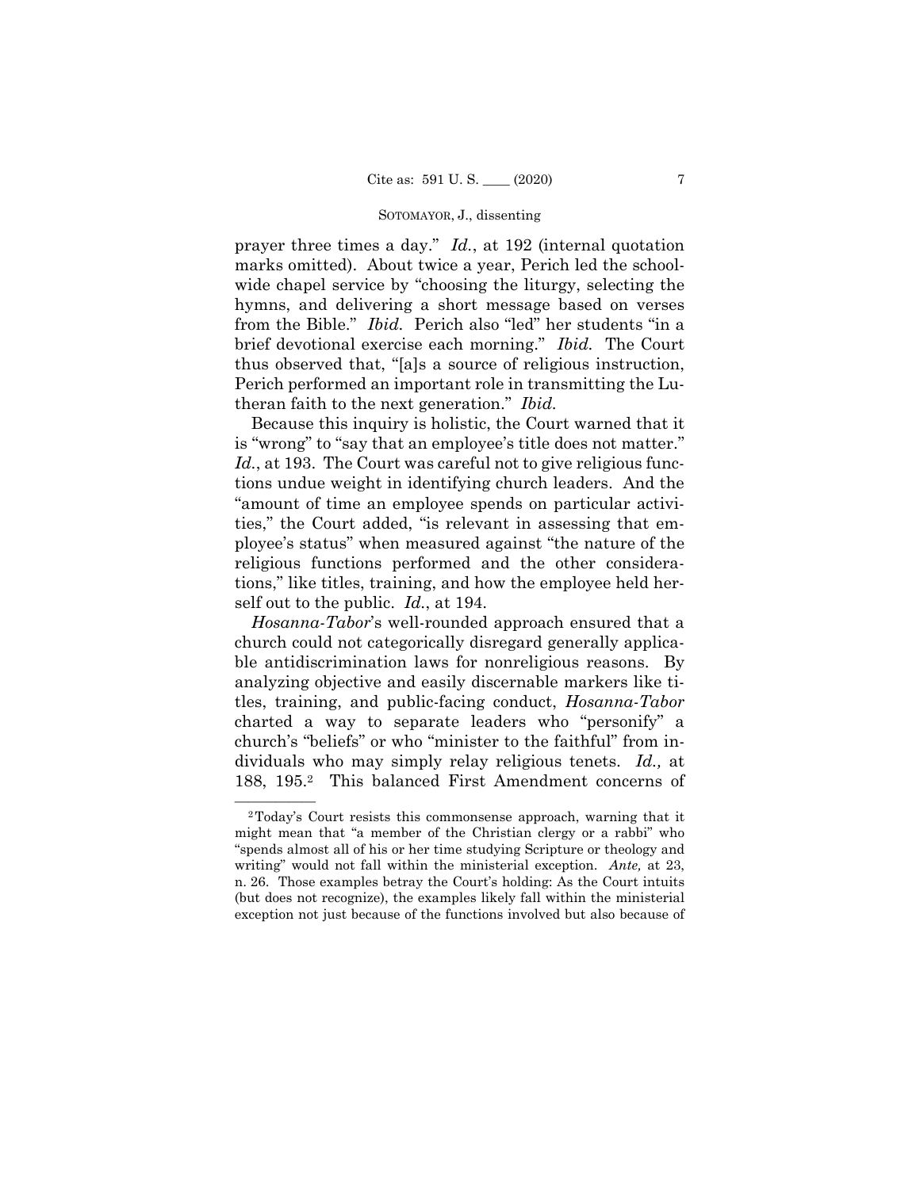### SOTOMAYOR, J., dissenting

 from the Bible." *Ibid.* Perich also "led" her students "in a prayer three times a day." *Id.*, at 192 (internal quotation marks omitted). About twice a year, Perich led the schoolwide chapel service by "choosing the liturgy, selecting the hymns, and delivering a short message based on verses brief devotional exercise each morning." *Ibid.* The Court thus observed that, "[a]s a source of religious instruction, Perich performed an important role in transmitting the Lutheran faith to the next generation." *Ibid.* 

Because this inquiry is holistic, the Court warned that it is "wrong" to "say that an employee's title does not matter." *Id.*, at 193. The Court was careful not to give religious functions undue weight in identifying church leaders. And the "amount of time an employee spends on particular activities," the Court added, "is relevant in assessing that employee's status" when measured against "the nature of the religious functions performed and the other considerations," like titles, training, and how the employee held herself out to the public. *Id.*, at 194.

*Hosanna-Tabor*'s well-rounded approach ensured that a church could not categorically disregard generally applicable antidiscrimination laws for nonreligious reasons. By analyzing objective and easily discernable markers like titles, training, and public-facing conduct, *Hosanna-Tabor*  charted a way to separate leaders who "personify" a church's "beliefs" or who "minister to the faithful" from individuals who may simply relay religious tenets. *Id.,* at 188, 195.2 This balanced First Amendment concerns of

 exception not just because of the functions involved but also because of <sup>2</sup>Today's Court resists this commonsense approach, warning that it might mean that "a member of the Christian clergy or a rabbi" who "spends almost all of his or her time studying Scripture or theology and writing" would not fall within the ministerial exception. *Ante,* at 23, n. 26. Those examples betray the Court's holding: As the Court intuits (but does not recognize), the examples likely fall within the ministerial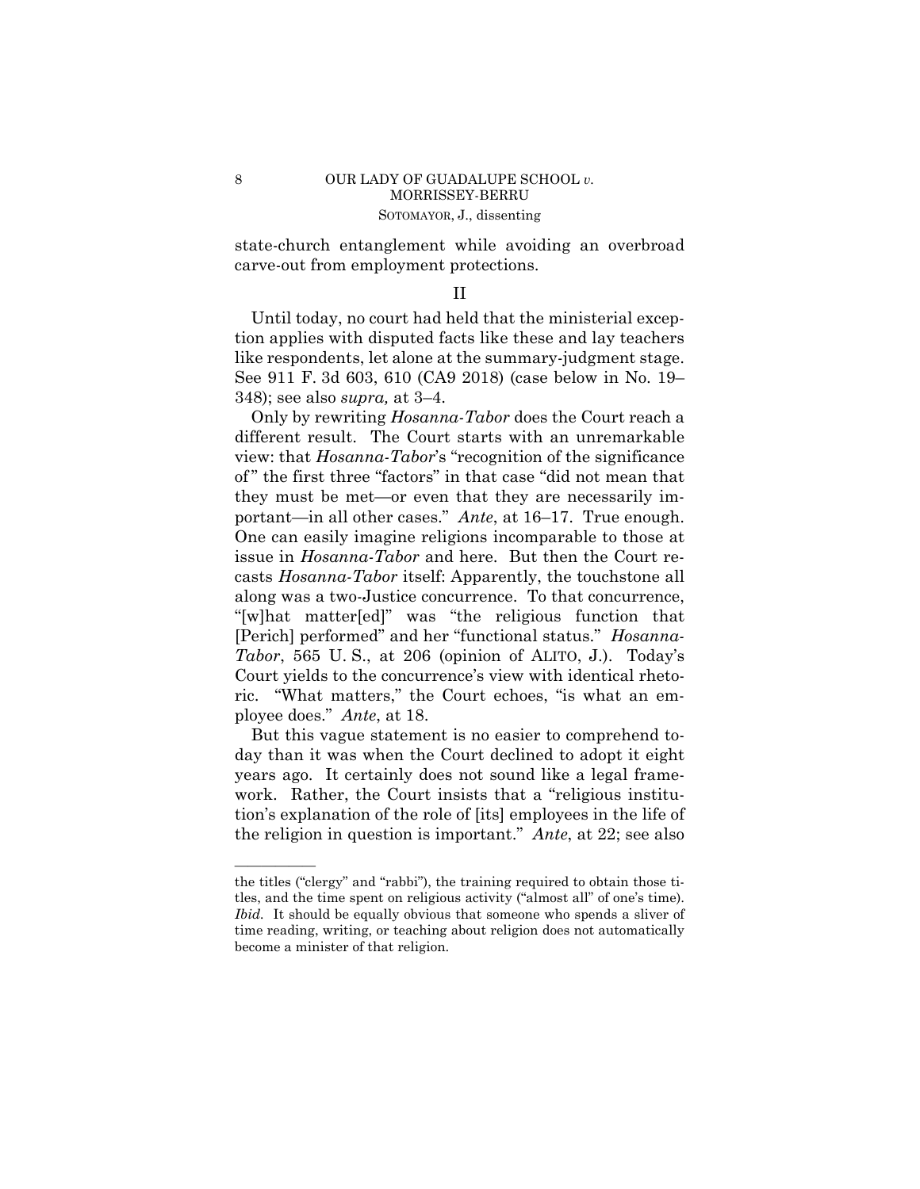state-church entanglement while avoiding an overbroad carve-out from employment protections.

# II

Until today, no court had held that the ministerial exception applies with disputed facts like these and lay teachers like respondents, let alone at the summary-judgment stage. See 911 F. 3d 603, 610 (CA9 2018) (case below in No. 19– 348); see also *supra,* at 3–4.

 *Tabor*, 565 U. S., at 206 (opinion of ALITO, J.). Today's ployee does." *Ante*, at 18. Only by rewriting *Hosanna-Tabor* does the Court reach a different result. The Court starts with an unremarkable view: that *Hosanna-Tabor*'s "recognition of the significance of " the first three "factors" in that case "did not mean that they must be met—or even that they are necessarily important—in all other cases." *Ante*, at 16–17. True enough. One can easily imagine religions incomparable to those at issue in *Hosanna-Tabor* and here. But then the Court recasts *Hosanna-Tabor* itself: Apparently, the touchstone all along was a two-Justice concurrence. To that concurrence, "[w]hat matter[ed]" was "the religious function that [Perich] performed" and her "functional status." *Hosanna-*Court yields to the concurrence's view with identical rhetoric. "What matters," the Court echoes, "is what an em-

But this vague statement is no easier to comprehend today than it was when the Court declined to adopt it eight years ago. It certainly does not sound like a legal framework. Rather, the Court insists that a "religious institution's explanation of the role of [its] employees in the life of the religion in question is important." *Ante*, at 22; see also

——————

the titles ("clergy" and "rabbi"), the training required to obtain those titles, and the time spent on religious activity ("almost all" of one's time). *Ibid.* It should be equally obvious that someone who spends a sliver of time reading, writing, or teaching about religion does not automatically become a minister of that religion.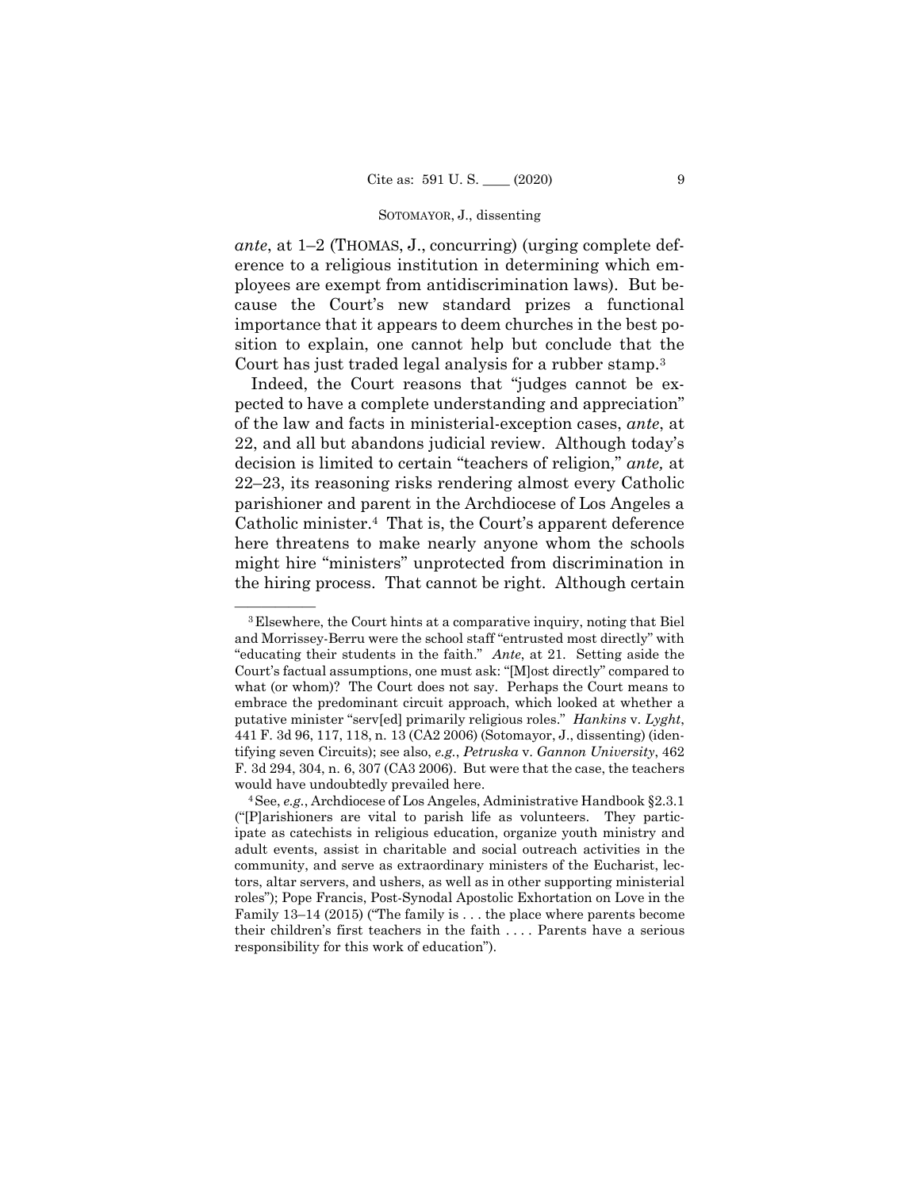### SOTOMAYOR, J., dissenting

 *ante*, at 1–2 (THOMAS, J., concurring) (urging complete deference to a religious institution in determining which employees are exempt from antidiscrimination laws). But because the Court's new standard prizes a functional importance that it appears to deem churches in the best position to explain, one cannot help but conclude that the Court has just traded legal analysis for a rubber stamp.3

Indeed, the Court reasons that "judges cannot be expected to have a complete understanding and appreciation" of the law and facts in ministerial-exception cases, *ante*, at 22, and all but abandons judicial review. Although today's decision is limited to certain "teachers of religion," *ante,* at 22–23, its reasoning risks rendering almost every Catholic parishioner and parent in the Archdiocese of Los Angeles a Catholic minister.4 That is, the Court's apparent deference here threatens to make nearly anyone whom the schools might hire "ministers" unprotected from discrimination in the hiring process. That cannot be right. Although certain

<sup>&</sup>lt;sup>3</sup>Elsewhere, the Court hints at a comparative inquiry, noting that Biel and Morrissey-Berru were the school staff "entrusted most directly" with "educating their students in the faith." *Ante*, at 21. Setting aside the Court's factual assumptions, one must ask: "[M]ost directly" compared to what (or whom)? The Court does not say. Perhaps the Court means to embrace the predominant circuit approach, which looked at whether a putative minister "serv[ed] primarily religious roles." *Hankins* v. *Lyght*, 441 F. 3d 96, 117, 118, n. 13 (CA2 2006) (Sotomayor, J., dissenting) (identifying seven Circuits); see also, *e.g.*, *Petruska* v. *Gannon University*, 462 F. 3d 294, 304, n. 6, 307 (CA3 2006). But were that the case, the teachers would have undoubtedly prevailed here. 4See, *e.g.*, Archdiocese of Los Angeles, Administrative Handbook §2.3.1

<sup>(&</sup>quot;[P]arishioners are vital to parish life as volunteers. They participate as catechists in religious education, organize youth ministry and adult events, assist in charitable and social outreach activities in the community, and serve as extraordinary ministers of the Eucharist, lectors, altar servers, and ushers, as well as in other supporting ministerial roles"); Pope Francis, Post-Synodal Apostolic Exhortation on Love in the Family 13–14 (2015) ("The family is . . . the place where parents become their children's first teachers in the faith . . . . Parents have a serious responsibility for this work of education").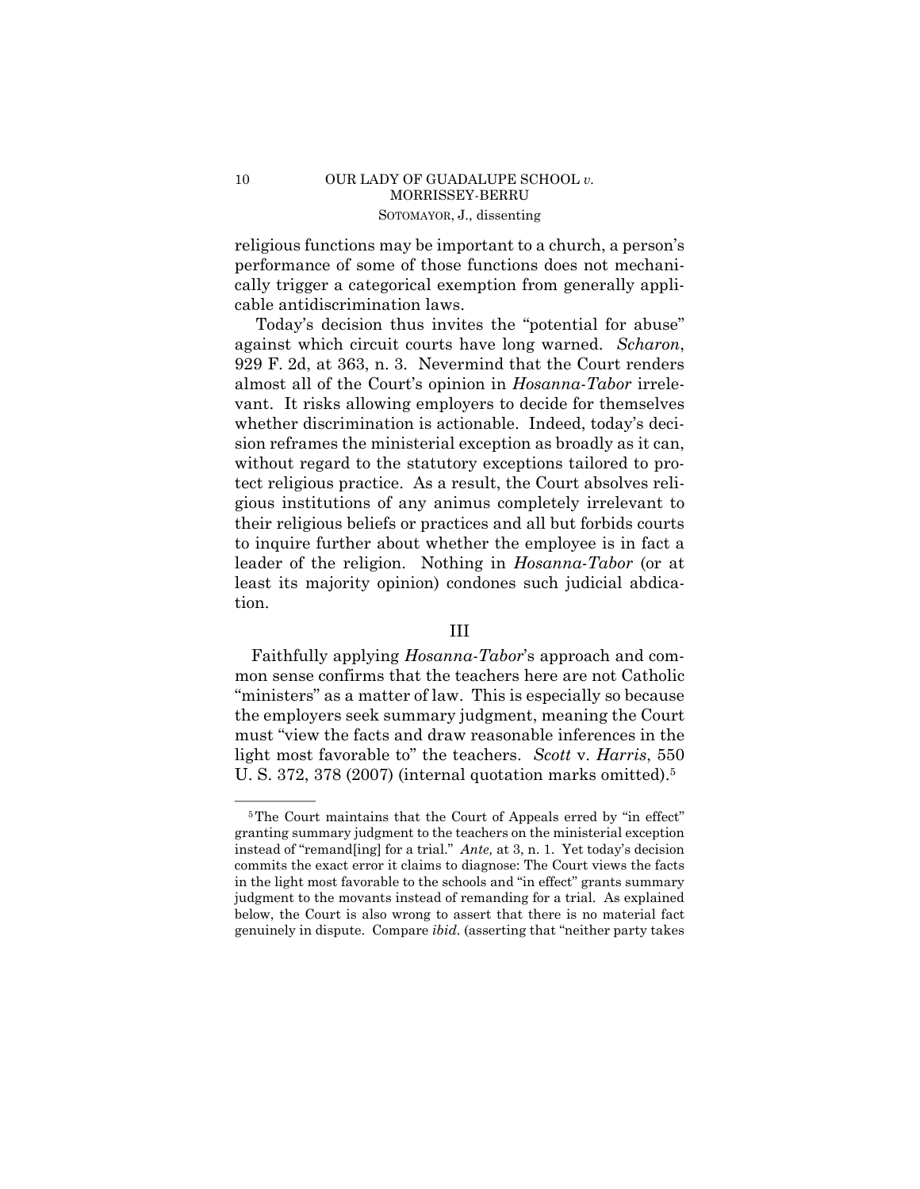# 10 OUR LADY OF GUADALUPE SCHOOL *v*. MORRISSEY-BERRU SOTOMAYOR, J., dissenting

religious functions may be important to a church, a person's performance of some of those functions does not mechanically trigger a categorical exemption from generally applicable antidiscrimination laws.

Today's decision thus invites the "potential for abuse" against which circuit courts have long warned. *Scharon*, 929 F. 2d, at 363, n. 3. Nevermind that the Court renders almost all of the Court's opinion in *Hosanna-Tabor* irrelevant. It risks allowing employers to decide for themselves whether discrimination is actionable. Indeed, today's decision reframes the ministerial exception as broadly as it can, without regard to the statutory exceptions tailored to protect religious practice. As a result, the Court absolves religious institutions of any animus completely irrelevant to their religious beliefs or practices and all but forbids courts to inquire further about whether the employee is in fact a leader of the religion. Nothing in *Hosanna-Tabor* (or at least its majority opinion) condones such judicial abdication.

# III

 Faithfully applying *Hosanna-Tabor*'s approach and common sense confirms that the teachers here are not Catholic "ministers" as a matter of law. This is especially so because the employers seek summary judgment, meaning the Court must "view the facts and draw reasonable inferences in the light most favorable to" the teachers. *Scott* v. *Harris*, 550 U. S. 372, 378 (2007) (internal quotation marks omitted).5

 instead of "remand[ing] for a trial." *Ante,* at 3, n. 1. Yet today's decision genuinely in dispute. Compare *ibid.* (asserting that "neither party takes <sup>5</sup>The Court maintains that the Court of Appeals erred by "in effect" granting summary judgment to the teachers on the ministerial exception commits the exact error it claims to diagnose: The Court views the facts in the light most favorable to the schools and "in effect" grants summary judgment to the movants instead of remanding for a trial. As explained below, the Court is also wrong to assert that there is no material fact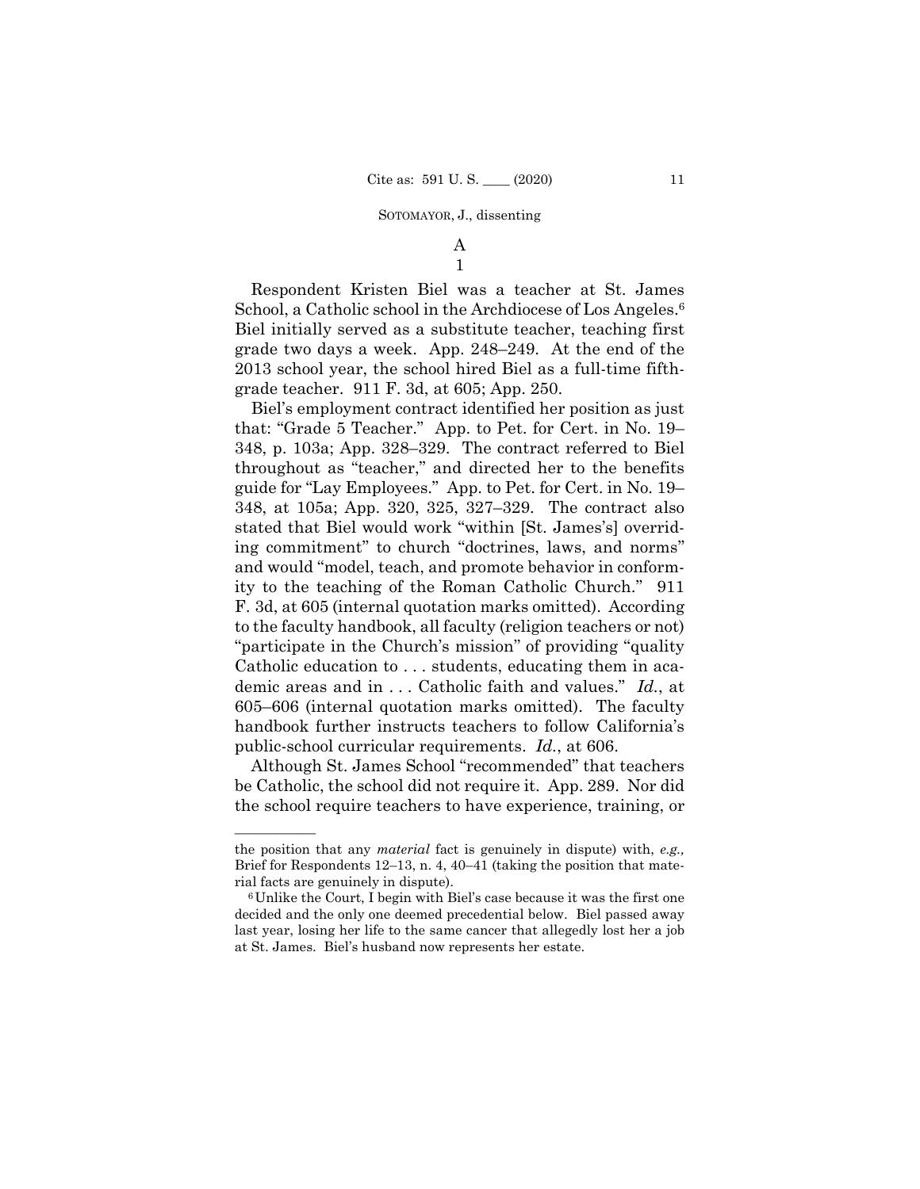### SOTOMAYOR, J., dissenting

A 1

School, a Catholic school in the Archdiocese of Los Angeles.<sup>6</sup> Respondent Kristen Biel was a teacher at St. James Biel initially served as a substitute teacher, teaching first grade two days a week. App. 248–249. At the end of the 2013 school year, the school hired Biel as a full-time fifthgrade teacher. 911 F. 3d, at 605; App. 250.

Biel's employment contract identified her position as just that: "Grade 5 Teacher." App. to Pet. for Cert. in No. 19– 348, p. 103a; App. 328–329. The contract referred to Biel throughout as "teacher," and directed her to the benefits guide for "Lay Employees." App. to Pet. for Cert. in No. 19– 348, at 105a; App. 320, 325, 327–329. The contract also stated that Biel would work ''within [St. James's] overriding commitment'' to church ''doctrines, laws, and norms'' and would ''model, teach, and promote behavior in conformity to the teaching of the Roman Catholic Church.'' 911 F. 3d, at 605 (internal quotation marks omitted). According to the faculty handbook, all faculty (religion teachers or not) "participate in the Church's mission" of providing "quality" Catholic education to . . . students, educating them in academic areas and in . . . Catholic faith and values." *Id.*, at 605–606 (internal quotation marks omitted). The faculty handbook further instructs teachers to follow California's public-school curricular requirements. *Id.*, at 606.

Although St. James School "recommended" that teachers be Catholic, the school did not require it. App. 289. Nor did the school require teachers to have experience, training, or

——————

the position that any *material* fact is genuinely in dispute) with, *e.g.,*  Brief for Respondents 12–13, n. 4, 40–41 (taking the position that material facts are genuinely in dispute).<br><sup>6</sup>Unlike the Court, I begin with Biel's case because it was the first one

decided and the only one deemed precedential below. Biel passed away last year, losing her life to the same cancer that allegedly lost her a job at St. James. Biel's husband now represents her estate.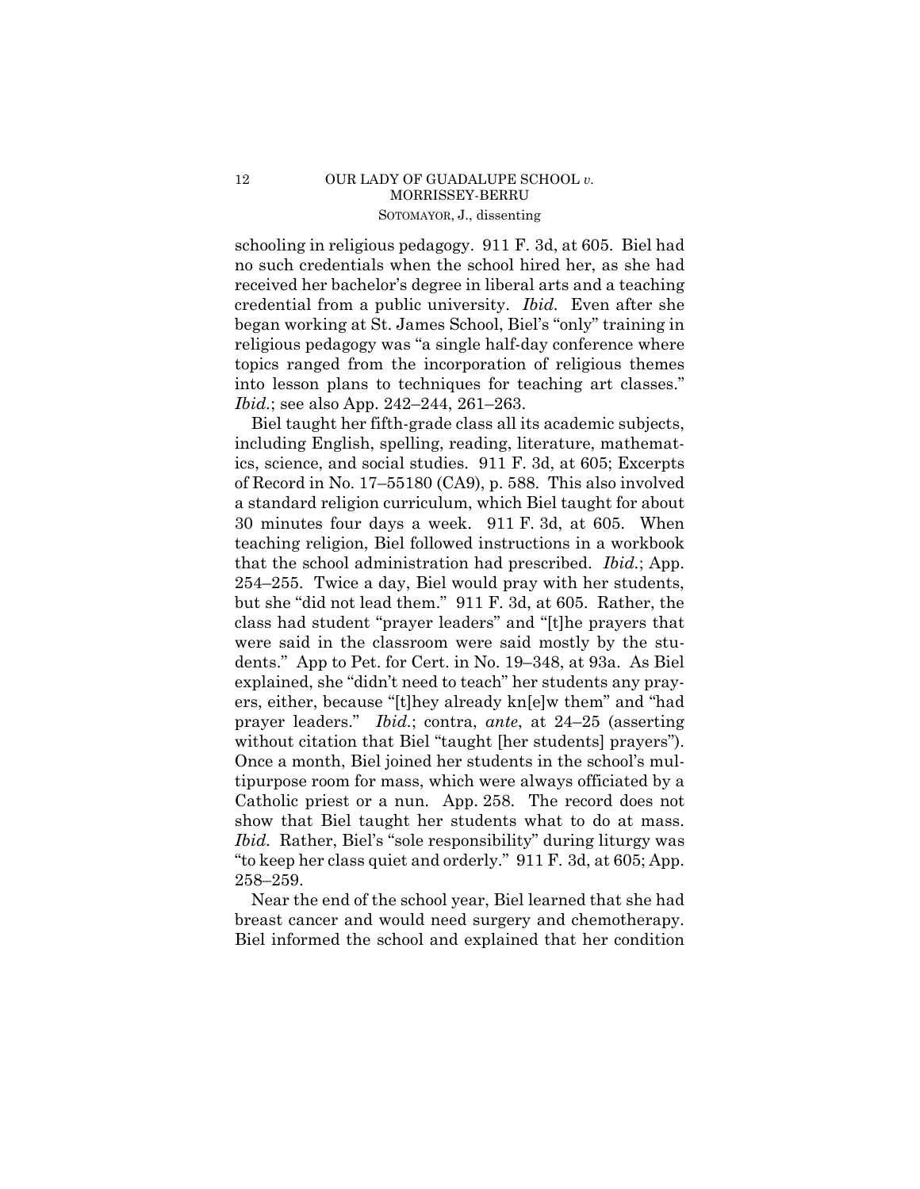schooling in religious pedagogy. 911 F. 3d, at 605. Biel had no such credentials when the school hired her, as she had received her bachelor's degree in liberal arts and a teaching credential from a public university. *Ibid.* Even after she began working at St. James School, Biel's "only" training in religious pedagogy was "a single half-day conference where topics ranged from the incorporation of religious themes into lesson plans to techniques for teaching art classes." *Ibid.*; see also App. 242–244, 261–263.

 without citation that Biel "taught [her students] prayers"). Biel taught her fifth-grade class all its academic subjects, including English, spelling, reading, literature, mathematics, science, and social studies. 911 F. 3d, at 605; Excerpts of Record in No. 17–55180 (CA9), p. 588. This also involved a standard religion curriculum, which Biel taught for about 30 minutes four days a week. 911 F. 3d, at 605. When teaching religion, Biel followed instructions in a workbook that the school administration had prescribed. *Ibid.*; App. 254–255. Twice a day, Biel would pray with her students, but she "did not lead them." 911 F. 3d, at 605. Rather, the class had student "prayer leaders" and "[t]he prayers that were said in the classroom were said mostly by the students." App to Pet. for Cert. in No. 19–348, at 93a. As Biel explained, she "didn't need to teach" her students any prayers, either, because "[t]hey already kn[e]w them" and "had prayer leaders." *Ibid.*; contra, *ante*, at 24–25 (asserting Once a month, Biel joined her students in the school's multipurpose room for mass, which were always officiated by a Catholic priest or a nun. App. 258. The record does not show that Biel taught her students what to do at mass. *Ibid.* Rather, Biel's "sole responsibility" during liturgy was "to keep her class quiet and orderly." 911 F. 3d, at 605; App. 258–259.

 breast cancer and would need surgery and chemotherapy. Near the end of the school year, Biel learned that she had Biel informed the school and explained that her condition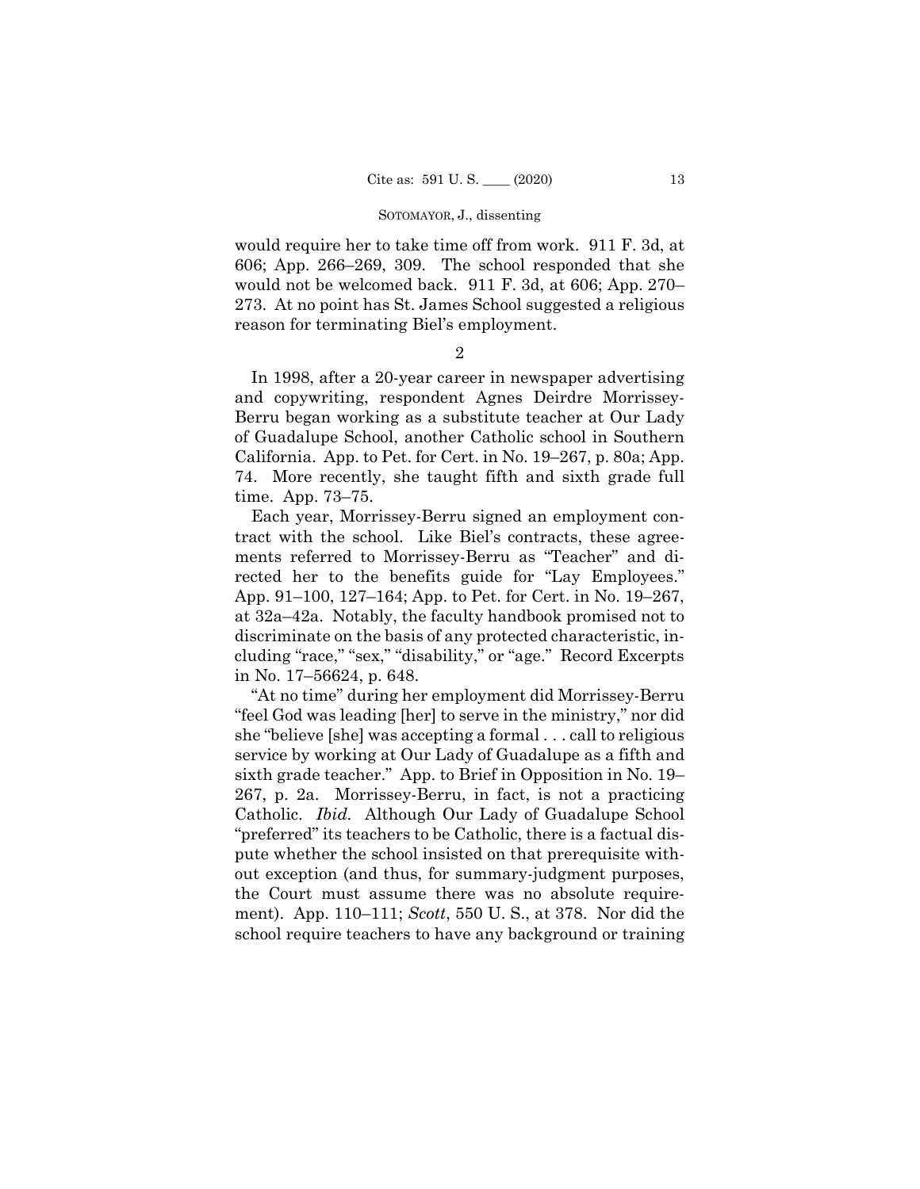### SOTOMAYOR, J., dissenting

would require her to take time off from work. 911 F. 3d, at 606; App. 266–269, 309. The school responded that she would not be welcomed back. 911 F. 3d, at 606; App. 270– 273. At no point has St. James School suggested a religious reason for terminating Biel's employment.

2

In 1998, after a 20-year career in newspaper advertising and copywriting, respondent Agnes Deirdre Morrissey-Berru began working as a substitute teacher at Our Lady of Guadalupe School, another Catholic school in Southern California. App. to Pet. for Cert. in No. 19–267, p. 80a; App. 74. More recently, she taught fifth and sixth grade full time. App. 73–75.

 Each year, Morrissey-Berru signed an employment contract with the school. Like Biel's contracts, these agreements referred to Morrissey-Berru as "Teacher" and directed her to the benefits guide for "Lay Employees." App. 91–100, 127–164; App. to Pet. for Cert. in No. 19–267, at 32a–42a. Notably, the faculty handbook promised not to discriminate on the basis of any protected characteristic, including "race," "sex," "disability," or "age." Record Excerpts in No. 17–56624, p. 648.

"At no time" during her employment did Morrissey-Berru "feel God was leading [her] to serve in the ministry," nor did she "believe [she] was accepting a formal . . . call to religious service by working at Our Lady of Guadalupe as a fifth and sixth grade teacher." App. to Brief in Opposition in No. 19– 267, p. 2a. Morrissey-Berru, in fact, is not a practicing Catholic. *Ibid.* Although Our Lady of Guadalupe School "preferred" its teachers to be Catholic, there is a factual dispute whether the school insisted on that prerequisite without exception (and thus, for summary-judgment purposes, the Court must assume there was no absolute requirement). App. 110–111; *Scott*, 550 U. S., at 378. Nor did the school require teachers to have any background or training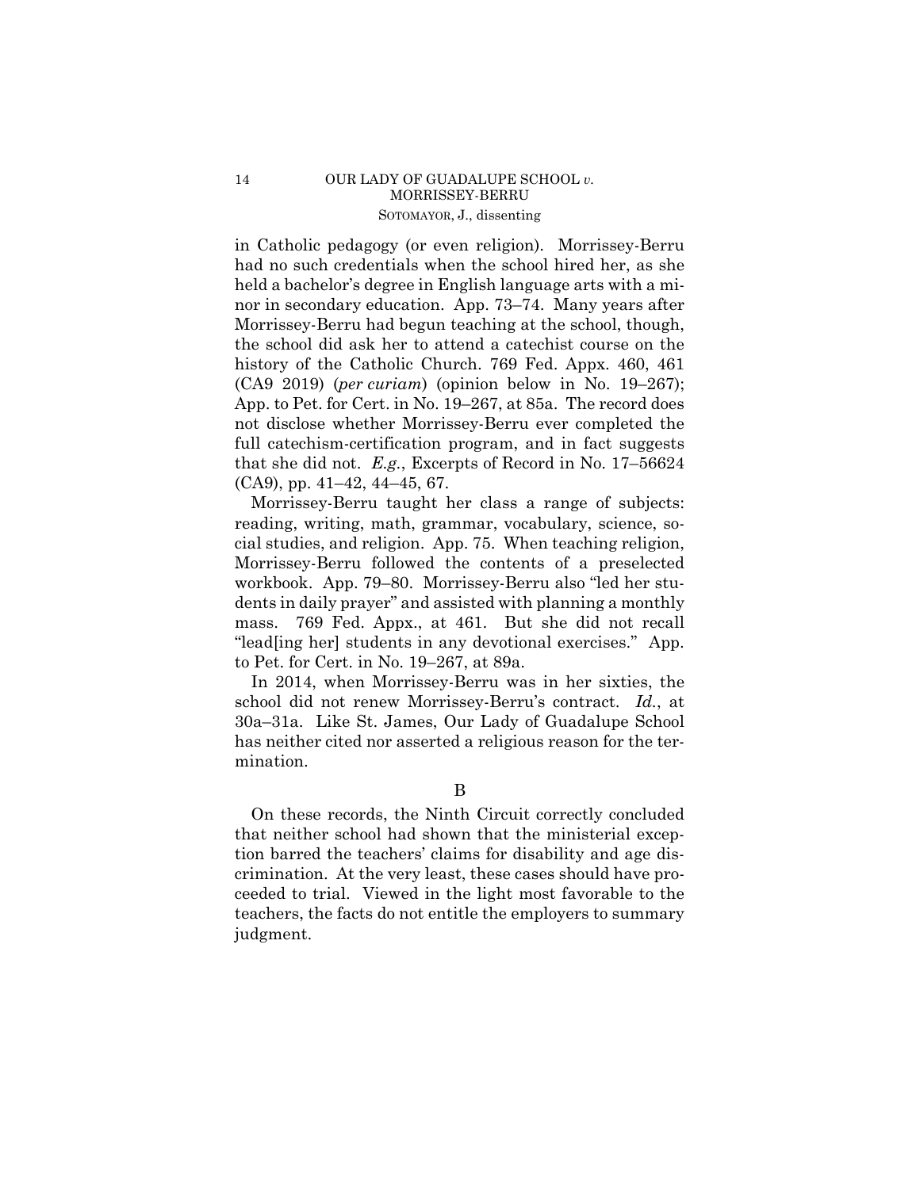# 14 OUR LADY OF GUADALUPE SCHOOL *v*. MORRISSEY-BERRU SOTOMAYOR, J., dissenting

in Catholic pedagogy (or even religion). Morrissey-Berru had no such credentials when the school hired her, as she held a bachelor's degree in English language arts with a minor in secondary education. App. 73–74. Many years after Morrissey-Berru had begun teaching at the school, though, the school did ask her to attend a catechist course on the history of the Catholic Church. 769 Fed. Appx. 460, 461 (CA9 2019) (*per curiam*) (opinion below in No. 19–267); App. to Pet. for Cert. in No. 19–267, at 85a. The record does not disclose whether Morrissey-Berru ever completed the full catechism-certification program, and in fact suggests that she did not. *E.g.*, Excerpts of Record in No. 17–56624 (CA9), pp. 41–42, 44–45, 67.

 workbook. App. 79–80. Morrissey-Berru also "led her stu-Morrissey-Berru taught her class a range of subjects: reading, writing, math, grammar, vocabulary, science, social studies, and religion. App. 75. When teaching religion, Morrissey-Berru followed the contents of a preselected dents in daily prayer" and assisted with planning a monthly mass. 769 Fed. Appx., at 461. But she did not recall "lead[ing her] students in any devotional exercises." App. to Pet. for Cert. in No. 19–267, at 89a.

In 2014, when Morrissey-Berru was in her sixties, the school did not renew Morrissey-Berru's contract. *Id.*, at 30a–31a. Like St. James, Our Lady of Guadalupe School has neither cited nor asserted a religious reason for the termination.

B

On these records, the Ninth Circuit correctly concluded that neither school had shown that the ministerial exception barred the teachers' claims for disability and age discrimination. At the very least, these cases should have proceeded to trial. Viewed in the light most favorable to the teachers, the facts do not entitle the employers to summary judgment.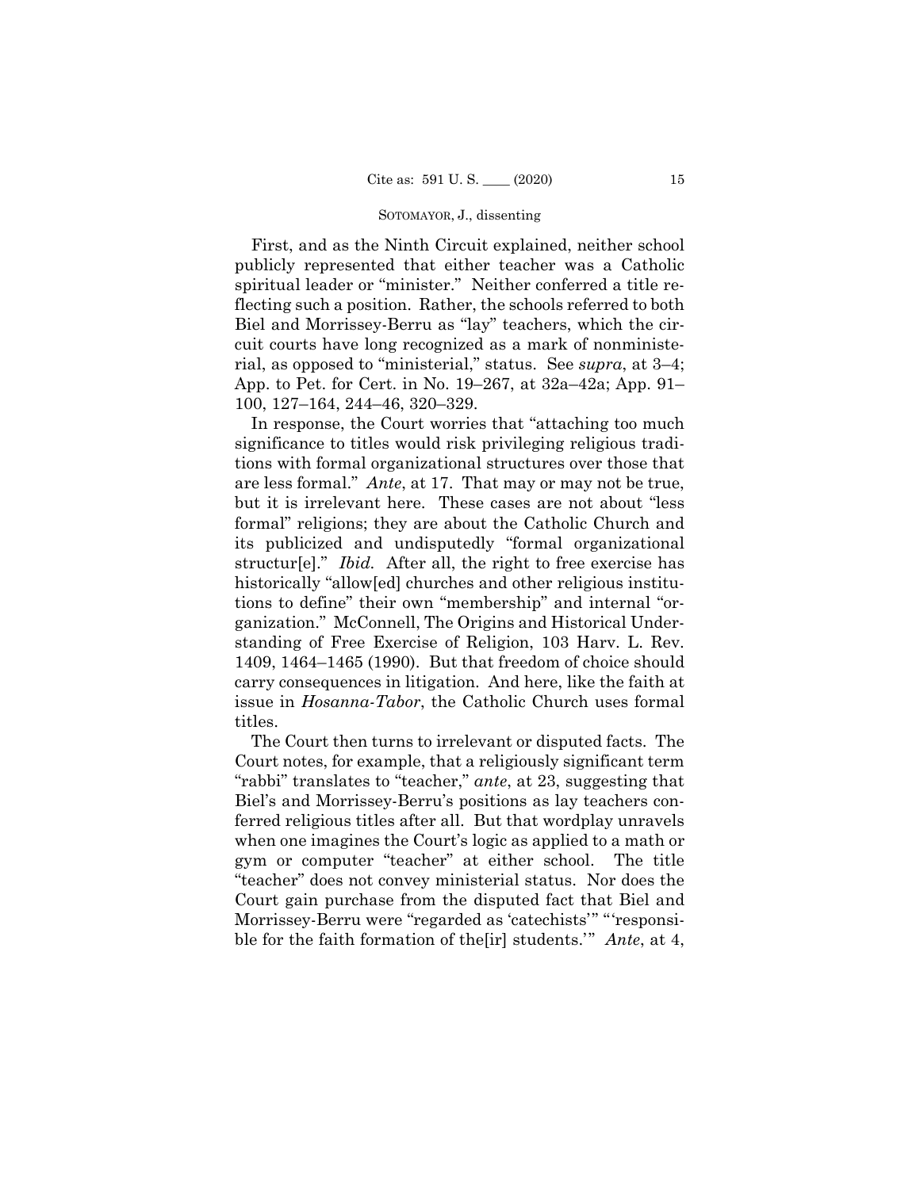#### SOTOMAYOR, J., dissenting

First, and as the Ninth Circuit explained, neither school publicly represented that either teacher was a Catholic spiritual leader or "minister." Neither conferred a title reflecting such a position. Rather, the schools referred to both Biel and Morrissey-Berru as "lay" teachers, which the circuit courts have long recognized as a mark of nonministerial, as opposed to "ministerial," status. See *supra*, at 3–4; App. to Pet. for Cert. in No. 19–267, at 32a–42a; App. 91– 100, 127–164, 244–46, 320–329.

In response, the Court worries that "attaching too much significance to titles would risk privileging religious traditions with formal organizational structures over those that are less formal." *Ante*, at 17. That may or may not be true, but it is irrelevant here. These cases are not about "less formal" religions; they are about the Catholic Church and its publicized and undisputedly "formal organizational structur[e]." *Ibid.* After all, the right to free exercise has historically "allow[ed] churches and other religious institutions to define" their own "membership" and internal "organization." McConnell, The Origins and Historical Understanding of Free Exercise of Religion, 103 Harv. L. Rev. 1409, 1464–1465 (1990). But that freedom of choice should carry consequences in litigation. And here, like the faith at issue in *Hosanna-Tabor*, the Catholic Church uses formal titles.

 Morrissey-Berru were "regarded as 'catechists'" "'responsi-The Court then turns to irrelevant or disputed facts. The Court notes, for example, that a religiously significant term "rabbi" translates to "teacher," *ante*, at 23, suggesting that Biel's and Morrissey-Berru's positions as lay teachers conferred religious titles after all. But that wordplay unravels when one imagines the Court's logic as applied to a math or gym or computer "teacher" at either school. The title "teacher" does not convey ministerial status. Nor does the Court gain purchase from the disputed fact that Biel and ble for the faith formation of the[ir] students.'" *Ante*, at 4,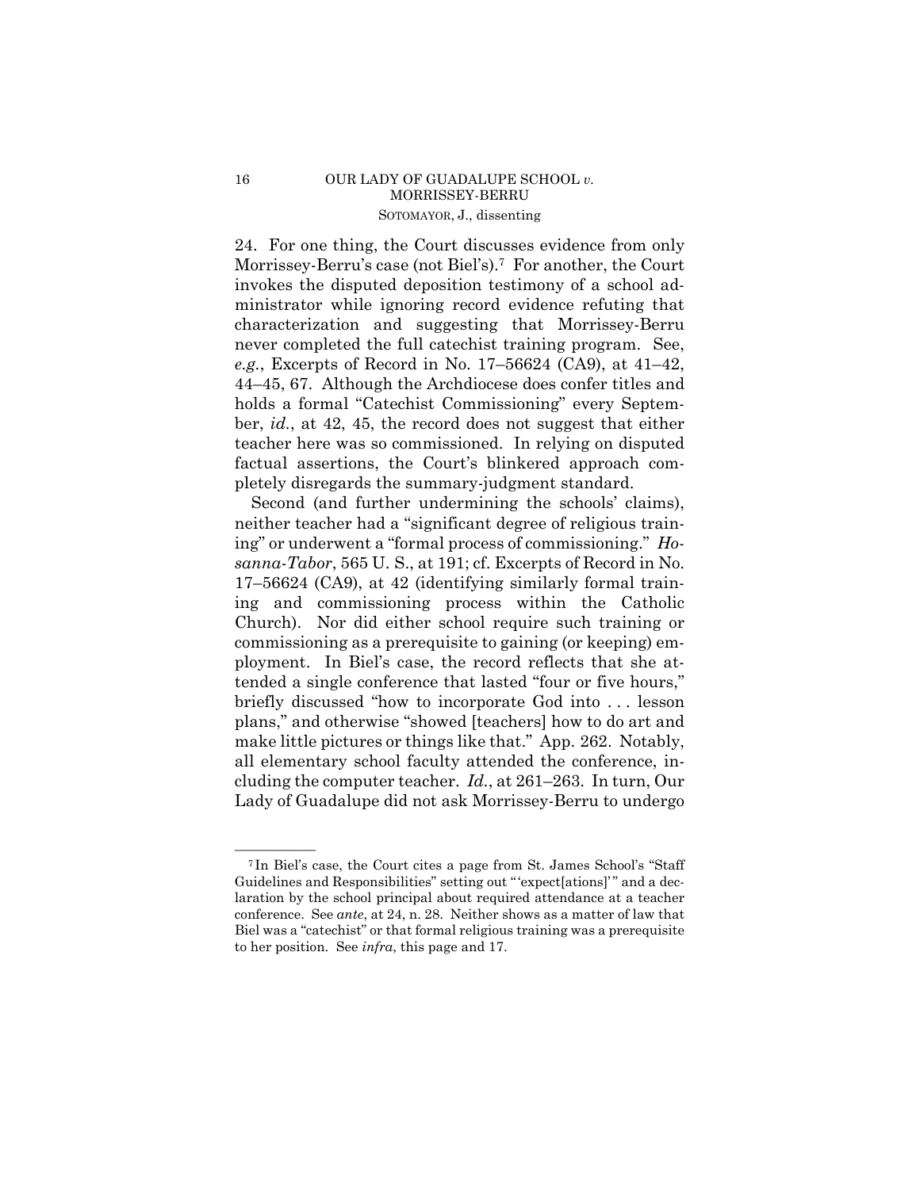# 16 OUR LADY OF GUADALUPE SCHOOL *v*. MORRISSEY-BERRU SOTOMAYOR, J., dissenting

24. For one thing, the Court discusses evidence from only Morrissey-Berru's case (not Biel's).<sup>7</sup> For another, the Court invokes the disputed deposition testimony of a school administrator while ignoring record evidence refuting that characterization and suggesting that Morrissey-Berru never completed the full catechist training program. See, *e.g.*, Excerpts of Record in No. 17–56624 (CA9), at 41–42, 44–45, 67. Although the Archdiocese does confer titles and holds a formal "Catechist Commissioning" every September, *id.*, at 42, 45, the record does not suggest that either teacher here was so commissioned. In relying on disputed factual assertions, the Court's blinkered approach completely disregards the summary-judgment standard.

Second (and further undermining the schools' claims), neither teacher had a "significant degree of religious training" or underwent a "formal process of commissioning." *Hosanna-Tabor*, 565 U. S., at 191; cf. Excerpts of Record in No. 17–56624 (CA9), at 42 (identifying similarly formal training and commissioning process within the Catholic Church). Nor did either school require such training or commissioning as a prerequisite to gaining (or keeping) employment. In Biel's case, the record reflects that she attended a single conference that lasted "four or five hours," briefly discussed "how to incorporate God into . . . lesson plans," and otherwise "showed [teachers] how to do art and make little pictures or things like that." App. 262. Notably, all elementary school faculty attended the conference, including the computer teacher. *Id.*, at 261–263. In turn, Our Lady of Guadalupe did not ask Morrissey-Berru to undergo

<sup>&</sup>lt;sup>7</sup>In Biel's case, the Court cites a page from St. James School's "Staff Guidelines and Responsibilities" setting out " 'expect[ations]' " and a declaration by the school principal about required attendance at a teacher conference. See *ante*, at 24, n. 28. Neither shows as a matter of law that Biel was a "catechist" or that formal religious training was a prerequisite to her position. See *infra*, this page and 17.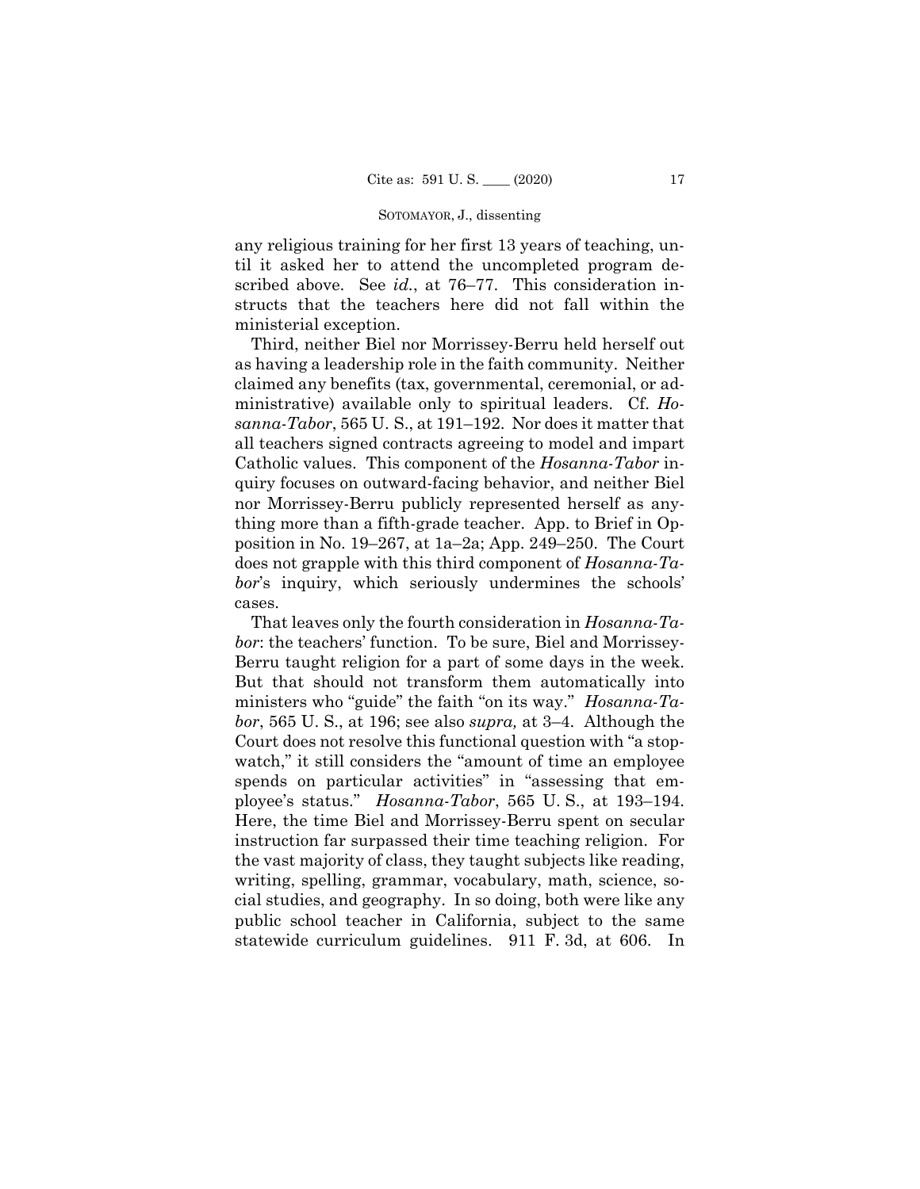#### SOTOMAYOR, J., dissenting

any religious training for her first 13 years of teaching, until it asked her to attend the uncompleted program described above. See *id.*, at 76–77. This consideration instructs that the teachers here did not fall within the ministerial exception.

Third, neither Biel nor Morrissey-Berru held herself out as having a leadership role in the faith community. Neither claimed any benefits (tax, governmental, ceremonial, or administrative) available only to spiritual leaders. Cf. *Hosanna-Tabor*, 565 U. S., at 191–192. Nor does it matter that all teachers signed contracts agreeing to model and impart Catholic values. This component of the *Hosanna-Tabor* inquiry focuses on outward-facing behavior, and neither Biel nor Morrissey-Berru publicly represented herself as anything more than a fifth-grade teacher. App. to Brief in Opposition in No. 19–267, at 1a–2a; App. 249–250. The Court does not grapple with this third component of *Hosanna-Tabor*'s inquiry, which seriously undermines the schools' cases.

That leaves only the fourth consideration in *Hosanna-Tabor*: the teachers' function. To be sure, Biel and Morrissey-Berru taught religion for a part of some days in the week. But that should not transform them automatically into ministers who "guide" the faith "on its way." *Hosanna-Tabor*, 565 U. S., at 196; see also *supra,* at 3–4. Although the Court does not resolve this functional question with "a stopwatch," it still considers the "amount of time an employee spends on particular activities" in "assessing that employee's status." *Hosanna-Tabor*, 565 U. S., at 193–194. Here, the time Biel and Morrissey-Berru spent on secular instruction far surpassed their time teaching religion. For the vast majority of class, they taught subjects like reading, writing, spelling, grammar, vocabulary, math, science, social studies, and geography. In so doing, both were like any public school teacher in California, subject to the same statewide curriculum guidelines. 911 F. 3d, at 606. In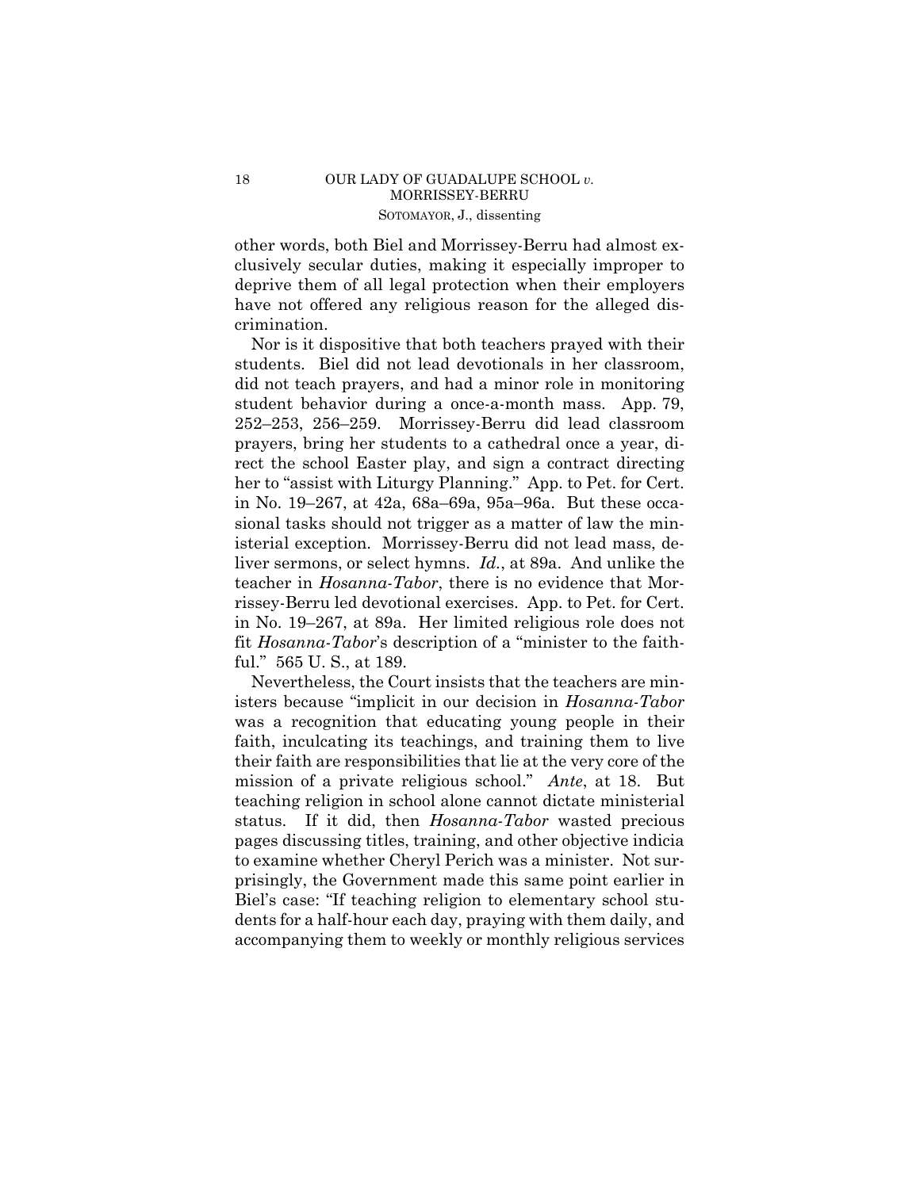other words, both Biel and Morrissey-Berru had almost exclusively secular duties, making it especially improper to deprive them of all legal protection when their employers have not offered any religious reason for the alleged discrimination.

Nor is it dispositive that both teachers prayed with their students. Biel did not lead devotionals in her classroom, did not teach prayers, and had a minor role in monitoring student behavior during a once-a-month mass. App. 79, 252–253, 256–259. Morrissey-Berru did lead classroom prayers, bring her students to a cathedral once a year, direct the school Easter play, and sign a contract directing her to "assist with Liturgy Planning." App. to Pet. for Cert. in No. 19–267, at 42a, 68a–69a, 95a–96a. But these occasional tasks should not trigger as a matter of law the ministerial exception. Morrissey-Berru did not lead mass, deliver sermons, or select hymns. *Id.*, at 89a. And unlike the teacher in *Hosanna-Tabor*, there is no evidence that Morrissey-Berru led devotional exercises. App. to Pet. for Cert. in No. 19–267, at 89a. Her limited religious role does not fit *Hosanna-Tabor*'s description of a "minister to the faithful." 565 U. S., at 189.

Nevertheless, the Court insists that the teachers are ministers because "implicit in our decision in *Hosanna-Tabor*  was a recognition that educating young people in their faith, inculcating its teachings, and training them to live their faith are responsibilities that lie at the very core of the mission of a private religious school." *Ante*, at 18. But teaching religion in school alone cannot dictate ministerial status. If it did, then *Hosanna-Tabor* wasted precious pages discussing titles, training, and other objective indicia to examine whether Cheryl Perich was a minister. Not surprisingly, the Government made this same point earlier in Biel's case: "If teaching religion to elementary school students for a half-hour each day, praying with them daily, and accompanying them to weekly or monthly religious services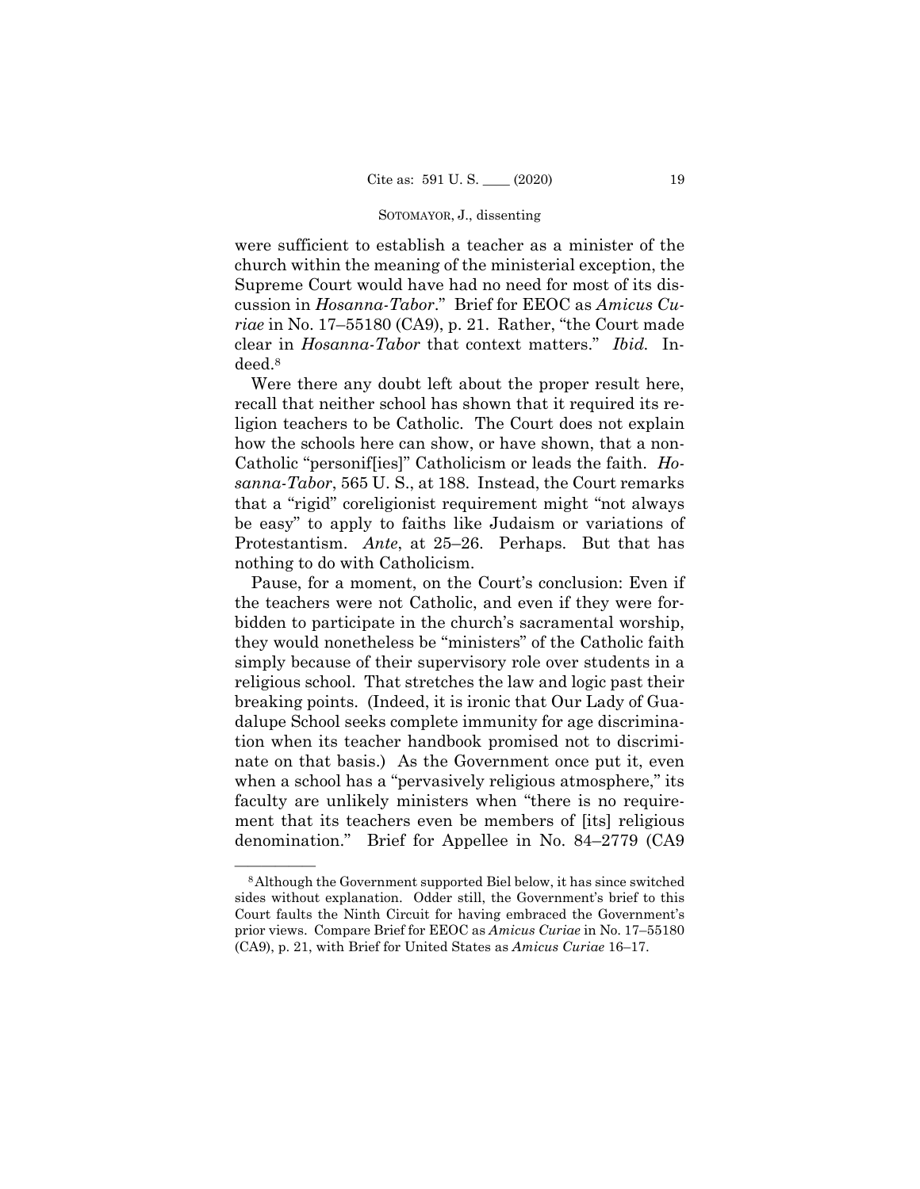### SOTOMAYOR, J., dissenting

 clear in *Hosanna-Tabor* that context matters." *Ibid.* Inwere sufficient to establish a teacher as a minister of the church within the meaning of the ministerial exception, the Supreme Court would have had no need for most of its discussion in *Hosanna-Tabor*." Brief for EEOC as *Amicus Curiae* in No. 17–55180 (CA9), p. 21. Rather, "the Court made deed.8

Were there any doubt left about the proper result here, recall that neither school has shown that it required its religion teachers to be Catholic. The Court does not explain how the schools here can show, or have shown, that a non-Catholic "personif[ies]" Catholicism or leads the faith. *Hosanna-Tabor*, 565 U. S., at 188. Instead, the Court remarks that a "rigid" coreligionist requirement might "not always be easy" to apply to faiths like Judaism or variations of Protestantism. *Ante*, at 25–26. Perhaps. But that has nothing to do with Catholicism.

Pause, for a moment, on the Court's conclusion: Even if the teachers were not Catholic, and even if they were forbidden to participate in the church's sacramental worship, they would nonetheless be "ministers" of the Catholic faith simply because of their supervisory role over students in a religious school. That stretches the law and logic past their breaking points. (Indeed, it is ironic that Our Lady of Guadalupe School seeks complete immunity for age discrimination when its teacher handbook promised not to discriminate on that basis.) As the Government once put it, even when a school has a "pervasively religious atmosphere," its faculty are unlikely ministers when "there is no requirement that its teachers even be members of [its] religious denomination." Brief for Appellee in No. 84–2779 (CA9

<sup>&</sup>lt;sup>8</sup> Although the Government supported Biel below, it has since switched sides without explanation. Odder still, the Government's brief to this Court faults the Ninth Circuit for having embraced the Government's prior views. Compare Brief for EEOC as *Amicus Curiae* in No. 17–55180 (CA9), p. 21, with Brief for United States as *Amicus Curiae* 16–17.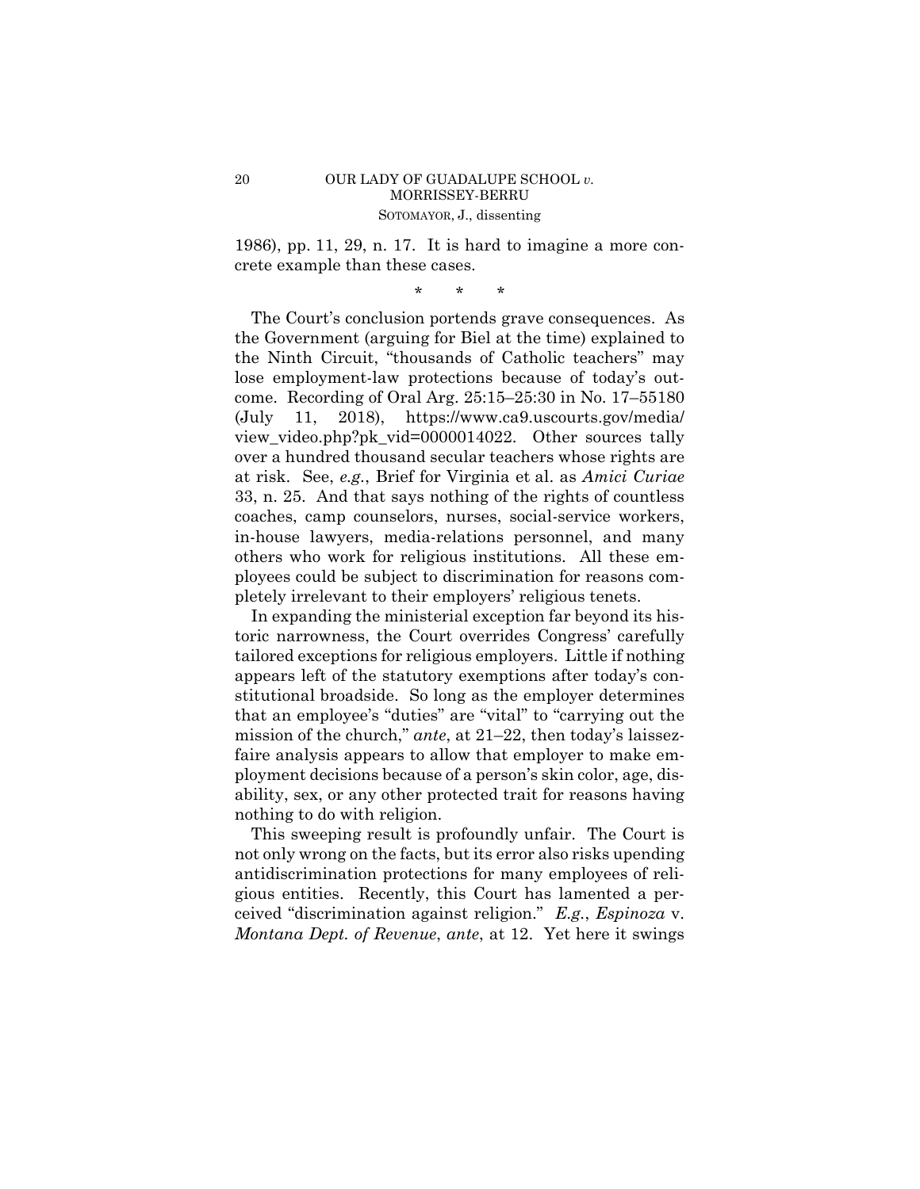## 20 OUR LADY OF GUADALUPE SCHOOL *v.*  MORRISSEY-BERRU SOTOMAYOR, J., dissenting

1986), pp. 11, 29, n. 17. It is hard to imagine a more concrete example than these cases.

\* \* \*

 33, n. 25. And that says nothing of the rights of countless The Court's conclusion portends grave consequences. As the Government (arguing for Biel at the time) explained to the Ninth Circuit, "thousands of Catholic teachers" may lose employment-law protections because of today's outcome. Recording of Oral Arg. 25:15–25:30 in No. 17–55180 (July 11, 2018), https://www.ca9.uscourts.gov/media/ view\_video.php?pk\_vid=0000014022. Other sources tally over a hundred thousand secular teachers whose rights are at risk. See, *e.g.*, Brief for Virginia et al. as *Amici Curiae*  coaches, camp counselors, nurses, social-service workers, in-house lawyers, media-relations personnel, and many others who work for religious institutions. All these employees could be subject to discrimination for reasons completely irrelevant to their employers' religious tenets.

In expanding the ministerial exception far beyond its historic narrowness, the Court overrides Congress' carefully tailored exceptions for religious employers. Little if nothing appears left of the statutory exemptions after today's constitutional broadside. So long as the employer determines that an employee's "duties" are "vital" to "carrying out the mission of the church," *ante*, at 21–22, then today's laissezfaire analysis appears to allow that employer to make employment decisions because of a person's skin color, age, disability, sex, or any other protected trait for reasons having nothing to do with religion.

This sweeping result is profoundly unfair. The Court is not only wrong on the facts, but its error also risks upending antidiscrimination protections for many employees of religious entities. Recently, this Court has lamented a perceived "discrimination against religion." *E.g.*, *Espinoza* v. *Montana Dept. of Revenue*, *ante*, at 12. Yet here it swings